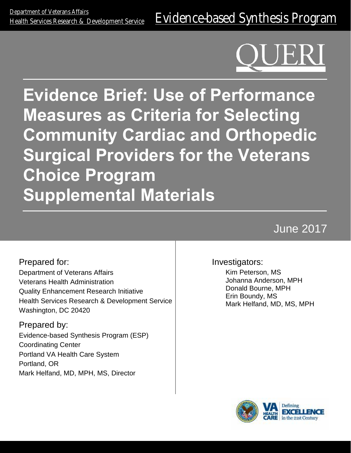**Evidence Brief: Use of Performance Measures as Criteria for Selecting Community Cardiac and Orthopedic Surgical Providers for the Veterans Choice Program Supplemental Materials**

# June 2017

Prepared for: Department of Veterans Affairs Veterans Health Administration Quality Enhancement Research Initiative Health Services Research & Development Service Washington, DC 20420

Prepared by: Evidence-based Synthesis Program (ESP) Coordinating Center Portland VA Health Care System Portland, OR Mark Helfand, MD, MPH, MS, Director

#### Investigators:

Kim Peterson, MS Johanna Anderson, MPH Donald Bourne, MPH Erin Boundy, MS Mark Helfand, MD, MS, MPH

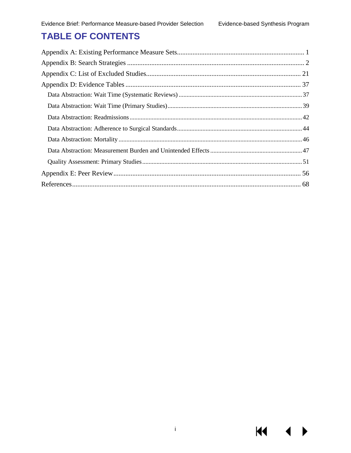**KI** 

## **TABLE OF CONTENTS**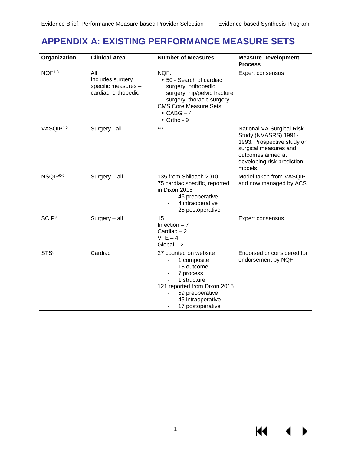KI I

#### <span id="page-2-0"></span>**APPENDIX A: EXISTING PERFORMANCE MEASURE SETS**

| Organization          | <b>Clinical Area</b>                                                  | <b>Number of Measures</b>                                                                                                                                                               | <b>Measure Development</b><br><b>Process</b>                                                                                                                           |
|-----------------------|-----------------------------------------------------------------------|-----------------------------------------------------------------------------------------------------------------------------------------------------------------------------------------|------------------------------------------------------------------------------------------------------------------------------------------------------------------------|
| NQF <sup>1-3</sup>    | All<br>Includes surgery<br>specific measures -<br>cardiac, orthopedic | NQF:<br>· 50 - Search of cardiac<br>surgery, orthopedic<br>surgery, hip/pelvic fracture<br>surgery, thoracic surgery<br><b>CMS Core Measure Sets:</b><br>$\cdot$ CABG $-4$<br>Ortho - 9 | Expert consensus                                                                                                                                                       |
| VASQIP <sup>4,5</sup> | Surgery - all                                                         | 97                                                                                                                                                                                      | National VA Surgical Risk<br>Study (NVASRS) 1991-<br>1993. Prospective study on<br>surgical measures and<br>outcomes aimed at<br>developing risk prediction<br>models. |
| NSQIP6-8              | $Surgery - all$                                                       | 135 from Shiloach 2010<br>75 cardiac specific, reported<br>in Dixon 2015<br>46 preoperative<br>4 intraoperative<br>25 postoperative                                                     | Model taken from VASQIP<br>and now managed by ACS                                                                                                                      |
| SCIP <sup>9</sup>     | $Surgery - all$                                                       | 15<br>Infection $-7$<br>Cardiac $-2$<br>$VTE - 4$<br>$Global - 2$                                                                                                                       | Expert consensus                                                                                                                                                       |
| STS <sup>6</sup>      | Cardiac                                                               | 27 counted on website<br>1 composite<br>18 outcome<br>7 process<br>1 structure<br>121 reported from Dixon 2015<br>59 preoperative<br>45 intraoperative<br>17 postoperative              | Endorsed or considered for<br>endorsement by NQF                                                                                                                       |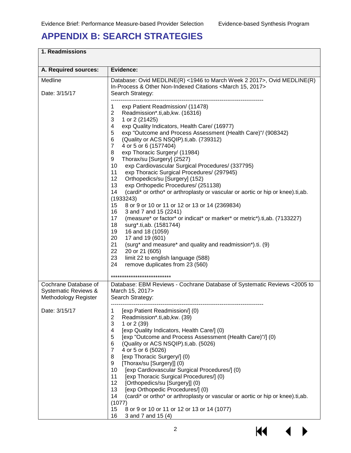## <span id="page-3-0"></span>**APPENDIX B: SEARCH STRATEGIES**

| A. Required sources:                                | Evidence:                                                                                                                                                                                                                                                                                                                                                                                                                                                                                                                                                                                                                                                                                                                                                                                                                                                                                                                                                                                                                                                                                                                                                                                         |
|-----------------------------------------------------|---------------------------------------------------------------------------------------------------------------------------------------------------------------------------------------------------------------------------------------------------------------------------------------------------------------------------------------------------------------------------------------------------------------------------------------------------------------------------------------------------------------------------------------------------------------------------------------------------------------------------------------------------------------------------------------------------------------------------------------------------------------------------------------------------------------------------------------------------------------------------------------------------------------------------------------------------------------------------------------------------------------------------------------------------------------------------------------------------------------------------------------------------------------------------------------------------|
| Medline<br>Date: 3/15/17                            | Database: Ovid MEDLINE(R) <1946 to March Week 2 2017>, Ovid MEDLINE(R)<br>In-Process & Other Non-Indexed Citations <march 15,="" 2017=""><br/>Search Strategy:</march>                                                                                                                                                                                                                                                                                                                                                                                                                                                                                                                                                                                                                                                                                                                                                                                                                                                                                                                                                                                                                            |
|                                                     | exp Patient Readmission/ (11478)<br>1<br>2<br>Readmission*.ti,ab,kw. (16316)<br>3<br>1 or 2 (21425)<br>4<br>exp Quality Indicators, Health Care/ (16977)<br>exp "Outcome and Process Assessment (Health Care)"/ (908342)<br>5<br>6<br>(Quality or ACS NSQIP).ti, ab. (739312)<br>$\overline{7}$<br>4 or 5 or 6 (1577404)<br>8<br>exp Thoracic Surgery/ (11984)<br>Thorax/su [Surgery] (2527)<br>9<br>10<br>exp Cardiovascular Surgical Procedures/ (337795)<br>11<br>exp Thoracic Surgical Procedures/ (297945)<br>12 <sup>2</sup><br>Orthopedics/su [Surgery] (152)<br>13<br>exp Orthopedic Procedures/ (251138)<br>(cardi* or ortho* or arthroplasty or vascular or aortic or hip or knee).ti,ab.<br>14<br>(1933243)<br>8 or 9 or 10 or 11 or 12 or 13 or 14 (2369834)<br>15<br>16<br>3 and 7 and 15 (2241)<br>17<br>(measure* or factor* or indicat* or marker* or metric*).ti,ab. (7133227)<br>18<br>surg*.ti,ab. (1581744)<br>19<br>16 and 18 (1059)<br>20<br>17 and 19 (601)<br>21<br>(surg* and measure* and quality and readmission*).ti. (9)<br>22<br>20 or 21 (605)<br>23<br>limit 22 to english language (588)<br>24<br>remove duplicates from 23 (560)<br>*************************** |
| Cochrane Database of                                | Database: EBM Reviews - Cochrane Database of Systematic Reviews < 2005 to                                                                                                                                                                                                                                                                                                                                                                                                                                                                                                                                                                                                                                                                                                                                                                                                                                                                                                                                                                                                                                                                                                                         |
| Systematic Reviews &<br><b>Methodology Register</b> | March 15, 2017><br>Search Strategy:                                                                                                                                                                                                                                                                                                                                                                                                                                                                                                                                                                                                                                                                                                                                                                                                                                                                                                                                                                                                                                                                                                                                                               |
| Date: 3/15/17                                       | [exp Patient Readmission/] (0)<br>1<br>$\overline{c}$<br>Readmission*.ti,ab,kw. (39)<br>3<br>1 or 2 (39)<br>[exp Quality Indicators, Health Care/] (0)<br>4<br>5<br>[exp "Outcome and Process Assessment (Health Care)"/] (0)<br>6<br>(Quality or ACS NSQIP).ti,ab. (5026)<br>4 or 5 or 6 (5026)<br>$\overline{7}$<br>[exp Thoracic Surgery/] (0)<br>8<br>[Thorax/su [Surgery]] (0)<br>9<br>10<br>[exp Cardiovascular Surgical Procedures/] (0)<br>11<br>[exp Thoracic Surgical Procedures/] (0)<br>12<br>[Orthopedics/su [Surgery]] (0)<br>13<br>[exp Orthopedic Procedures/] (0)<br>14<br>(cardi* or ortho* or arthroplasty or vascular or aortic or hip or knee).ti,ab.<br>(1077)<br>15<br>8 or 9 or 10 or 11 or 12 or 13 or 14 (1077)<br>16<br>3 and 7 and 15 (4)                                                                                                                                                                                                                                                                                                                                                                                                                             |

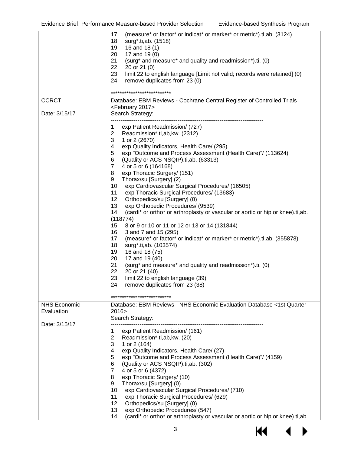|                                                    | (measure* or factor* or indicat* or marker* or metric*).ti,ab. (3124)<br>17<br>18<br>surg*.ti,ab. (1518)<br>19<br>16 and 18 (1)<br>20<br>17 and 19 (0)<br>21<br>(surg* and measure* and quality and readmission*).ti. (0)<br>22<br>20 or 21 (0)<br>23<br>limit 22 to english language [Limit not valid; records were retained] (0)<br>24<br>remove duplicates from 23 (0)<br>***********************                                                                                                                                                                                                                                                                                                                                                                                                                                                                                                                                                                                                                                                                                                                                 |
|----------------------------------------------------|--------------------------------------------------------------------------------------------------------------------------------------------------------------------------------------------------------------------------------------------------------------------------------------------------------------------------------------------------------------------------------------------------------------------------------------------------------------------------------------------------------------------------------------------------------------------------------------------------------------------------------------------------------------------------------------------------------------------------------------------------------------------------------------------------------------------------------------------------------------------------------------------------------------------------------------------------------------------------------------------------------------------------------------------------------------------------------------------------------------------------------------|
| <b>CCRCT</b>                                       | Database: EBM Reviews - Cochrane Central Register of Controlled Trials                                                                                                                                                                                                                                                                                                                                                                                                                                                                                                                                                                                                                                                                                                                                                                                                                                                                                                                                                                                                                                                               |
| Date: 3/15/17                                      | <february 2017=""><br/>Search Strategy:</february>                                                                                                                                                                                                                                                                                                                                                                                                                                                                                                                                                                                                                                                                                                                                                                                                                                                                                                                                                                                                                                                                                   |
|                                                    | exp Patient Readmission/ (727)<br>1<br>$\overline{2}$<br>Readmission*.ti,ab,kw. (2312)<br>3<br>1 or 2 (2670)<br>exp Quality Indicators, Health Care/ (295)<br>4<br>exp "Outcome and Process Assessment (Health Care)"/ (113624)<br>5<br>(Quality or ACS NSQIP).ti, ab. (63313)<br>6<br>$\overline{7}$<br>4 or 5 or 6 (164168)<br>exp Thoracic Surgery/ (151)<br>8<br>9<br>Thorax/su [Surgery] (2)<br>10<br>exp Cardiovascular Surgical Procedures/ (16505)<br>11<br>exp Thoracic Surgical Procedures/ (13683)<br>12<br>Orthopedics/su [Surgery] (0)<br>13<br>exp Orthopedic Procedures/ (9539)<br>14<br>(cardi* or ortho* or arthroplasty or vascular or aortic or hip or knee).ti,ab.<br>(118774)<br>8 or 9 or 10 or 11 or 12 or 13 or 14 (131844)<br>15<br>16<br>3 and 7 and 15 (295)<br>17<br>(measure* or factor* or indicat* or marker* or metric*).ti,ab. (355878)<br>18<br>surg*.ti,ab. (103574)<br>19<br>16 and 18 (75)<br>20<br>17 and 19 (40)<br>21<br>(surg* and measure* and quality and readmission*).ti. (0)<br>22<br>20 or 21 (40)<br>23<br>limit 22 to english language (39)<br>24<br>remove duplicates from 23 (38) |
|                                                    |                                                                                                                                                                                                                                                                                                                                                                                                                                                                                                                                                                                                                                                                                                                                                                                                                                                                                                                                                                                                                                                                                                                                      |
| <b>NHS Economic</b><br>Evaluation<br>Date: 3/15/17 | Database: EBM Reviews - NHS Economic Evaluation Database <1st Quarter<br>2016><br>Search Strategy:                                                                                                                                                                                                                                                                                                                                                                                                                                                                                                                                                                                                                                                                                                                                                                                                                                                                                                                                                                                                                                   |
|                                                    | 1<br>exp Patient Readmission/ (161)<br>$\overline{c}$<br>Readmission*.ti,ab,kw. (20)<br>3<br>1 or 2 (164)<br>exp Quality Indicators, Health Care/ (27)<br>4<br>exp "Outcome and Process Assessment (Health Care)"/ (4159)<br>5<br>6<br>(Quality or ACS NSQIP).ti,ab. (302)<br>$\overline{7}$<br>4 or 5 or 6 (4372)<br>exp Thoracic Surgery/ (10)<br>8<br>Thorax/su [Surgery] (0)<br>9<br>exp Cardiovascular Surgical Procedures/ (710)<br>10<br>exp Thoracic Surgical Procedures/ (629)<br>11<br>12<br>Orthopedics/su [Surgery] (0)<br>13<br>exp Orthopedic Procedures/ (547)<br>(cardi* or ortho* or arthroplasty or vascular or aortic or hip or knee).ti,ab.<br>14                                                                                                                                                                                                                                                                                                                                                                                                                                                                |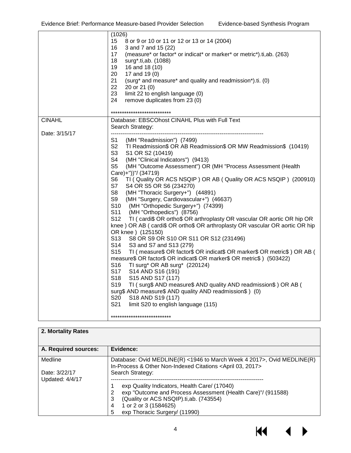**K4** 

▶

| 15<br>8 or 9 or 10 or 11 or 12 or 13 or 14 (2004)<br>16<br>3 and 7 and 15 (22)<br>(measure* or factor* or indicat* or marker* or metric*).ti,ab. (263)<br>17<br>18<br>surg*.ti,ab. (1088)<br>19<br>16 and 18 (10)<br>20<br>17 and 19 (0)<br>21<br>(surg* and measure* and quality and readmission*).ti. (0)<br>22<br>20 or 21 (0)<br>23<br>limit 22 to english language (0)<br>24<br>remove duplicates from 23 (0)<br>***************************<br><b>CINAHL</b><br>Database: EBSCOhost CINAHL Plus with Full Text<br>Search Strategy:<br>Date: 3/15/17<br>S1.<br>(MH "Readmission") (7499)<br>S2 TI Readmission\$ OR AB Readmission\$ OR MW Readmission\$ (10419)<br>S3<br>S1 OR S2 (10419)<br>S4<br>(MH "Clinical Indicators") (9413)<br>S <sub>5</sub><br>(MH "Outcome Assessment") OR (MH "Process Assessment (Health<br>Care)+"))"/ (34719)<br>S <sub>6</sub><br>TI ( Quality OR ACS NSQIP ) OR AB ( Quality OR ACS NSQIP ) (200910)<br>S7<br>S4 OR S5 OR S6 (234270)<br>S <sub>8</sub><br>(MH "Thoracic Surgery+") (44891)<br>S9<br>(MH "Surgery, Cardiovascular+") (46637)<br>S <sub>10</sub><br>(MH "Orthopedic Surgery+") (74399)<br>S11<br>(MH "Orthopedics") (8756)<br>TI ( cardi\$ OR ortho\$ OR arthroplasty OR vascular OR aortic OR hip OR<br>S <sub>12</sub><br>knee ) OR AB ( cardi\$ OR ortho\$ OR arthroplasty OR vascular OR aortic OR hip<br>OR knee ) (125150)<br>S <sub>13</sub><br>S8 OR S9 OR S10 OR S11 OR S12 (231496)<br>S14<br>S3 and S7 and S13 (279)<br>TI (measure\$ OR factor\$ OR indicat\$ OR marker\$ OR metric\$) OR AB (<br>S <sub>15</sub><br>measure\$ OR factor\$ OR indicat\$ OR marker\$ OR metric\$ ) (503422)<br>S <sub>16</sub><br>TI surg* OR AB surg* (220124) | (1026)                   |
|------------------------------------------------------------------------------------------------------------------------------------------------------------------------------------------------------------------------------------------------------------------------------------------------------------------------------------------------------------------------------------------------------------------------------------------------------------------------------------------------------------------------------------------------------------------------------------------------------------------------------------------------------------------------------------------------------------------------------------------------------------------------------------------------------------------------------------------------------------------------------------------------------------------------------------------------------------------------------------------------------------------------------------------------------------------------------------------------------------------------------------------------------------------------------------------------------------------------------------------------------------------------------------------------------------------------------------------------------------------------------------------------------------------------------------------------------------------------------------------------------------------------------------------------------------------------------------------------------------------------------------------------------------------------------------------------------------------|--------------------------|
|                                                                                                                                                                                                                                                                                                                                                                                                                                                                                                                                                                                                                                                                                                                                                                                                                                                                                                                                                                                                                                                                                                                                                                                                                                                                                                                                                                                                                                                                                                                                                                                                                                                                                                                  |                          |
|                                                                                                                                                                                                                                                                                                                                                                                                                                                                                                                                                                                                                                                                                                                                                                                                                                                                                                                                                                                                                                                                                                                                                                                                                                                                                                                                                                                                                                                                                                                                                                                                                                                                                                                  |                          |
|                                                                                                                                                                                                                                                                                                                                                                                                                                                                                                                                                                                                                                                                                                                                                                                                                                                                                                                                                                                                                                                                                                                                                                                                                                                                                                                                                                                                                                                                                                                                                                                                                                                                                                                  |                          |
|                                                                                                                                                                                                                                                                                                                                                                                                                                                                                                                                                                                                                                                                                                                                                                                                                                                                                                                                                                                                                                                                                                                                                                                                                                                                                                                                                                                                                                                                                                                                                                                                                                                                                                                  |                          |
|                                                                                                                                                                                                                                                                                                                                                                                                                                                                                                                                                                                                                                                                                                                                                                                                                                                                                                                                                                                                                                                                                                                                                                                                                                                                                                                                                                                                                                                                                                                                                                                                                                                                                                                  |                          |
|                                                                                                                                                                                                                                                                                                                                                                                                                                                                                                                                                                                                                                                                                                                                                                                                                                                                                                                                                                                                                                                                                                                                                                                                                                                                                                                                                                                                                                                                                                                                                                                                                                                                                                                  |                          |
|                                                                                                                                                                                                                                                                                                                                                                                                                                                                                                                                                                                                                                                                                                                                                                                                                                                                                                                                                                                                                                                                                                                                                                                                                                                                                                                                                                                                                                                                                                                                                                                                                                                                                                                  |                          |
|                                                                                                                                                                                                                                                                                                                                                                                                                                                                                                                                                                                                                                                                                                                                                                                                                                                                                                                                                                                                                                                                                                                                                                                                                                                                                                                                                                                                                                                                                                                                                                                                                                                                                                                  |                          |
|                                                                                                                                                                                                                                                                                                                                                                                                                                                                                                                                                                                                                                                                                                                                                                                                                                                                                                                                                                                                                                                                                                                                                                                                                                                                                                                                                                                                                                                                                                                                                                                                                                                                                                                  |                          |
|                                                                                                                                                                                                                                                                                                                                                                                                                                                                                                                                                                                                                                                                                                                                                                                                                                                                                                                                                                                                                                                                                                                                                                                                                                                                                                                                                                                                                                                                                                                                                                                                                                                                                                                  |                          |
|                                                                                                                                                                                                                                                                                                                                                                                                                                                                                                                                                                                                                                                                                                                                                                                                                                                                                                                                                                                                                                                                                                                                                                                                                                                                                                                                                                                                                                                                                                                                                                                                                                                                                                                  |                          |
|                                                                                                                                                                                                                                                                                                                                                                                                                                                                                                                                                                                                                                                                                                                                                                                                                                                                                                                                                                                                                                                                                                                                                                                                                                                                                                                                                                                                                                                                                                                                                                                                                                                                                                                  |                          |
|                                                                                                                                                                                                                                                                                                                                                                                                                                                                                                                                                                                                                                                                                                                                                                                                                                                                                                                                                                                                                                                                                                                                                                                                                                                                                                                                                                                                                                                                                                                                                                                                                                                                                                                  |                          |
|                                                                                                                                                                                                                                                                                                                                                                                                                                                                                                                                                                                                                                                                                                                                                                                                                                                                                                                                                                                                                                                                                                                                                                                                                                                                                                                                                                                                                                                                                                                                                                                                                                                                                                                  |                          |
|                                                                                                                                                                                                                                                                                                                                                                                                                                                                                                                                                                                                                                                                                                                                                                                                                                                                                                                                                                                                                                                                                                                                                                                                                                                                                                                                                                                                                                                                                                                                                                                                                                                                                                                  |                          |
|                                                                                                                                                                                                                                                                                                                                                                                                                                                                                                                                                                                                                                                                                                                                                                                                                                                                                                                                                                                                                                                                                                                                                                                                                                                                                                                                                                                                                                                                                                                                                                                                                                                                                                                  |                          |
|                                                                                                                                                                                                                                                                                                                                                                                                                                                                                                                                                                                                                                                                                                                                                                                                                                                                                                                                                                                                                                                                                                                                                                                                                                                                                                                                                                                                                                                                                                                                                                                                                                                                                                                  |                          |
|                                                                                                                                                                                                                                                                                                                                                                                                                                                                                                                                                                                                                                                                                                                                                                                                                                                                                                                                                                                                                                                                                                                                                                                                                                                                                                                                                                                                                                                                                                                                                                                                                                                                                                                  |                          |
|                                                                                                                                                                                                                                                                                                                                                                                                                                                                                                                                                                                                                                                                                                                                                                                                                                                                                                                                                                                                                                                                                                                                                                                                                                                                                                                                                                                                                                                                                                                                                                                                                                                                                                                  |                          |
|                                                                                                                                                                                                                                                                                                                                                                                                                                                                                                                                                                                                                                                                                                                                                                                                                                                                                                                                                                                                                                                                                                                                                                                                                                                                                                                                                                                                                                                                                                                                                                                                                                                                                                                  |                          |
|                                                                                                                                                                                                                                                                                                                                                                                                                                                                                                                                                                                                                                                                                                                                                                                                                                                                                                                                                                                                                                                                                                                                                                                                                                                                                                                                                                                                                                                                                                                                                                                                                                                                                                                  |                          |
|                                                                                                                                                                                                                                                                                                                                                                                                                                                                                                                                                                                                                                                                                                                                                                                                                                                                                                                                                                                                                                                                                                                                                                                                                                                                                                                                                                                                                                                                                                                                                                                                                                                                                                                  |                          |
|                                                                                                                                                                                                                                                                                                                                                                                                                                                                                                                                                                                                                                                                                                                                                                                                                                                                                                                                                                                                                                                                                                                                                                                                                                                                                                                                                                                                                                                                                                                                                                                                                                                                                                                  |                          |
|                                                                                                                                                                                                                                                                                                                                                                                                                                                                                                                                                                                                                                                                                                                                                                                                                                                                                                                                                                                                                                                                                                                                                                                                                                                                                                                                                                                                                                                                                                                                                                                                                                                                                                                  |                          |
|                                                                                                                                                                                                                                                                                                                                                                                                                                                                                                                                                                                                                                                                                                                                                                                                                                                                                                                                                                                                                                                                                                                                                                                                                                                                                                                                                                                                                                                                                                                                                                                                                                                                                                                  |                          |
|                                                                                                                                                                                                                                                                                                                                                                                                                                                                                                                                                                                                                                                                                                                                                                                                                                                                                                                                                                                                                                                                                                                                                                                                                                                                                                                                                                                                                                                                                                                                                                                                                                                                                                                  |                          |
|                                                                                                                                                                                                                                                                                                                                                                                                                                                                                                                                                                                                                                                                                                                                                                                                                                                                                                                                                                                                                                                                                                                                                                                                                                                                                                                                                                                                                                                                                                                                                                                                                                                                                                                  |                          |
|                                                                                                                                                                                                                                                                                                                                                                                                                                                                                                                                                                                                                                                                                                                                                                                                                                                                                                                                                                                                                                                                                                                                                                                                                                                                                                                                                                                                                                                                                                                                                                                                                                                                                                                  |                          |
|                                                                                                                                                                                                                                                                                                                                                                                                                                                                                                                                                                                                                                                                                                                                                                                                                                                                                                                                                                                                                                                                                                                                                                                                                                                                                                                                                                                                                                                                                                                                                                                                                                                                                                                  |                          |
|                                                                                                                                                                                                                                                                                                                                                                                                                                                                                                                                                                                                                                                                                                                                                                                                                                                                                                                                                                                                                                                                                                                                                                                                                                                                                                                                                                                                                                                                                                                                                                                                                                                                                                                  |                          |
|                                                                                                                                                                                                                                                                                                                                                                                                                                                                                                                                                                                                                                                                                                                                                                                                                                                                                                                                                                                                                                                                                                                                                                                                                                                                                                                                                                                                                                                                                                                                                                                                                                                                                                                  |                          |
|                                                                                                                                                                                                                                                                                                                                                                                                                                                                                                                                                                                                                                                                                                                                                                                                                                                                                                                                                                                                                                                                                                                                                                                                                                                                                                                                                                                                                                                                                                                                                                                                                                                                                                                  |                          |
|                                                                                                                                                                                                                                                                                                                                                                                                                                                                                                                                                                                                                                                                                                                                                                                                                                                                                                                                                                                                                                                                                                                                                                                                                                                                                                                                                                                                                                                                                                                                                                                                                                                                                                                  |                          |
|                                                                                                                                                                                                                                                                                                                                                                                                                                                                                                                                                                                                                                                                                                                                                                                                                                                                                                                                                                                                                                                                                                                                                                                                                                                                                                                                                                                                                                                                                                                                                                                                                                                                                                                  |                          |
|                                                                                                                                                                                                                                                                                                                                                                                                                                                                                                                                                                                                                                                                                                                                                                                                                                                                                                                                                                                                                                                                                                                                                                                                                                                                                                                                                                                                                                                                                                                                                                                                                                                                                                                  |                          |
|                                                                                                                                                                                                                                                                                                                                                                                                                                                                                                                                                                                                                                                                                                                                                                                                                                                                                                                                                                                                                                                                                                                                                                                                                                                                                                                                                                                                                                                                                                                                                                                                                                                                                                                  |                          |
|                                                                                                                                                                                                                                                                                                                                                                                                                                                                                                                                                                                                                                                                                                                                                                                                                                                                                                                                                                                                                                                                                                                                                                                                                                                                                                                                                                                                                                                                                                                                                                                                                                                                                                                  | S17<br>S14 AND S16 (191) |
| S <sub>18</sub><br>S15 AND S17 (117)                                                                                                                                                                                                                                                                                                                                                                                                                                                                                                                                                                                                                                                                                                                                                                                                                                                                                                                                                                                                                                                                                                                                                                                                                                                                                                                                                                                                                                                                                                                                                                                                                                                                             |                          |
| TI (surg\$ AND measure\$ AND quality AND readmission\$) OR AB (<br>S <sub>19</sub>                                                                                                                                                                                                                                                                                                                                                                                                                                                                                                                                                                                                                                                                                                                                                                                                                                                                                                                                                                                                                                                                                                                                                                                                                                                                                                                                                                                                                                                                                                                                                                                                                               |                          |
| surg\$ AND measure\$ AND quality AND readmission\$) (0)                                                                                                                                                                                                                                                                                                                                                                                                                                                                                                                                                                                                                                                                                                                                                                                                                                                                                                                                                                                                                                                                                                                                                                                                                                                                                                                                                                                                                                                                                                                                                                                                                                                          |                          |
| S20<br>S18 AND S19 (117)                                                                                                                                                                                                                                                                                                                                                                                                                                                                                                                                                                                                                                                                                                                                                                                                                                                                                                                                                                                                                                                                                                                                                                                                                                                                                                                                                                                                                                                                                                                                                                                                                                                                                         |                          |
| S21<br>limit S20 to english language (115)                                                                                                                                                                                                                                                                                                                                                                                                                                                                                                                                                                                                                                                                                                                                                                                                                                                                                                                                                                                                                                                                                                                                                                                                                                                                                                                                                                                                                                                                                                                                                                                                                                                                       |                          |
| ***************************                                                                                                                                                                                                                                                                                                                                                                                                                                                                                                                                                                                                                                                                                                                                                                                                                                                                                                                                                                                                                                                                                                                                                                                                                                                                                                                                                                                                                                                                                                                                                                                                                                                                                      |                          |

| 2. Mortality Rates     |                                                                                                                                                   |  |
|------------------------|---------------------------------------------------------------------------------------------------------------------------------------------------|--|
| A. Required sources:   | Evidence:                                                                                                                                         |  |
| Medline                | Database: Ovid MEDLINE(R) <1946 to March Week 4 2017>, Ovid MEDLINE(R)<br>In-Process & Other Non-Indexed Citations <april 03,="" 2017=""></april> |  |
| Date: 3/22/17          | Search Strategy:                                                                                                                                  |  |
| <b>Updated: 4/4/17</b> | exp Quality Indicators, Health Care/ (17040)                                                                                                      |  |
|                        | exp "Outcome and Process Assessment (Health Care)"/ (911588)<br>2                                                                                 |  |
|                        | (Quality or ACS NSQIP).ti, ab. (743554)<br>3                                                                                                      |  |
|                        | 1 or 2 or 3 (1584625)<br>4                                                                                                                        |  |
|                        | exp Thoracic Surgery/ (11990)<br>5                                                                                                                |  |

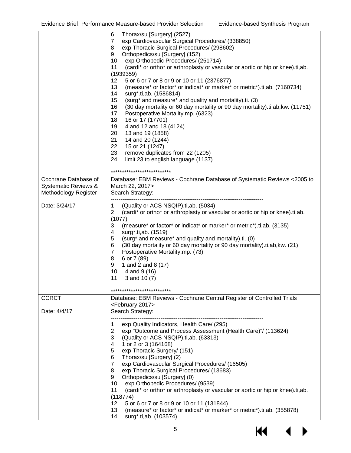|                                              | 6<br>Thorax/su [Surgery] (2527)<br>$\overline{7}$<br>exp Cardiovascular Surgical Procedures/ (338850)<br>exp Thoracic Surgical Procedures/ (298602)<br>8<br>Orthopedics/su [Surgery] (152)<br>9<br>10<br>exp Orthopedic Procedures/ (251714)<br>(cardi* or ortho* or arthroplasty or vascular or aortic or hip or knee).ti,ab.<br>11<br>(1939359)<br>12<br>5 or 6 or 7 or 8 or 9 or 10 or 11 (2376877)<br>(measure* or factor* or indicat* or marker* or metric*).ti,ab. (7160734)<br>13<br>14<br>surg*.ti,ab. (1586814)<br>15<br>(surg* and measure* and quality and mortality).ti. (3)<br>16<br>(30 day mortality or 60 day mortality or 90 day mortality).ti, ab, kw. (11751)<br>17<br>Postoperative Mortality.mp. (6323)<br>18<br>16 or 17 (17701)<br>19<br>4 and 12 and 18 (4124)<br>20<br>13 and 19 (1858)<br>21<br>14 and 20 (1244)<br>22<br>15 or 21 (1247)<br>23<br>remove duplicates from 22 (1205)<br>24<br>limit 23 to english language (1137) |
|----------------------------------------------|------------------------------------------------------------------------------------------------------------------------------------------------------------------------------------------------------------------------------------------------------------------------------------------------------------------------------------------------------------------------------------------------------------------------------------------------------------------------------------------------------------------------------------------------------------------------------------------------------------------------------------------------------------------------------------------------------------------------------------------------------------------------------------------------------------------------------------------------------------------------------------------------------------------------------------------------------------|
| Cochrane Database of                         | ***************************<br>Database: EBM Reviews - Cochrane Database of Systematic Reviews <2005 to                                                                                                                                                                                                                                                                                                                                                                                                                                                                                                                                                                                                                                                                                                                                                                                                                                                    |
| Systematic Reviews &<br>Methodology Register | March 22, 2017><br>Search Strategy:                                                                                                                                                                                                                                                                                                                                                                                                                                                                                                                                                                                                                                                                                                                                                                                                                                                                                                                        |
| Date: 3/24/17                                | 1<br>(Quality or ACS NSQIP).ti,ab. (5034)<br>$\overline{2}$<br>(cardi* or ortho* or arthroplasty or vascular or aortic or hip or knee).ti,ab.<br>(1077)<br>3<br>(measure* or factor* or indicat* or marker* or metric*).ti,ab. (3135)<br>4<br>surg*.ti,ab. (1519)<br>5<br>(surg* and measure* and quality and mortality).ti. (0)<br>6<br>(30 day mortality or 60 day mortality or 90 day mortality).ti, ab, kw. (21)<br>$\overline{7}$<br>Postoperative Mortality.mp. (73)<br>6 or 7 (89)<br>8<br>1 and 2 and 8 (17)<br>9<br>10<br>4 and 9 (16)<br>11<br>3 and 10 (7)<br>**************************                                                                                                                                                                                                                                                                                                                                                        |
| <b>CCRCT</b>                                 | Database: EBM Reviews - Cochrane Central Register of Controlled Trials                                                                                                                                                                                                                                                                                                                                                                                                                                                                                                                                                                                                                                                                                                                                                                                                                                                                                     |
| Date: 4/4/17                                 | <february 2017=""><br/>Search Strategy:</february>                                                                                                                                                                                                                                                                                                                                                                                                                                                                                                                                                                                                                                                                                                                                                                                                                                                                                                         |
|                                              | 1<br>exp Quality Indicators, Health Care/ (295)<br>exp "Outcome and Process Assessment (Health Care)"/ (113624)<br>$\overline{2}$<br>3<br>(Quality or ACS NSQIP).ti,ab. (63313)<br>1 or 2 or 3 (164168)<br>4<br>exp Thoracic Surgery/ (151)<br>5<br>Thorax/su [Surgery] (2)<br>6<br>$\overline{7}$<br>exp Cardiovascular Surgical Procedures/ (16505)<br>exp Thoracic Surgical Procedures/ (13683)<br>8<br>Orthopedics/su [Surgery] (0)<br>9<br>10<br>exp Orthopedic Procedures/ (9539)<br>(cardi* or ortho* or arthroplasty or vascular or aortic or hip or knee).ti,ab.<br>11<br>(118774)<br>12<br>5 or 6 or 7 or 8 or 9 or 10 or 11 (131844)<br>13<br>(measure* or factor* or indicat* or marker* or metric*).ti,ab. (355878)<br>14<br>surg*.ti,ab. (103574)                                                                                                                                                                                            |

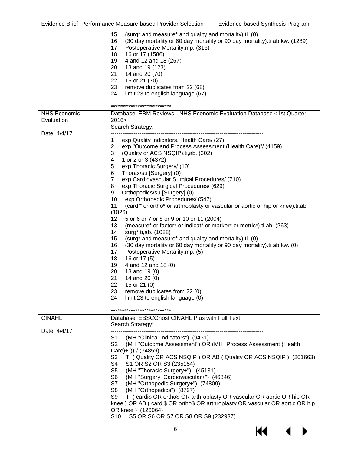|                                   | (surg* and measure* and quality and mortality).ti. (0)<br>15<br>16<br>(30 day mortality or 60 day mortality or 90 day mortality).ti, ab, kw. (1289)<br>17<br>Postoperative Mortality.mp. (316)<br>18<br>16 or 17 (1586)<br>19<br>4 and 12 and 18 (267)<br>20<br>13 and 19 (123)<br>21<br>14 and 20 (70)<br>22<br>15 or 21 (70)<br>23<br>remove duplicates from 22 (68)<br>24<br>limit 23 to english language (67)<br>***************************                                                                                                                                                                                                                                                                                                                                                                                                                                                                                                                                                                                                                                                                                                                                |
|-----------------------------------|---------------------------------------------------------------------------------------------------------------------------------------------------------------------------------------------------------------------------------------------------------------------------------------------------------------------------------------------------------------------------------------------------------------------------------------------------------------------------------------------------------------------------------------------------------------------------------------------------------------------------------------------------------------------------------------------------------------------------------------------------------------------------------------------------------------------------------------------------------------------------------------------------------------------------------------------------------------------------------------------------------------------------------------------------------------------------------------------------------------------------------------------------------------------------------|
| <b>NHS Economic</b><br>Evaluation | Database: EBM Reviews - NHS Economic Evaluation Database <1st Quarter<br>2016 ><br>Search Strategy:                                                                                                                                                                                                                                                                                                                                                                                                                                                                                                                                                                                                                                                                                                                                                                                                                                                                                                                                                                                                                                                                             |
| Date: 4/4/17                      | exp Quality Indicators, Health Care/ (27)<br>1<br>$\overline{2}$<br>exp "Outcome and Process Assessment (Health Care)"/ (4159)<br>3<br>(Quality or ACS NSQIP).ti,ab. (302)<br>4<br>1 or 2 or 3 (4372)<br>5<br>exp Thoracic Surgery/ (10)<br>6<br>Thorax/su [Surgery] (0)<br>$\overline{7}$<br>exp Cardiovascular Surgical Procedures/ (710)<br>exp Thoracic Surgical Procedures/ (629)<br>8<br>Orthopedics/su [Surgery] (0)<br>9<br>10<br>exp Orthopedic Procedures/ (547)<br>11<br>(cardi* or ortho* or arthroplasty or vascular or aortic or hip or knee).ti,ab.<br>(1026)<br>12<br>5 or 6 or 7 or 8 or 9 or 10 or 11 (2004)<br>13<br>(measure* or factor* or indicat* or marker* or metric*).ti,ab. (263)<br>14<br>surg*.ti,ab. (1088)<br>15<br>(surg* and measure* and quality and mortality).ti. (0)<br>16<br>(30 day mortality or 60 day mortality or 90 day mortality).ti, ab, kw. (0)<br>17<br>Postoperative Mortality.mp. (5)<br>18<br>16 or 17 (5)<br>19<br>4 and 12 and 18 (0)<br>20<br>13 and 19 (0)<br>21<br>14 and 20 (0)<br>22<br>15 or 21 $(0)$<br>23<br>remove duplicates from 22 (0)<br>limit 23 to english language (0)<br>24<br>*************************** |
| <b>CINAHL</b>                     | Database: EBSCOhost CINAHL Plus with Full Text<br>Search Strategy:                                                                                                                                                                                                                                                                                                                                                                                                                                                                                                                                                                                                                                                                                                                                                                                                                                                                                                                                                                                                                                                                                                              |
| Date: 4/4/17                      | S1<br>(MH "Clinical Indicators") (9431)<br>S <sub>2</sub><br>(MH "Outcome Assessment") OR (MH "Process Assessment (Health<br>Care)+"))"/ (34859)<br>S <sub>3</sub><br>TI (Quality OR ACS NSQIP) OR AB (Quality OR ACS NSQIP) (201663)<br>S4<br>S1 OR S2 OR S3 (235154)<br>(MH "Thoracic Surgery+") (45131)<br>S5<br>S6<br>(MH "Surgery, Cardiovascular+") (46846)<br>S7<br>(MH "Orthopedic Surgery+") (74809)<br>S8<br>(MH "Orthopedics") (8797)<br>S9<br>TI (cardi\$ OR ortho\$ OR arthroplasty OR vascular OR aortic OR hip OR<br>knee) OR AB (cardi\$ OR ortho\$ OR arthroplasty OR vascular OR aortic OR hip<br>OR knee ) (126064)<br>S10<br>S5 OR S6 OR S7 OR S8 OR S9 (232937)                                                                                                                                                                                                                                                                                                                                                                                                                                                                                            |

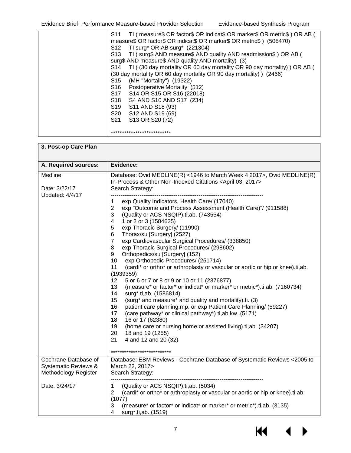| TI ( measure \$ OR factor \$ OR indicat \$ OR marker \$ OR metric \$ ) OR AB (<br>S <sub>11</sub> |
|---------------------------------------------------------------------------------------------------|
| measure\$ OR factor\$ OR indicat\$ OR marker\$ OR metric\$ ) (505470)                             |
| TI surg* OR AB surg* $(221304)$<br>S <sub>12</sub>                                                |
| TI (surg\$ AND measure\$ AND quality AND readmission\$) OR AB (<br>S13                            |
| surg\$ AND measure\$ AND quality AND mortality) (3)                                               |
| TI ((30 day mortality OR 60 day mortality OR 90 day mortality)) OR AB (<br>S14                    |
| (30 day mortality OR 60 day mortality OR 90 day mortality) ) (2466)                               |
| S <sub>15</sub><br>(MH "Mortality") (19322)                                                       |
| Postoperative Mortality (512)<br>S <sub>16</sub>                                                  |
| S17<br>S14 OR S15 OR S16 (22018)                                                                  |
| S18<br>S4 AND S10 AND S17 (234)                                                                   |
| S19<br>S11 AND S18 (93)                                                                           |
| S20<br>S12 AND S19 (69)                                                                           |
| S <sub>21</sub><br>S13 OR S20 (72)                                                                |
|                                                                                                   |
| ***************************                                                                       |

| 3. Post-op Care Plan                                                            |                                                                                                                                                                                                                                                                                                                                                                                                                                                                                                                                                                                                                                                                                                                                                                                                                                                                                                                                                                                                                                                                                                                                                                                                    |
|---------------------------------------------------------------------------------|----------------------------------------------------------------------------------------------------------------------------------------------------------------------------------------------------------------------------------------------------------------------------------------------------------------------------------------------------------------------------------------------------------------------------------------------------------------------------------------------------------------------------------------------------------------------------------------------------------------------------------------------------------------------------------------------------------------------------------------------------------------------------------------------------------------------------------------------------------------------------------------------------------------------------------------------------------------------------------------------------------------------------------------------------------------------------------------------------------------------------------------------------------------------------------------------------|
| A. Required sources:                                                            | Evidence:                                                                                                                                                                                                                                                                                                                                                                                                                                                                                                                                                                                                                                                                                                                                                                                                                                                                                                                                                                                                                                                                                                                                                                                          |
| Medline<br>Date: 3/22/17                                                        | Database: Ovid MEDLINE(R) <1946 to March Week 4 2017>, Ovid MEDLINE(R)<br>In-Process & Other Non-Indexed Citations <april 03,="" 2017=""><br/>Search Strategy:</april>                                                                                                                                                                                                                                                                                                                                                                                                                                                                                                                                                                                                                                                                                                                                                                                                                                                                                                                                                                                                                             |
| <b>Updated: 4/4/17</b>                                                          | exp Quality Indicators, Health Care/ (17040)<br>1<br>$\overline{2}$<br>exp "Outcome and Process Assessment (Health Care)"/ (911588)<br>3<br>(Quality or ACS NSQIP).ti, ab. (743554)<br>1 or 2 or 3 (1584625)<br>4<br>5<br>exp Thoracic Surgery/ (11990)<br>Thorax/su [Surgery] (2527)<br>6<br>exp Cardiovascular Surgical Procedures/ (338850)<br>$\overline{7}$<br>exp Thoracic Surgical Procedures/ (298602)<br>8<br>Orthopedics/su [Surgery] (152)<br>9<br>exp Orthopedic Procedures/ (251714)<br>10<br>(cardi* or ortho* or arthroplasty or vascular or aortic or hip or knee).ti,ab.<br>11<br>(1939359)<br>12 <sub>2</sub><br>5 or 6 or 7 or 8 or 9 or 10 or 11 (2376877)<br>(measure* or factor* or indicat* or marker* or metric*).ti,ab. (7160734)<br>13<br>14<br>surg*.ti,ab. (1586814)<br>15<br>(surg* and measure* and quality and mortality).ti. (3)<br>patient care planning.mp. or exp Patient Care Planning/ (59227)<br>16<br>17<br>(care pathway* or clinical pathway*).ti,ab, kw. (5171)<br>18<br>16 or 17 (62380)<br>19<br>(home care or nursing home or assisted living) ti, ab. (34207)<br>20<br>18 and 19 (1255)<br>21<br>4 and 12 and 20 (32)<br>*************************** |
| Cochrane Database of<br><b>Systematic Reviews &amp;</b><br>Methodology Register | Database: EBM Reviews - Cochrane Database of Systematic Reviews <2005 to<br>March 22, 2017><br>Search Strategy:                                                                                                                                                                                                                                                                                                                                                                                                                                                                                                                                                                                                                                                                                                                                                                                                                                                                                                                                                                                                                                                                                    |
| Date: 3/24/17                                                                   | (Quality or ACS NSQIP).ti,ab. (5034)<br>1<br>(cardi* or ortho* or arthroplasty or vascular or aortic or hip or knee).ti,ab.<br>2<br>(1077)<br>3<br>(measure* or factor* or indicat* or marker* or metric*).ti,ab. (3135)<br>4<br>surg*.ti,ab. (1519)                                                                                                                                                                                                                                                                                                                                                                                                                                                                                                                                                                                                                                                                                                                                                                                                                                                                                                                                               |

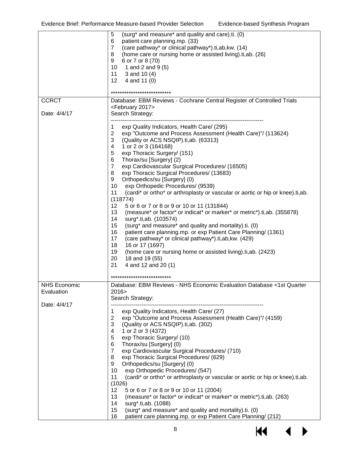|                                   | (surg* and measure* and quality and care).ti. (0)<br>5<br>patient care planning.mp. (33)<br>6<br>(care pathway* or clinical pathway*).ti, ab, kw. (14)<br>$\overline{7}$<br>(home care or nursing home or assisted living) ti, ab. (26)<br>8<br>6 or 7 or 8 (70)<br>9<br>1 and 2 and 9 (5)<br>10<br>11<br>3 and 10 (4)<br>12<br>4 and 11 (0)<br>***************************                                                                                                                                                                                                                                                                                                                                                                                                                                                                                                                                                                                                                                                                                                                                                                                 |
|-----------------------------------|-------------------------------------------------------------------------------------------------------------------------------------------------------------------------------------------------------------------------------------------------------------------------------------------------------------------------------------------------------------------------------------------------------------------------------------------------------------------------------------------------------------------------------------------------------------------------------------------------------------------------------------------------------------------------------------------------------------------------------------------------------------------------------------------------------------------------------------------------------------------------------------------------------------------------------------------------------------------------------------------------------------------------------------------------------------------------------------------------------------------------------------------------------------|
| <b>CCRCT</b>                      | Database: EBM Reviews - Cochrane Central Register of Controlled Trials                                                                                                                                                                                                                                                                                                                                                                                                                                                                                                                                                                                                                                                                                                                                                                                                                                                                                                                                                                                                                                                                                      |
| Date: 4/4/17                      | <february 2017=""><br/>Search Strategy:</february>                                                                                                                                                                                                                                                                                                                                                                                                                                                                                                                                                                                                                                                                                                                                                                                                                                                                                                                                                                                                                                                                                                          |
|                                   | exp Quality Indicators, Health Care/ (295)<br>1<br>$\overline{2}$<br>exp "Outcome and Process Assessment (Health Care)"/ (113624)<br>3<br>(Quality or ACS NSQIP).ti,ab. (63313)<br>1 or 2 or 3 (164168)<br>4<br>exp Thoracic Surgery/ (151)<br>5<br>Thorax/su [Surgery] (2)<br>6<br>$\overline{7}$<br>exp Cardiovascular Surgical Procedures/ (16505)<br>exp Thoracic Surgical Procedures/ (13683)<br>8<br>9<br>Orthopedics/su [Surgery] (0)<br>10<br>exp Orthopedic Procedures/ (9539)<br>11<br>(cardi* or ortho* or arthroplasty or vascular or aortic or hip or knee).ti,ab.<br>(118774)<br>12<br>5 or 6 or 7 or 8 or 9 or 10 or 11 (131844)<br>(measure* or factor* or indicat* or marker* or metric*).ti,ab. (355878)<br>13<br>14<br>surg*.ti,ab. (103574)<br>(surg* and measure* and quality and mortality).ti. (0)<br>15<br>16<br>patient care planning.mp. or exp Patient Care Planning/ (1361)<br>17<br>(care pathway* or clinical pathway*).ti,ab, kw. (429)<br>18<br>16 or 17 (1697)<br>19<br>(home care or nursing home or assisted living).ti, ab. (2423)<br>20<br>18 and 19 (55)<br>21<br>4 and 12 and 20 (1)<br>**************************** |
| <b>NHS Economic</b><br>Evaluation | Database: EBM Reviews - NHS Economic Evaluation Database <1st Quarter<br>2016><br>Search Strategy:                                                                                                                                                                                                                                                                                                                                                                                                                                                                                                                                                                                                                                                                                                                                                                                                                                                                                                                                                                                                                                                          |
| Date: 4/4/17                      | exp Quality Indicators, Health Care/ (27)<br>1<br>$\overline{2}$<br>exp "Outcome and Process Assessment (Health Care)"/ (4159)<br>3<br>(Quality or ACS NSQIP).ti,ab. (302)<br>1 or 2 or 3 (4372)<br>4<br>5<br>exp Thoracic Surgery/ (10)<br>Thorax/su [Surgery] (0)<br>6<br>$\overline{7}$<br>exp Cardiovascular Surgical Procedures/ (710)<br>8<br>exp Thoracic Surgical Procedures/ (629)<br>9<br>Orthopedics/su [Surgery] (0)<br>exp Orthopedic Procedures/ (547)<br>10<br>(cardi* or ortho* or arthroplasty or vascular or aortic or hip or knee).ti,ab.<br>11<br>(1026)<br>5 or 6 or 7 or 8 or 9 or 10 or 11 (2004)<br>$12 \overline{ }$<br>(measure* or factor* or indicat* or marker* or metric*).ti,ab. (263)<br>13<br>14<br>surg*.ti,ab. (1088)<br>(surg* and measure* and quality and mortality).ti. (0)<br>15<br>16<br>patient care planning.mp. or exp Patient Care Planning/ (212)                                                                                                                                                                                                                                                             |

 $M \rightarrow$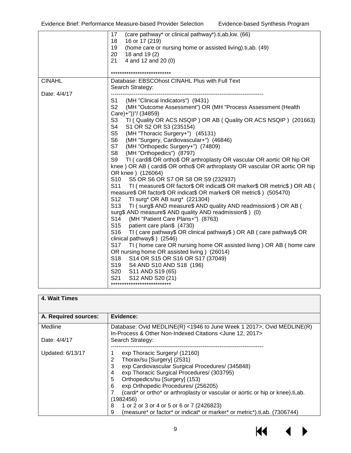|               | (care pathway* or clinical pathway*).ti,ab, kw. (66)<br>17                                  |
|---------------|---------------------------------------------------------------------------------------------|
|               | 18<br>16 or 17 (219)                                                                        |
|               | 19<br>(home care or nursing home or assisted living).ti, ab. (49)                           |
|               | 20<br>18 and 19 (2)                                                                         |
|               | 4 and 12 and 20 (0)<br>21                                                                   |
|               |                                                                                             |
|               | ***************************                                                                 |
| <b>CINAHL</b> | Database: EBSCOhost CINAHL Plus with Full Text                                              |
|               | Search Strategy:                                                                            |
| Date: 4/4/17  |                                                                                             |
|               | S1<br>(MH "Clinical Indicators") (9431)                                                     |
|               | S <sub>2</sub><br>(MH "Outcome Assessment") OR (MH "Process Assessment (Health              |
|               | Care)+"))"/ (34859)                                                                         |
|               | S3<br>TI (Quality OR ACS NSQIP) OR AB (Quality OR ACS NSQIP) (201663)                       |
|               | S4<br>S1 OR S2 OR S3 (235154)                                                               |
|               | S <sub>5</sub><br>(MH "Thoracic Surgery+") (45131)                                          |
|               | S <sub>6</sub><br>(MH "Surgery, Cardiovascular+") (46846)                                   |
|               | S7<br>(MH "Orthopedic Surgery+") (74809)                                                    |
|               | S8<br>(MH "Orthopedics") (8797)                                                             |
|               | S9<br>TI ( cardi\$ OR ortho\$ OR arthroplasty OR vascular OR aortic OR hip OR               |
|               |                                                                                             |
|               | knee) OR AB (cardi\$ OR ortho\$ OR arthroplasty OR vascular OR aortic OR hip                |
|               | OR knee ) (126064)                                                                          |
|               | S <sub>10</sub><br>S5 OR S6 OR S7 OR S8 OR S9 (232937)                                      |
|               | S <sub>11</sub><br>TI ( measure\$ OR factor\$ OR indicat\$ OR marker\$ OR metric\$) OR AB ( |
|               | measure\$ OR factor\$ OR indicat\$ OR marker\$ OR metric\$) (505470)                        |
|               | TI surg* OR AB surg* (221304)<br>S <sub>12</sub>                                            |
|               | S <sub>13</sub><br>TI (surg\$ AND measure\$ AND quality AND readmission\$) OR AB (          |
|               | surg\$ AND measure\$ AND quality AND readmission\$ ) (0)                                    |
|               | S <sub>14</sub><br>(MH "Patient Care Plans+") (8763)                                        |
|               | S <sub>15</sub><br>patient care plan\$ (4730)                                               |
|               | S <sub>16</sub><br>TI ( care pathway\$ OR clinical pathway\$) OR AB ( care pathway\$ OR     |
|               | clinical pathway\$) (2546)                                                                  |
|               | S <sub>17</sub><br>TI (home care OR nursing home OR assisted living) OR AB (home care       |
|               | OR nursing home OR assisted living ) (26014)                                                |
|               | S <sub>18</sub><br>S14 OR S15 OR S16 OR S17 (37049)                                         |
|               | S <sub>19</sub><br>S4 AND S10 AND S18 (196)                                                 |
|               | S20<br>S11 AND S19 (65)                                                                     |
|               | S <sub>21</sub><br>S12 AND S20 (21)                                                         |
|               | ***************************                                                                 |
|               |                                                                                             |

#### **4. Wait Times**

| A. Required sources: | Evidence:                                                                                                                                                                                                                                                                                                                                                                                                    |
|----------------------|--------------------------------------------------------------------------------------------------------------------------------------------------------------------------------------------------------------------------------------------------------------------------------------------------------------------------------------------------------------------------------------------------------------|
| Medline              | Database: Ovid MEDLINE(R) <1946 to June Week 1 2017>, Ovid MEDLINE(R)<br>In-Process & Other Non-Indexed Citations < June 12, 2017>                                                                                                                                                                                                                                                                           |
| Date: 4/4/17         | Search Strategy:                                                                                                                                                                                                                                                                                                                                                                                             |
| Updated: 6/13/17     | exp Thoracic Surgery/ (12160)<br>Thorax/su [Surgery] (2531)<br>exp Cardiovascular Surgical Procedures/ (345848)<br>3<br>exp Thoracic Surgical Procedures/ (303795)<br>4<br>Orthopedics/su [Surgery] (153)<br>5<br>exp Orthopedic Procedures/ (256205)<br>6<br>(cardi* or ortho* or arthroplasty or vascular or aortic or hip or knee).ti, ab.<br>(1982456)<br>1 or 2 or 3 or 4 or 5 or 6 or 7 (2426823)<br>8 |
|                      | (measure* or factor* or indicat* or marker* or metric*).ti,ab. (7306744)<br>9                                                                                                                                                                                                                                                                                                                                |



▶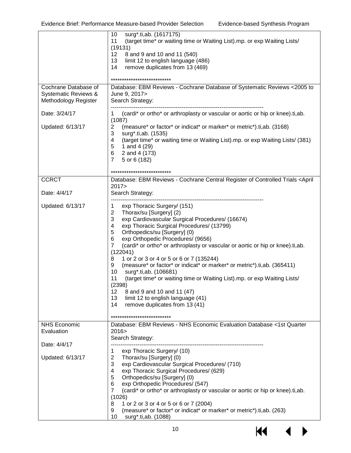|                                                                      | surg*.ti,ab. (1617175)<br>10<br>(target time* or waiting time or Waiting List).mp. or exp Waiting Lists/<br>11                                                                                                                                                                                                                                                                                                                                                                                                                                                                                                                                                                                                                                                                                          |
|----------------------------------------------------------------------|---------------------------------------------------------------------------------------------------------------------------------------------------------------------------------------------------------------------------------------------------------------------------------------------------------------------------------------------------------------------------------------------------------------------------------------------------------------------------------------------------------------------------------------------------------------------------------------------------------------------------------------------------------------------------------------------------------------------------------------------------------------------------------------------------------|
|                                                                      | (19131)<br>12<br>8 and 9 and 10 and 11 (540)<br>13<br>limit 12 to english language (486)<br>14<br>remove duplicates from 13 (469)                                                                                                                                                                                                                                                                                                                                                                                                                                                                                                                                                                                                                                                                       |
|                                                                      | **************************                                                                                                                                                                                                                                                                                                                                                                                                                                                                                                                                                                                                                                                                                                                                                                              |
| Cochrane Database of<br>Systematic Reviews &<br>Methodology Register | Database: EBM Reviews - Cochrane Database of Systematic Reviews <2005 to<br>June 9, 2017><br>Search Strategy:                                                                                                                                                                                                                                                                                                                                                                                                                                                                                                                                                                                                                                                                                           |
| Date: 3/24/17                                                        | (cardi* or ortho* or arthroplasty or vascular or aortic or hip or knee).ti,ab.<br>1<br>(1087)                                                                                                                                                                                                                                                                                                                                                                                                                                                                                                                                                                                                                                                                                                           |
| Updated: 6/13/17                                                     | $\overline{2}$<br>(measure* or factor* or indicat* or marker* or metric*).ti,ab. (3168)<br>3<br>surg*.ti,ab. (1535)<br>(target time* or waiting time or Waiting List).mp. or exp Waiting Lists/ (381)<br>4<br>5<br>1 and 4 (29)<br>2 and 4 (173)<br>6<br>$\overline{7}$<br>5 or 6 (182)                                                                                                                                                                                                                                                                                                                                                                                                                                                                                                                 |
|                                                                      | ***************************                                                                                                                                                                                                                                                                                                                                                                                                                                                                                                                                                                                                                                                                                                                                                                             |
| <b>CCRCT</b><br>Date: 4/4/17                                         | Database: EBM Reviews - Cochrane Central Register of Controlled Trials <april<br>2017<br/>Search Strategy:</april<br>                                                                                                                                                                                                                                                                                                                                                                                                                                                                                                                                                                                                                                                                                   |
| Updated: 6/13/17                                                     | exp Thoracic Surgery/ (151)<br>1<br>$\overline{2}$<br>Thorax/su [Surgery] (2)<br>3<br>exp Cardiovascular Surgical Procedures/ (16674)<br>4<br>exp Thoracic Surgical Procedures/ (13799)<br>5<br>Orthopedics/su [Surgery] (0)<br>6<br>exp Orthopedic Procedures/ (9656)<br>(cardi* or ortho* or arthroplasty or vascular or aortic or hip or knee).ti,ab.<br>$\overline{7}$<br>(122041)<br>1 or 2 or 3 or 4 or 5 or 6 or 7 (135244)<br>8<br>(measure* or factor* or indicat* or marker* or metric*).ti,ab. (365411)<br>9<br>surg*.ti,ab. (106681)<br>10<br>(target time* or waiting time or Waiting List).mp. or exp Waiting Lists/<br>11<br>(2398)<br>12<br>8 and 9 and 10 and 11 (47)<br>13<br>limit 12 to english language (41)<br>14<br>remove duplicates from 13 (41)<br>************************** |
| <b>NHS Economic</b><br>Evaluation                                    | Database: EBM Reviews - NHS Economic Evaluation Database <1st Quarter<br>2016 ><br>Search Strategy:                                                                                                                                                                                                                                                                                                                                                                                                                                                                                                                                                                                                                                                                                                     |
| Date: 4/4/17                                                         | exp Thoracic Surgery/ (10)<br>1                                                                                                                                                                                                                                                                                                                                                                                                                                                                                                                                                                                                                                                                                                                                                                         |
| Updated: 6/13/17                                                     | $\overline{c}$<br>Thorax/su [Surgery] (0)<br>3<br>exp Cardiovascular Surgical Procedures/ (710)<br>4<br>exp Thoracic Surgical Procedures/ (629)<br>5<br>Orthopedics/su [Surgery] (0)<br>6<br>exp Orthopedic Procedures/ (547)<br>$\overline{7}$<br>(cardi* or ortho* or arthroplasty or vascular or aortic or hip or knee).ti,ab.<br>(1026)<br>8<br>1 or 2 or 3 or 4 or 5 or 6 or 7 (2004)<br>(measure* or factor* or indicat* or marker* or metric*).ti,ab. (263)<br>9<br>10<br>surg*.ti,ab. (1088)                                                                                                                                                                                                                                                                                                    |
|                                                                      | 10                                                                                                                                                                                                                                                                                                                                                                                                                                                                                                                                                                                                                                                                                                                                                                                                      |

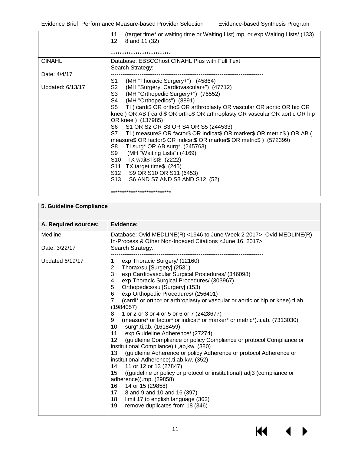|                  | (target time* or waiting time or Waiting List).mp. or exp Waiting Lists/ (133)<br>11<br>12<br>8 and 11 (32)<br>***************************                                                                                                                                                                                                                                                                                                                                                                                                                                                                                                                                                                                                                                    |
|------------------|-------------------------------------------------------------------------------------------------------------------------------------------------------------------------------------------------------------------------------------------------------------------------------------------------------------------------------------------------------------------------------------------------------------------------------------------------------------------------------------------------------------------------------------------------------------------------------------------------------------------------------------------------------------------------------------------------------------------------------------------------------------------------------|
| <b>CINAHL</b>    | Database: EBSCOhost CINAHL Plus with Full Text<br>Search Strategy:                                                                                                                                                                                                                                                                                                                                                                                                                                                                                                                                                                                                                                                                                                            |
| Date: 4/4/17     |                                                                                                                                                                                                                                                                                                                                                                                                                                                                                                                                                                                                                                                                                                                                                                               |
| Updated: 6/13/17 | S1 -<br>(MH "Thoracic Surgery+") (45864)<br>S2<br>(MH "Surgery, Cardiovascular+") (47712)<br>S3<br>(MH "Orthopedic Surgery+") (76552)<br>S4 l<br>(MH "Orthopedics") (8891)<br>S5 TI ( cardi\$ OR ortho\$ OR arthroplasty OR vascular OR aortic OR hip OR<br>knee) OR AB (cardi\$ OR ortho\$ OR arthroplasty OR vascular OR aortic OR hip<br>OR knee ) (137985)<br>S6 S1 OR S2 OR S3 OR S4 OR S5 (244533)<br>S7 TI (measure\$ OR factor\$ OR indicat\$ OR marker\$ OR metric\$) OR AB (<br>measure\$ OR factor\$ OR indicat\$ OR marker\$ OR metric\$) (572399)<br>S8<br>TI surg* OR AB surg* $(245763)$<br>S9<br>(MH "Waiting Lists") (4169)<br>S10 TX wait\$ list\$ (2222)<br>S11 TX target time\$ (245)<br>S12 S9 OR S10 OR S11 (6453)<br>S13 S6 AND S7 AND S8 AND S12 (52) |
|                  | ***************************                                                                                                                                                                                                                                                                                                                                                                                                                                                                                                                                                                                                                                                                                                                                                   |

| 5. Guideline Compliance |                                                                                                                                                                                                                                                                                                                                                                                                                                                                                                                                                                                                                                                                                                                                                                                                                                                                                                                                                                                                                                                                                                                                                                          |
|-------------------------|--------------------------------------------------------------------------------------------------------------------------------------------------------------------------------------------------------------------------------------------------------------------------------------------------------------------------------------------------------------------------------------------------------------------------------------------------------------------------------------------------------------------------------------------------------------------------------------------------------------------------------------------------------------------------------------------------------------------------------------------------------------------------------------------------------------------------------------------------------------------------------------------------------------------------------------------------------------------------------------------------------------------------------------------------------------------------------------------------------------------------------------------------------------------------|
| A. Required sources:    | Evidence:                                                                                                                                                                                                                                                                                                                                                                                                                                                                                                                                                                                                                                                                                                                                                                                                                                                                                                                                                                                                                                                                                                                                                                |
| Medline                 | Database: Ovid MEDLINE(R) <1946 to June Week 2 2017>, Ovid MEDLINE(R)<br>In-Process & Other Non-Indexed Citations < June 16, 2017>                                                                                                                                                                                                                                                                                                                                                                                                                                                                                                                                                                                                                                                                                                                                                                                                                                                                                                                                                                                                                                       |
| Date: 3/22/17           | Search Strategy:                                                                                                                                                                                                                                                                                                                                                                                                                                                                                                                                                                                                                                                                                                                                                                                                                                                                                                                                                                                                                                                                                                                                                         |
| Updated 6/19/17         | exp Thoracic Surgery/ (12160)<br>1<br>2<br>Thorax/su [Surgery] (2531)<br>3<br>exp Cardiovascular Surgical Procedures/ (346098)<br>exp Thoracic Surgical Procedures/ (303967)<br>4<br>5<br>Orthopedics/su [Surgery] (153)<br>6<br>exp Orthopedic Procedures/ (256401)<br>$\overline{7}$<br>(cardi* or ortho* or arthroplasty or vascular or aortic or hip or knee).ti,ab.<br>(1984057)<br>1 or 2 or 3 or 4 or 5 or 6 or 7 (2428677)<br>8<br>(measure* or factor* or indicat* or marker* or metric*).ti,ab. (7313030)<br>9<br>10 surg <sup>*</sup> .ti,ab. (1618459)<br>11 exp Guideline Adherence/ (27274)<br>12 <sub>2</sub><br>(guidleine Compliance or policy Compliance or protocol Compliance or<br>institutional Compliance).ti,ab, kw. (380)<br>(guidleine Adherence or policy Adherence or protocol Adherence or<br>13<br>institutional Adherence).ti, ab, kw. (352)<br>11 or 12 or 13 (27847)<br>14<br>15<br>((guideline or policy or protocol or institutional) adj3 (compliance or<br>adherence)).mp. (29858)<br>14 or 15 (29858)<br>16<br>17 8 and 9 and 10 and 16 (397)<br>limit 17 to english language (363)<br>18<br>19<br>remove duplicates from 18 (346) |

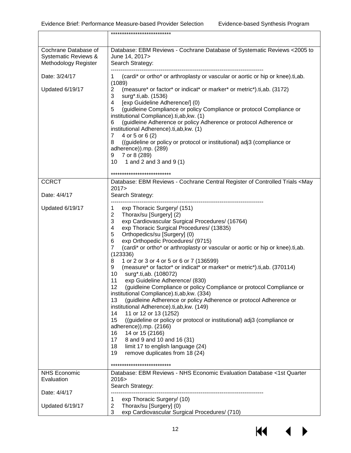|                                                                      | ***************************                                                                                                                                                                                                                                                                                                                                                                                                                                                                                                                                                                                                                                                                                                                                                                                                                                                                                                                                                                                                                                                                                                                                              |
|----------------------------------------------------------------------|--------------------------------------------------------------------------------------------------------------------------------------------------------------------------------------------------------------------------------------------------------------------------------------------------------------------------------------------------------------------------------------------------------------------------------------------------------------------------------------------------------------------------------------------------------------------------------------------------------------------------------------------------------------------------------------------------------------------------------------------------------------------------------------------------------------------------------------------------------------------------------------------------------------------------------------------------------------------------------------------------------------------------------------------------------------------------------------------------------------------------------------------------------------------------|
| Cochrane Database of<br>Systematic Reviews &<br>Methodology Register | Database: EBM Reviews - Cochrane Database of Systematic Reviews <2005 to<br>June 14, 2017><br>Search Strategy:                                                                                                                                                                                                                                                                                                                                                                                                                                                                                                                                                                                                                                                                                                                                                                                                                                                                                                                                                                                                                                                           |
| Date: 3/24/17                                                        | (cardi* or ortho* or arthroplasty or vascular or aortic or hip or knee).ti,ab.<br>1                                                                                                                                                                                                                                                                                                                                                                                                                                                                                                                                                                                                                                                                                                                                                                                                                                                                                                                                                                                                                                                                                      |
| Updated 6/19/17                                                      | (1089)<br>(measure* or factor* or indicat* or marker* or metric*).ti,ab. (3172)<br>2<br>surg*.ti,ab. (1536)<br>3<br>[exp Guideline Adherence/] (0)<br>4<br>(guidleine Compliance or policy Compliance or protocol Compliance or<br>5<br>institutional Compliance).ti,ab, kw. (1)<br>(guidleine Adherence or policy Adherence or protocol Adherence or<br>6<br>institutional Adherence).ti,ab, kw. (1)<br>4 or 5 or 6 (2)<br>$\overline{7}$<br>((guideline or policy or protocol or institutional) adj3 (compliance or<br>8<br>adherence)).mp. (289)<br>7 or 8 (289)<br>9<br>10<br>1 and 2 and 3 and $9(1)$                                                                                                                                                                                                                                                                                                                                                                                                                                                                                                                                                               |
|                                                                      | ***************************                                                                                                                                                                                                                                                                                                                                                                                                                                                                                                                                                                                                                                                                                                                                                                                                                                                                                                                                                                                                                                                                                                                                              |
| <b>CCRCT</b><br>Date: 4/4/17                                         | Database: EBM Reviews - Cochrane Central Register of Controlled Trials <may<br>2017<br/>Search Strategy:</may<br>                                                                                                                                                                                                                                                                                                                                                                                                                                                                                                                                                                                                                                                                                                                                                                                                                                                                                                                                                                                                                                                        |
| Updated 6/19/17                                                      | exp Thoracic Surgery/ (151)<br>1<br>Thorax/su [Surgery] (2)<br>$\overline{2}$<br>3<br>exp Cardiovascular Surgical Procedures/ (16764)<br>4<br>exp Thoracic Surgical Procedures/ (13835)<br>5<br>Orthopedics/su [Surgery] (0)<br>6<br>exp Orthopedic Procedures/ (9715)<br>$\overline{7}$<br>(cardi* or ortho* or arthroplasty or vascular or aortic or hip or knee).ti,ab.<br>(123336)<br>1 or 2 or 3 or 4 or 5 or 6 or 7 (136599)<br>8<br>(measure* or factor* or indicat* or marker* or metric*).ti,ab. (370114)<br>9<br>surg*.ti,ab. (108072)<br>10<br>exp Guideline Adherence/ (830)<br>11<br>12<br>(guidleine Compliance or policy Compliance or protocol Compliance or<br>institutional Compliance).ti,ab, kw. (334)<br>13<br>(guidleine Adherence or policy Adherence or protocol Adherence or<br>institutional Adherence).ti,ab, kw. (149)<br>11 or 12 or 13 (1252)<br>14<br>15<br>((guideline or policy or protocol or institutional) adj3 (compliance or<br>adherence)).mp. (2166)<br>14 or 15 (2166)<br>16<br>17 8 and 9 and 10 and 16 (31)<br>18<br>limit 17 to english language (24)<br>19<br>remove duplicates from 18 (24)<br>*************************** |
| <b>NHS Economic</b><br>Evaluation                                    | Database: EBM Reviews - NHS Economic Evaluation Database <1st Quarter<br>2016 >                                                                                                                                                                                                                                                                                                                                                                                                                                                                                                                                                                                                                                                                                                                                                                                                                                                                                                                                                                                                                                                                                          |
| Date: 4/4/17                                                         | Search Strategy:                                                                                                                                                                                                                                                                                                                                                                                                                                                                                                                                                                                                                                                                                                                                                                                                                                                                                                                                                                                                                                                                                                                                                         |
| Updated 6/19/17                                                      | exp Thoracic Surgery/ (10)<br>1<br>$\overline{2}$<br>Thorax/su [Surgery] (0)<br>exp Cardiovascular Surgical Procedures/ (710)<br>3                                                                                                                                                                                                                                                                                                                                                                                                                                                                                                                                                                                                                                                                                                                                                                                                                                                                                                                                                                                                                                       |

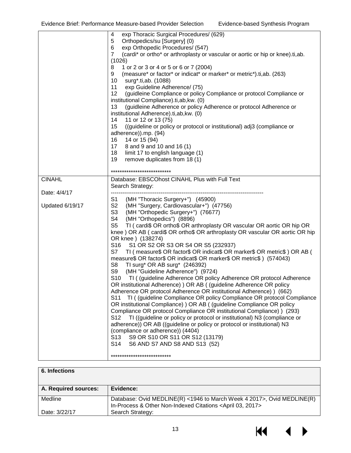| exp Thoracic Surgical Procedures/ (629)<br>4<br>5<br>Orthopedics/su [Surgery] (0)<br>exp Orthopedic Procedures/ (547)<br>6<br>$\overline{7}$<br>(cardi* or ortho* or arthroplasty or vascular or aortic or hip or knee).ti,ab.<br>(1026)<br>8<br>1 or 2 or 3 or 4 or 5 or 6 or 7 (2004)<br>(measure* or factor* or indicat* or marker* or metric*).ti,ab. (263)<br>9<br>10<br>surg*.ti,ab. (1088)<br>11<br>exp Guideline Adherence/ (75)<br>12<br>(guidleine Compliance or policy Compliance or protocol Compliance or<br>institutional Compliance).ti,ab, kw. (0)<br>13<br>(guidleine Adherence or policy Adherence or protocol Adherence or<br>institutional Adherence).ti,ab, kw. (0)<br>11 or 12 or 13 (75)<br>14<br>15<br>((guideline or policy or protocol or institutional) adj3 (compliance or<br>adherence)).mp. (94)<br>14 or 15 (94)<br>16<br>17 8 and 9 and 10 and 16 (1)<br>18<br>limit 17 to english language (1)<br>remove duplicates from 18 (1)<br>19<br>***************************<br><b>CINAHL</b><br>Database: EBSCOhost CINAHL Plus with Full Text<br>Search Strategy:<br>Date: 4/4/17<br>S1 (MH "Thoracic Surgery+") (45900)<br>S2 (MH "Surgery, Cardiovascular+") (47756)<br>Updated 6/19/17<br>S3<br>(MH "Orthopedic Surgery+") (76677)<br>S4<br>(MH "Orthopedics") (8896)<br>S <sub>5</sub><br>OR knee ) (138274)<br>S1 OR S2 OR S3 OR S4 OR S5 (232937)<br>S16<br>S7<br>measure\$ OR factor\$ OR indicat\$ OR marker\$ OR metric\$) (574043)<br>S8<br>TI surg* OR AB surg* $(246392)$<br>S9<br>(MH "Guideline Adherence") (9724)<br>OR institutional Adherence) ) OR AB ( (guideline Adherence OR policy<br>Adherence OR protocol Adherence OR institutional Adherence) ) (662)<br>S11<br>OR institutional Compliance) ) OR AB ( (guideline Compliance OR policy<br>Compliance OR protocol Compliance OR institutional Compliance) ) (293)<br>S <sub>12</sub><br>TI ((guideline or policy or protocol or institutional) N3 (compliance or<br>adherence)) OR AB ((guideline or policy or protocol or institutional) N3<br>(compliance or adherence)) (4404)<br>S9 OR S10 OR S11 OR S12 (13179)<br>S <sub>13</sub> |                                                                                                                                                                                                                                                                                                                                                                                        |  |
|---------------------------------------------------------------------------------------------------------------------------------------------------------------------------------------------------------------------------------------------------------------------------------------------------------------------------------------------------------------------------------------------------------------------------------------------------------------------------------------------------------------------------------------------------------------------------------------------------------------------------------------------------------------------------------------------------------------------------------------------------------------------------------------------------------------------------------------------------------------------------------------------------------------------------------------------------------------------------------------------------------------------------------------------------------------------------------------------------------------------------------------------------------------------------------------------------------------------------------------------------------------------------------------------------------------------------------------------------------------------------------------------------------------------------------------------------------------------------------------------------------------------------------------------------------------------------------------------------------------------------------------------------------------------------------------------------------------------------------------------------------------------------------------------------------------------------------------------------------------------------------------------------------------------------------------------------------------------------------------------------------------------------------------------------------------------------------------------------------------------------------------------|----------------------------------------------------------------------------------------------------------------------------------------------------------------------------------------------------------------------------------------------------------------------------------------------------------------------------------------------------------------------------------------|--|
|                                                                                                                                                                                                                                                                                                                                                                                                                                                                                                                                                                                                                                                                                                                                                                                                                                                                                                                                                                                                                                                                                                                                                                                                                                                                                                                                                                                                                                                                                                                                                                                                                                                                                                                                                                                                                                                                                                                                                                                                                                                                                                                                             |                                                                                                                                                                                                                                                                                                                                                                                        |  |
| S <sub>14</sub><br>S6 AND S7 AND S8 AND S13 (52)<br>***************************                                                                                                                                                                                                                                                                                                                                                                                                                                                                                                                                                                                                                                                                                                                                                                                                                                                                                                                                                                                                                                                                                                                                                                                                                                                                                                                                                                                                                                                                                                                                                                                                                                                                                                                                                                                                                                                                                                                                                                                                                                                             | TI (cardi\$ OR ortho\$ OR arthroplasty OR vascular OR aortic OR hip OR<br>knee) OR AB (cardi\$ OR ortho\$ OR arthroplasty OR vascular OR aortic OR hip<br>TI (measure\$ OR factor\$ OR indicat\$ OR marker\$ OR metric\$) OR AB (<br>S10 TI ( (guideline Adherence OR policy Adherence OR protocol Adherence<br>TI ( (guideline Compliance OR policy Compliance OR protocol Compliance |  |

| 6. Infections        |                                                                                                                                                   |
|----------------------|---------------------------------------------------------------------------------------------------------------------------------------------------|
| A. Required sources: | Evidence:                                                                                                                                         |
| Medline              | Database: Ovid MEDLINE(R) <1946 to March Week 4 2017>, Ovid MEDLINE(R)<br>In-Process & Other Non-Indexed Citations <april 03,="" 2017=""></april> |
| Date: 3/22/17        | Search Strategy:                                                                                                                                  |

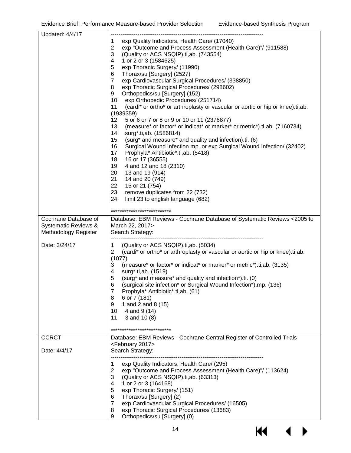| exp Quality Indicators, Health Care/ (17040)<br>1<br>$\overline{2}$<br>exp "Outcome and Process Assessment (Health Care)"/ (911588)<br>3<br>(Quality or ACS NSQIP).ti, ab. (743554)<br>1 or 2 or 3 (1584625)<br>4<br>exp Thoracic Surgery/ (11990)<br>5<br>Thorax/su [Surgery] (2527)<br>6<br>$\overline{7}$<br>exp Cardiovascular Surgical Procedures/ (338850)<br>exp Thoracic Surgical Procedures/ (298602)<br>8<br>Orthopedics/su [Surgery] (152)<br>9<br>10<br>exp Orthopedic Procedures/ (251714)<br>11<br>(cardi* or ortho* or arthroplasty or vascular or aortic or hip or knee).ti,ab.<br>(1939359)<br>12<br>5 or 6 or 7 or 8 or 9 or 10 or 11 (2376877)<br>13<br>(measure* or factor* or indicat* or marker* or metric*).ti,ab. (7160734)<br>14<br>surg*.ti,ab. (1586814)<br>15<br>(surg* and measure* and quality and infection).ti. (6) |  |
|-----------------------------------------------------------------------------------------------------------------------------------------------------------------------------------------------------------------------------------------------------------------------------------------------------------------------------------------------------------------------------------------------------------------------------------------------------------------------------------------------------------------------------------------------------------------------------------------------------------------------------------------------------------------------------------------------------------------------------------------------------------------------------------------------------------------------------------------------------|--|
|                                                                                                                                                                                                                                                                                                                                                                                                                                                                                                                                                                                                                                                                                                                                                                                                                                                     |  |
|                                                                                                                                                                                                                                                                                                                                                                                                                                                                                                                                                                                                                                                                                                                                                                                                                                                     |  |
|                                                                                                                                                                                                                                                                                                                                                                                                                                                                                                                                                                                                                                                                                                                                                                                                                                                     |  |
|                                                                                                                                                                                                                                                                                                                                                                                                                                                                                                                                                                                                                                                                                                                                                                                                                                                     |  |
|                                                                                                                                                                                                                                                                                                                                                                                                                                                                                                                                                                                                                                                                                                                                                                                                                                                     |  |
|                                                                                                                                                                                                                                                                                                                                                                                                                                                                                                                                                                                                                                                                                                                                                                                                                                                     |  |
|                                                                                                                                                                                                                                                                                                                                                                                                                                                                                                                                                                                                                                                                                                                                                                                                                                                     |  |
|                                                                                                                                                                                                                                                                                                                                                                                                                                                                                                                                                                                                                                                                                                                                                                                                                                                     |  |
|                                                                                                                                                                                                                                                                                                                                                                                                                                                                                                                                                                                                                                                                                                                                                                                                                                                     |  |
|                                                                                                                                                                                                                                                                                                                                                                                                                                                                                                                                                                                                                                                                                                                                                                                                                                                     |  |
|                                                                                                                                                                                                                                                                                                                                                                                                                                                                                                                                                                                                                                                                                                                                                                                                                                                     |  |
|                                                                                                                                                                                                                                                                                                                                                                                                                                                                                                                                                                                                                                                                                                                                                                                                                                                     |  |
|                                                                                                                                                                                                                                                                                                                                                                                                                                                                                                                                                                                                                                                                                                                                                                                                                                                     |  |
|                                                                                                                                                                                                                                                                                                                                                                                                                                                                                                                                                                                                                                                                                                                                                                                                                                                     |  |
|                                                                                                                                                                                                                                                                                                                                                                                                                                                                                                                                                                                                                                                                                                                                                                                                                                                     |  |
|                                                                                                                                                                                                                                                                                                                                                                                                                                                                                                                                                                                                                                                                                                                                                                                                                                                     |  |
| 16<br>Surgical Wound Infection.mp. or exp Surgical Wound Infection/ (32402)                                                                                                                                                                                                                                                                                                                                                                                                                                                                                                                                                                                                                                                                                                                                                                         |  |
| 17<br>Prophyla* Antibiotic*.ti,ab. (5418)                                                                                                                                                                                                                                                                                                                                                                                                                                                                                                                                                                                                                                                                                                                                                                                                           |  |
| 18<br>16 or 17 (36555)                                                                                                                                                                                                                                                                                                                                                                                                                                                                                                                                                                                                                                                                                                                                                                                                                              |  |
| 19<br>4 and 12 and 18 (2310)                                                                                                                                                                                                                                                                                                                                                                                                                                                                                                                                                                                                                                                                                                                                                                                                                        |  |
| 20<br>13 and 19 (914)                                                                                                                                                                                                                                                                                                                                                                                                                                                                                                                                                                                                                                                                                                                                                                                                                               |  |
| 21<br>14 and 20 (749)                                                                                                                                                                                                                                                                                                                                                                                                                                                                                                                                                                                                                                                                                                                                                                                                                               |  |
| 22<br>15 or 21 (754)                                                                                                                                                                                                                                                                                                                                                                                                                                                                                                                                                                                                                                                                                                                                                                                                                                |  |
| 23<br>remove duplicates from 22 (732)                                                                                                                                                                                                                                                                                                                                                                                                                                                                                                                                                                                                                                                                                                                                                                                                               |  |
| 24<br>limit 23 to english language (682)                                                                                                                                                                                                                                                                                                                                                                                                                                                                                                                                                                                                                                                                                                                                                                                                            |  |
| ***************************                                                                                                                                                                                                                                                                                                                                                                                                                                                                                                                                                                                                                                                                                                                                                                                                                         |  |
| Cochrane Database of<br>Database: EBM Reviews - Cochrane Database of Systematic Reviews < 2005 to                                                                                                                                                                                                                                                                                                                                                                                                                                                                                                                                                                                                                                                                                                                                                   |  |
| March 22, 2017><br>Systematic Reviews &                                                                                                                                                                                                                                                                                                                                                                                                                                                                                                                                                                                                                                                                                                                                                                                                             |  |
| Methodology Register<br>Search Strategy:                                                                                                                                                                                                                                                                                                                                                                                                                                                                                                                                                                                                                                                                                                                                                                                                            |  |
|                                                                                                                                                                                                                                                                                                                                                                                                                                                                                                                                                                                                                                                                                                                                                                                                                                                     |  |
| Date: 3/24/17<br>(Quality or ACS NSQIP).ti,ab. (5034)<br>1                                                                                                                                                                                                                                                                                                                                                                                                                                                                                                                                                                                                                                                                                                                                                                                          |  |
| (cardi* or ortho* or arthroplasty or vascular or aortic or hip or knee).ti,ab.<br>2                                                                                                                                                                                                                                                                                                                                                                                                                                                                                                                                                                                                                                                                                                                                                                 |  |
| (1077)                                                                                                                                                                                                                                                                                                                                                                                                                                                                                                                                                                                                                                                                                                                                                                                                                                              |  |
| (measure* or factor* or indicat* or marker* or metric*).ti,ab. (3135)<br>3                                                                                                                                                                                                                                                                                                                                                                                                                                                                                                                                                                                                                                                                                                                                                                          |  |
| surg*.ti,ab. (1519)<br>4                                                                                                                                                                                                                                                                                                                                                                                                                                                                                                                                                                                                                                                                                                                                                                                                                            |  |
| 5<br>(surg* and measure* and quality and infection*).ti. (0)                                                                                                                                                                                                                                                                                                                                                                                                                                                                                                                                                                                                                                                                                                                                                                                        |  |
| 6<br>(surgical site infection* or Surgical Wound Infection*).mp. (136)                                                                                                                                                                                                                                                                                                                                                                                                                                                                                                                                                                                                                                                                                                                                                                              |  |
| 7<br>Prophyla* Antibiotic*.ti,ab. (61)                                                                                                                                                                                                                                                                                                                                                                                                                                                                                                                                                                                                                                                                                                                                                                                                              |  |
|                                                                                                                                                                                                                                                                                                                                                                                                                                                                                                                                                                                                                                                                                                                                                                                                                                                     |  |
| 6 or 7 (181)<br>8                                                                                                                                                                                                                                                                                                                                                                                                                                                                                                                                                                                                                                                                                                                                                                                                                                   |  |
| 1 and 2 and 8 (15)<br>9                                                                                                                                                                                                                                                                                                                                                                                                                                                                                                                                                                                                                                                                                                                                                                                                                             |  |
| 10<br>4 and 9 (14)                                                                                                                                                                                                                                                                                                                                                                                                                                                                                                                                                                                                                                                                                                                                                                                                                                  |  |
| 11<br>3 and 10 $(8)$                                                                                                                                                                                                                                                                                                                                                                                                                                                                                                                                                                                                                                                                                                                                                                                                                                |  |
|                                                                                                                                                                                                                                                                                                                                                                                                                                                                                                                                                                                                                                                                                                                                                                                                                                                     |  |
| ***************************                                                                                                                                                                                                                                                                                                                                                                                                                                                                                                                                                                                                                                                                                                                                                                                                                         |  |
| <b>CCRCT</b><br>Database: EBM Reviews - Cochrane Central Register of Controlled Trials                                                                                                                                                                                                                                                                                                                                                                                                                                                                                                                                                                                                                                                                                                                                                              |  |
| <february 2017=""></february>                                                                                                                                                                                                                                                                                                                                                                                                                                                                                                                                                                                                                                                                                                                                                                                                                       |  |
| Search Strategy:<br>Date: 4/4/17                                                                                                                                                                                                                                                                                                                                                                                                                                                                                                                                                                                                                                                                                                                                                                                                                    |  |
|                                                                                                                                                                                                                                                                                                                                                                                                                                                                                                                                                                                                                                                                                                                                                                                                                                                     |  |
| exp Quality Indicators, Health Care/ (295)<br>1                                                                                                                                                                                                                                                                                                                                                                                                                                                                                                                                                                                                                                                                                                                                                                                                     |  |
| $\overline{2}$<br>exp "Outcome and Process Assessment (Health Care)"/ (113624)                                                                                                                                                                                                                                                                                                                                                                                                                                                                                                                                                                                                                                                                                                                                                                      |  |
| 3<br>(Quality or ACS NSQIP).ti,ab. (63313)                                                                                                                                                                                                                                                                                                                                                                                                                                                                                                                                                                                                                                                                                                                                                                                                          |  |
| 1 or 2 or 3 (164168)<br>4                                                                                                                                                                                                                                                                                                                                                                                                                                                                                                                                                                                                                                                                                                                                                                                                                           |  |
| exp Thoracic Surgery/ (151)<br>5                                                                                                                                                                                                                                                                                                                                                                                                                                                                                                                                                                                                                                                                                                                                                                                                                    |  |
| Thorax/su [Surgery] (2)<br>6                                                                                                                                                                                                                                                                                                                                                                                                                                                                                                                                                                                                                                                                                                                                                                                                                        |  |
| exp Cardiovascular Surgical Procedures/ (16505)<br>7<br>exp Thoracic Surgical Procedures/ (13683)<br>8                                                                                                                                                                                                                                                                                                                                                                                                                                                                                                                                                                                                                                                                                                                                              |  |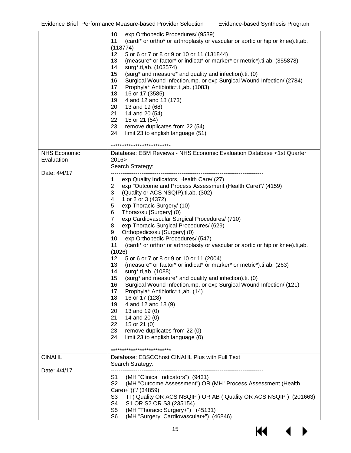|                     | exp Orthopedic Procedures/ (9539)<br>10                                               |
|---------------------|---------------------------------------------------------------------------------------|
|                     | (cardi* or ortho* or arthroplasty or vascular or aortic or hip or knee).ti,ab.<br>11  |
|                     | (118774)                                                                              |
|                     | $12 \,$<br>5 or 6 or 7 or 8 or 9 or 10 or 11 (131844)                                 |
|                     | (measure* or factor* or indicat* or marker* or metric*).ti,ab. (355878)<br>13         |
|                     | 14<br>surg*.ti,ab. (103574)                                                           |
|                     | 15<br>(surg* and measure* and quality and infection).ti. (0)                          |
|                     | 16<br>Surgical Wound Infection.mp. or exp Surgical Wound Infection/ (2784)            |
|                     | 17<br>Prophyla* Antibiotic*.ti,ab. (1083)                                             |
|                     |                                                                                       |
|                     | 18<br>16 or 17 (3585)                                                                 |
|                     | 19<br>4 and 12 and 18 (173)                                                           |
|                     | 20<br>13 and 19 (68)                                                                  |
|                     | 21<br>14 and 20 (54)                                                                  |
|                     | 22<br>15 or 21 (54)                                                                   |
|                     | 23<br>remove duplicates from 22 (54)                                                  |
|                     | 24<br>limit 23 to english language (51)                                               |
|                     |                                                                                       |
|                     | ***************************                                                           |
| <b>NHS Economic</b> | Database: EBM Reviews - NHS Economic Evaluation Database <1st Quarter                 |
| Evaluation          | 2016>                                                                                 |
|                     |                                                                                       |
|                     | Search Strategy:                                                                      |
| Date: 4/4/17        |                                                                                       |
|                     | exp Quality Indicators, Health Care/ (27)<br>1                                        |
|                     | $\overline{2}$<br>exp "Outcome and Process Assessment (Health Care)"/ (4159)          |
|                     | 3<br>(Quality or ACS NSQIP).ti, ab. (302)                                             |
|                     | 1 or 2 or 3 (4372)<br>4                                                               |
|                     | exp Thoracic Surgery/ (10)<br>5                                                       |
|                     | Thorax/su [Surgery] (0)<br>6                                                          |
|                     | $\overline{7}$<br>exp Cardiovascular Surgical Procedures/ (710)                       |
|                     | 8<br>exp Thoracic Surgical Procedures/ (629)                                          |
|                     | Orthopedics/su [Surgery] (0)<br>9                                                     |
|                     | 10<br>exp Orthopedic Procedures/ (547)                                                |
|                     |                                                                                       |
|                     | 11<br>(cardi* or ortho* or arthroplasty or vascular or aortic or hip or knee).ti, ab. |
|                     | (1026)                                                                                |
|                     | 12<br>5 or 6 or 7 or 8 or 9 or 10 or 11 (2004)                                        |
|                     | (measure* or factor* or indicat* or marker* or metric*).ti,ab. (263)<br>13            |
|                     | surg*.ti,ab. (1088)<br>14                                                             |
|                     | (surg* and measure* and quality and infection).ti. (0)<br>15                          |
|                     | 16<br>Surgical Wound Infection.mp. or exp Surgical Wound Infection/ (121)             |
|                     | Prophyla* Antibiotic*.ti,ab. (14)<br>17                                               |
|                     | 18<br>16 or 17 (128)                                                                  |
|                     | 19<br>4 and 12 and 18 (9)                                                             |
|                     | 20                                                                                    |
|                     | 13 and 19 (0)                                                                         |
|                     | 21<br>14 and 20 (0)                                                                   |
|                     | 22<br>15 or 21 (0)                                                                    |
|                     | 23<br>remove duplicates from 22 (0)                                                   |
|                     | 24<br>limit 23 to english language (0)                                                |
|                     |                                                                                       |
|                     | **************************                                                            |
| <b>CINAHL</b>       | Database: EBSCOhost CINAHL Plus with Full Text                                        |
|                     | Search Strategy:                                                                      |
| Date: 4/4/17        |                                                                                       |
|                     | (MH "Clinical Indicators") (9431)<br>S1                                               |
|                     | S <sub>2</sub><br>(MH "Outcome Assessment") OR (MH "Process Assessment (Health        |
|                     |                                                                                       |
|                     | Care)+"))"/ (34859)                                                                   |
|                     | S <sub>3</sub><br>TI (Quality OR ACS NSQIP) OR AB (Quality OR ACS NSQIP) (201663)     |
|                     | S4<br>S1 OR S2 OR S3 (235154)                                                         |
|                     | S <sub>5</sub><br>(MH "Thoracic Surgery+") (45131)                                    |
|                     | S <sub>6</sub><br>(MH "Surgery, Cardiovascular+") (46846)                             |

KI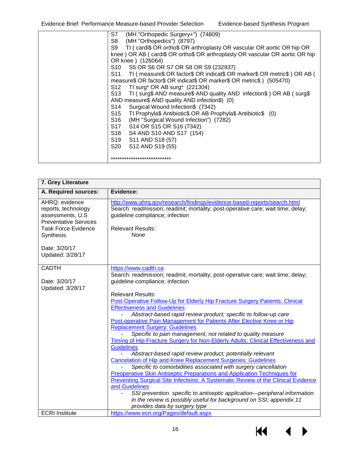Evidence Brief: Performance Measure-based Provider Selection Evidence-based Synthesis Program

| (MH "Orthopedic Surgery+") (74809)<br>S7                                              |
|---------------------------------------------------------------------------------------|
| S8 (MH "Orthopedics") (8797)                                                          |
| S9 TI (cardi\$ OR ortho\$ OR arthroplasty OR vascular OR aortic OR hip OR             |
| knee ) OR AB ( cardi\$ OR ortho\$ OR arthroplasty OR vascular OR aortic OR hip        |
| OR knee ) (126064)                                                                    |
| S10 S5 OR S6 OR S7 OR S8 OR S9 (232937)                                               |
| TI ( measure \$ OR factor \$ OR indicat \$ OR marker \$ OR metric \$ ) OR AB (<br>S11 |
| measure\$ OR factor\$ OR indicat\$ OR marker\$ OR metric\$ ) (505470)                 |
| S12 -<br>TI surg* OR AB surg* $(221304)$                                              |
| TI (surg\$ AND measure\$ AND quality AND infection\$) OR AB (surg\$<br>S13 -          |
| AND measure\$ AND quality AND infection\$) (0)                                        |
| Surgical Wound Infection\$ (7342)<br>S14                                              |
| TI Prophyla\$ Antibiotic\$ OR AB Prophyla\$ Antibiotic\$ (0)<br>S <sub>15</sub>       |
| S16 (MH "Surgical Wound Infection") (7282)                                            |
| S17<br>S14 OR S15 OR S16 (7342)                                                       |
| S18 S4 AND S10 AND S17 (154)                                                          |
| S19 S11 AND S18 (57)                                                                  |
| S20<br>S12 AND S19 (55)                                                               |
|                                                                                       |
| ***************************                                                           |
|                                                                                       |

| 7. Grey Literature                                                                                                                           |                                                                                                                                                                                                                                                                                                                                                                                                                                                                                                                                                                                                                                                                                                                                                                                                                                                                                                                                                                                                                                                                                                                                          |
|----------------------------------------------------------------------------------------------------------------------------------------------|------------------------------------------------------------------------------------------------------------------------------------------------------------------------------------------------------------------------------------------------------------------------------------------------------------------------------------------------------------------------------------------------------------------------------------------------------------------------------------------------------------------------------------------------------------------------------------------------------------------------------------------------------------------------------------------------------------------------------------------------------------------------------------------------------------------------------------------------------------------------------------------------------------------------------------------------------------------------------------------------------------------------------------------------------------------------------------------------------------------------------------------|
| A. Required sources:                                                                                                                         | Evidence:                                                                                                                                                                                                                                                                                                                                                                                                                                                                                                                                                                                                                                                                                                                                                                                                                                                                                                                                                                                                                                                                                                                                |
| AHRQ: evidence<br>reports, technology<br>assessments, U.S.<br><b>Preventative Services</b><br><b>Task Force Evidence</b><br><b>Synthesis</b> | http://www.ahrq.gov/research/findings/evidence-based-reports/search.html<br>Search: readmission; readmit; mortality; post-operative care; wait time; delay;<br>guideline compliance; infection<br><b>Relevant Results:</b><br>None                                                                                                                                                                                                                                                                                                                                                                                                                                                                                                                                                                                                                                                                                                                                                                                                                                                                                                       |
| Date: 3/20/17<br>Updated: 3/28/17                                                                                                            |                                                                                                                                                                                                                                                                                                                                                                                                                                                                                                                                                                                                                                                                                                                                                                                                                                                                                                                                                                                                                                                                                                                                          |
| <b>CADTH</b><br>Date: 3/20/17<br>Updated: 3/28/17                                                                                            | https://www.cadth.ca<br>Search: readmission; readmit; mortality; post-operative care; wait time; delay;<br>guideline compliance; infection                                                                                                                                                                                                                                                                                                                                                                                                                                                                                                                                                                                                                                                                                                                                                                                                                                                                                                                                                                                               |
| <b>ECRI</b> Institute                                                                                                                        | <b>Relevant Results:</b><br>Post-Operative Follow-Up for Elderly Hip Fracture Surgery Patients: Clinical<br><b>Effectiveness and Guidelines</b><br>Abstract-based rapid review product; specific to follow-up care<br>Post-operative Pain Management for Patients After Elective Knee or Hip<br><b>Replacement Surgery: Guidelines</b><br>Specific to pain management, not related to quality measure<br>Timing of Hip Fracture Surgery for Non-Elderly Adults: Clinical Effectiveness and<br><b>Guidelines</b><br>Abstract-based rapid review product; potentially relevant<br><b>Cancelation of Hip and Knee Replacement Surgeries: Guidelines</b><br>Specific to comorbidities associated with surgery cancellation<br>Preoperative Skin Antiseptic Preparations and Application Techniques for<br>Preventing Surgical Site Infections: A Systematic Review of the Clinical Evidence<br>and Guidelines<br>SSI prevention specific to antiseptic application-peripheral information<br>in the review is possibly useful for background on SSI; appendix 11<br>provides data by surgery type<br>https://www.ecri.org/Pages/default.aspx |

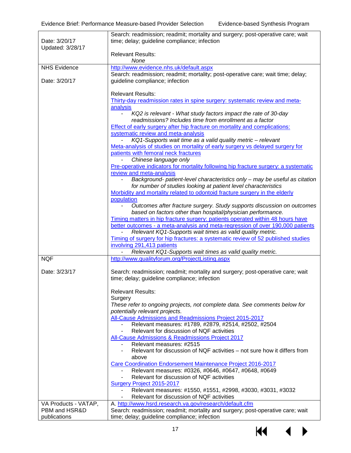|                                       | Search: readmission; readmit; mortality and surgery; post-operative care; wait                                                                                   |  |  |  |
|---------------------------------------|------------------------------------------------------------------------------------------------------------------------------------------------------------------|--|--|--|
| Date: 3/20/17<br>Updated: 3/28/17     | time; delay; guideline compliance; infection                                                                                                                     |  |  |  |
|                                       | <b>Relevant Results:</b>                                                                                                                                         |  |  |  |
|                                       | None                                                                                                                                                             |  |  |  |
| <b>NHS Evidence</b>                   | http://www.evidence.nhs.uk/default.aspx                                                                                                                          |  |  |  |
| Date: 3/20/17                         | Search: readmission; readmit; mortality; post-operative care; wait time; delay;<br>guideline compliance; infection                                               |  |  |  |
|                                       |                                                                                                                                                                  |  |  |  |
|                                       | <b>Relevant Results:</b>                                                                                                                                         |  |  |  |
|                                       | Thirty-day readmission rates in spine surgery: systematic review and meta-                                                                                       |  |  |  |
|                                       | analysis                                                                                                                                                         |  |  |  |
|                                       | KQ2 is relevant - What study factors impact the rate of 30-day<br>readmissions? Includes time from enrollment as a factor                                        |  |  |  |
|                                       | <b>Effect of early surgery after hip fracture on mortality and complications:</b>                                                                                |  |  |  |
|                                       | systematic review and meta-analysis                                                                                                                              |  |  |  |
|                                       | KQ1-Supports wait time as a valid quality metric - relevant                                                                                                      |  |  |  |
|                                       | Meta-analysis of studies on mortality of early surgery vs delayed surgery for<br>patients with femoral neck fractures                                            |  |  |  |
|                                       | Chinese language only                                                                                                                                            |  |  |  |
|                                       | Pre-operative indicators for mortality following hip fracture surgery: a systematic                                                                              |  |  |  |
|                                       | review and meta-analysis                                                                                                                                         |  |  |  |
|                                       | Background- patient-level characteristics only - may be useful as citation                                                                                       |  |  |  |
|                                       | for number of studies looking at patient level characteristics<br>Morbidity and mortality related to odontoid fracture surgery in the elderly                    |  |  |  |
|                                       | population                                                                                                                                                       |  |  |  |
|                                       | Outcomes after fracture surgery. Study supports discussion on outcomes                                                                                           |  |  |  |
|                                       | based on factors other than hospital/physician performance.                                                                                                      |  |  |  |
|                                       | Timing matters in hip fracture surgery: patients operated within 48 hours have<br>better outcomes - a meta-analysis and meta-regression of over 190,000 patients |  |  |  |
|                                       | Relevant KQ1-Supports wait times as valid quality metric.                                                                                                        |  |  |  |
|                                       | Timing of surgery for hip fractures: a systematic review of 52 published studies                                                                                 |  |  |  |
|                                       | involving 291,413 patients                                                                                                                                       |  |  |  |
|                                       | Relevant KQ1-Supports wait times as valid quality metric.                                                                                                        |  |  |  |
| <b>NQF</b>                            | http://www.qualityforum.org/ProjectListing.aspx                                                                                                                  |  |  |  |
| Date: 3/23/17                         | Search: readmission; readmit; mortality and surgery; post-operative care; wait                                                                                   |  |  |  |
|                                       | time; delay; guideline compliance; infection                                                                                                                     |  |  |  |
|                                       |                                                                                                                                                                  |  |  |  |
|                                       | <b>Relevant Results:</b>                                                                                                                                         |  |  |  |
|                                       | Surgery<br>These refer to ongoing projects, not complete data. See comments below for                                                                            |  |  |  |
|                                       | potentially relevant projects.                                                                                                                                   |  |  |  |
|                                       | All-Cause Admissions and Readmissions Project 2015-2017                                                                                                          |  |  |  |
|                                       | Relevant measures: #1789, #2879, #2514, #2502, #2504                                                                                                             |  |  |  |
|                                       | Relevant for discussion of NQF activities<br>All-Cause Admissions & Readmissions Project 2017                                                                    |  |  |  |
|                                       | Relevant measures: #2515                                                                                                                                         |  |  |  |
|                                       | Relevant for discussion of NQF activities – not sure how it differs from                                                                                         |  |  |  |
|                                       | above                                                                                                                                                            |  |  |  |
|                                       | Care Coordination Endorsement Maintenance Project 2016-2017                                                                                                      |  |  |  |
|                                       | Relevant measures: #0326, #0646, #0647, #0648, #0649<br>Relevant for discussion of NQF activities                                                                |  |  |  |
|                                       | <b>Surgery Project 2015-2017</b>                                                                                                                                 |  |  |  |
|                                       | Relevant measures: #1550, #1551, #2998, #3030, #3031, #3032                                                                                                      |  |  |  |
|                                       | Relevant for discussion of NQF activities                                                                                                                        |  |  |  |
| VA Products - VATAP,<br>PBM and HSR&D | A. http://www.hsrd.research.va.gov/research/default.cfm<br>Search: readmission; readmit; mortality and surgery; post-operative care; wait                        |  |  |  |
| publications                          | time; delay; guideline compliance; infection                                                                                                                     |  |  |  |

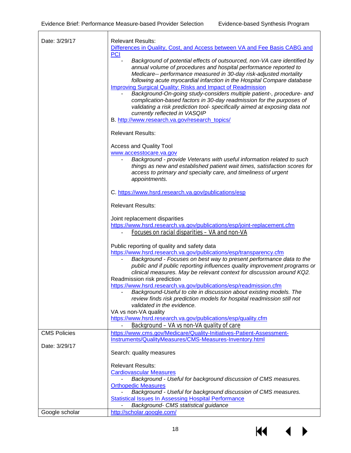| Date: 3/29/17       | <b>Relevant Results:</b>                                                                                                                |
|---------------------|-----------------------------------------------------------------------------------------------------------------------------------------|
|                     | Differences in Quality, Cost, and Access between VA and Fee Basis CABG and                                                              |
|                     | <b>PCI</b>                                                                                                                              |
|                     | Background of potential effects of outsourced, non-VA care identified by                                                                |
|                     | annual volume of procedures and hospital performance reported to                                                                        |
|                     | Medicare-- performance measured in 30-day risk-adjusted mortality                                                                       |
|                     | following acute myocardial infarction in the Hospital Compare database                                                                  |
|                     | <b>Improving Surgical Quality: Risks and Impact of Readmission</b>                                                                      |
|                     | Background-On-going study-considers multiple patient-, procedure- and                                                                   |
|                     | complication-based factors in 30-day readmission for the purposes of                                                                    |
|                     | validating a risk prediction tool- specifically aimed at exposing data not                                                              |
|                     | currently reflected in VASQIP                                                                                                           |
|                     | B. http://www.research.va.gov/research_topics/                                                                                          |
|                     |                                                                                                                                         |
|                     | <b>Relevant Results:</b>                                                                                                                |
|                     | <b>Access and Quality Tool</b>                                                                                                          |
|                     | www.accesstocare.va.gov                                                                                                                 |
|                     | Background - provide Veterans with useful information related to such                                                                   |
|                     | things as new and established patient wait times, satisfaction scores for                                                               |
|                     | access to primary and specialty care, and timeliness of urgent                                                                          |
|                     | appointments.                                                                                                                           |
|                     |                                                                                                                                         |
|                     | C. https://www.hsrd.research.va.gov/publications/esp                                                                                    |
|                     | <b>Relevant Results:</b>                                                                                                                |
|                     | Joint replacement disparities                                                                                                           |
|                     | https://www.hsrd.research.va.gov/publications/esp/joint-replacement.cfm                                                                 |
|                     | Focuses on racial disparities - VA and non-VA                                                                                           |
|                     |                                                                                                                                         |
|                     | Public reporting of quality and safety data                                                                                             |
|                     | https://www.hsrd.research.va.gov/publications/esp/transparency.cfm                                                                      |
|                     | Background - Focuses on best way to present performance data to the                                                                     |
|                     | public and if public reporting influences quality improvement programs or                                                               |
|                     | clinical measures. May be relevant context for discussion around KQ2.                                                                   |
|                     | Readmission risk prediction                                                                                                             |
|                     | https://www.hsrd.research.va.gov/publications/esp/readmission.cfm<br>Background-Useful to cite in discussion about existing models. The |
|                     | review finds risk prediction models for hospital readmission still not                                                                  |
|                     | validated in the evidence.                                                                                                              |
|                     | VA vs non-VA quality                                                                                                                    |
|                     | https://www.hsrd.research.va.gov/publications/esp/quality.cfm                                                                           |
|                     | Background - VA vs non-VA quality of care                                                                                               |
| <b>CMS Policies</b> | https://www.cms.gov/Medicare/Quality-Initiatives-Patient-Assessment-                                                                    |
|                     | Instruments/QualityMeasures/CMS-Measures-Inventory.html                                                                                 |
| Date: 3/29/17       |                                                                                                                                         |
|                     | Search: quality measures                                                                                                                |
|                     | <b>Relevant Results:</b>                                                                                                                |
|                     | <b>Cardiovascular Measures</b>                                                                                                          |
|                     | Background - Useful for background discussion of CMS measures.                                                                          |
|                     | <b>Orthopedic Measures</b>                                                                                                              |
|                     | Background - Useful for background discussion of CMS measures.                                                                          |
|                     | <b>Statistical Issues In Assessing Hospital Performance</b>                                                                             |
|                     | Background- CMS statistical guidance                                                                                                    |
| Google scholar      | http://scholar.google.com/                                                                                                              |

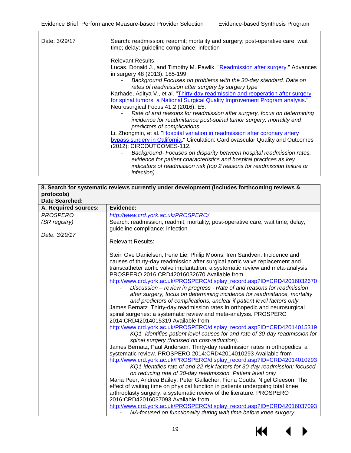| Date: 3/29/17 | Search: readmission; readmit; mortality and surgery; post-operative care; wait<br>time; delay; guideline compliance; infection |
|---------------|--------------------------------------------------------------------------------------------------------------------------------|
|               | <b>Relevant Results:</b>                                                                                                       |
|               | Lucas, Donald J., and Timothy M. Pawlik. "Readmission after surgery." Advances<br>in surgery 48 (2013): 185-199.               |
|               | Background Focuses on problems with the 30-day standard. Data on<br>rates of readmission after surgery by surgery type         |
|               | Karhade, Aditya V., et al. "Thirty-day readmission and reoperation after surgery                                               |
|               | for spinal tumors: a National Surgical Quality Improvement Program analysis."                                                  |
|               | Neurosurgical Focus 41.2 (2016): E5.                                                                                           |
|               | Rate of and reasons for readmission after surgery, focus on determining                                                        |
|               | incidence for readmittance post-spinal tumor surgery, mortality and                                                            |
|               | predictors of complications                                                                                                    |
|               | Li, Zhongmin, et al. "Hospital variation in readmission after coronary artery                                                  |
|               | bypass surgery in California." Circulation: Cardiovascular Quality and Outcomes                                                |
|               | (2012): CIRCOUTCOMES-112.                                                                                                      |
|               | Background- Focuses on disparity between hospital readmission rates,                                                           |
|               | evidence for patient characteristics and hospital practices as key                                                             |
|               | indicators of readmission risk (top 2 reasons for readmission failure or<br><i>infection</i> )                                 |

| 8. Search for systematic reviews currently under development (includes forthcoming reviews & |                                                                                                             |  |  |  |
|----------------------------------------------------------------------------------------------|-------------------------------------------------------------------------------------------------------------|--|--|--|
| protocols)                                                                                   |                                                                                                             |  |  |  |
| <b>Date Searched:</b>                                                                        |                                                                                                             |  |  |  |
| A. Required sources:                                                                         | Evidence:                                                                                                   |  |  |  |
| <b>PROSPERO</b>                                                                              | http://www.crd.york.ac.uk/PROSPERO/                                                                         |  |  |  |
| (SR registry)                                                                                | Search: readmission; readmit; mortality; post-operative care; wait time; delay;                             |  |  |  |
|                                                                                              | quideline compliance; infection                                                                             |  |  |  |
| Date: 3/29/17                                                                                |                                                                                                             |  |  |  |
|                                                                                              | <b>Relevant Results:</b>                                                                                    |  |  |  |
|                                                                                              |                                                                                                             |  |  |  |
|                                                                                              | Stein Ove Danielsen, Irene Lie, Philip Moons, Iren Sandven. Incidence and                                   |  |  |  |
|                                                                                              | causes of thirty-day readmission after surgical aortic valve replacement and                                |  |  |  |
|                                                                                              | transcatheter aortic valve implantation: a systematic review and meta-analysis.                             |  |  |  |
|                                                                                              | PROSPERO 2016:CRD42016032670 Available from                                                                 |  |  |  |
|                                                                                              | http://www.crd.york.ac.uk/PROSPERO/display_record.asp?ID=CRD42016032670                                     |  |  |  |
|                                                                                              | Discussion – review in progress - Rate of and reasons for readmission                                       |  |  |  |
|                                                                                              | after surgery, focus on determining incidence for readmittance, mortality                                   |  |  |  |
|                                                                                              | and predictors of complications, unclear if patient level factors only                                      |  |  |  |
|                                                                                              | James Bernatz. Thirty-day readmission rates in orthopedic and neurosurgical                                 |  |  |  |
|                                                                                              | spinal surgeries: a systematic review and meta-analysis. PROSPERO                                           |  |  |  |
|                                                                                              | 2014:CRD42014015319 Available from                                                                          |  |  |  |
|                                                                                              | http://www.crd.york.ac.uk/PROSPERO/display_record.asp?ID=CRD42014015319                                     |  |  |  |
|                                                                                              | KQ1 -identifies patient level causes for and rate of 30-day readmission for                                 |  |  |  |
|                                                                                              | spinal surgery (focused on cost-reduction).                                                                 |  |  |  |
|                                                                                              | James Bernatz, Paul Anderson. Thirty-day readmission rates in orthopedics: a                                |  |  |  |
|                                                                                              | systematic review. PROSPERO 2014:CRD42014010293 Available from                                              |  |  |  |
|                                                                                              | http://www.crd.york.ac.uk/PROSPERO/display_record.asp?ID=CRD42014010293                                     |  |  |  |
|                                                                                              | KQ1-identifies rate of and 22 risk factors for 30-day readmission; focused                                  |  |  |  |
|                                                                                              | on reducing rate of 30-day readmission. Patient level only                                                  |  |  |  |
|                                                                                              | Maria Peer, Andrea Bailey, Peter Gallacher, Fiona Coutts, Nigel Gleeson. The                                |  |  |  |
|                                                                                              | effect of waiting time on physical function in patients undergoing total knee                               |  |  |  |
|                                                                                              | arthroplasty surgery: a systematic review of the literature. PROSPERO<br>2016:CRD42016037093 Available from |  |  |  |
|                                                                                              | http://www.crd.york.ac.uk/PROSPERO/display_record.asp?ID=CRD42016037093                                     |  |  |  |
|                                                                                              | NA-focused on functionality during wait time before knee surgery                                            |  |  |  |
|                                                                                              |                                                                                                             |  |  |  |

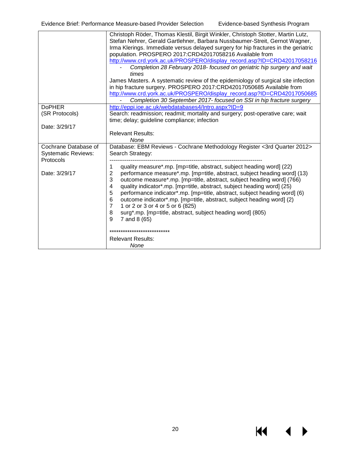|                            | Christoph Röder, Thomas Klestil, Birgit Winkler, Christoph Stotter, Martin Lutz,<br>Stefan Nehrer, Gerald Gartlehner, Barbara Nussbaumer-Streit, Gernot Wagner, |  |  |  |
|----------------------------|-----------------------------------------------------------------------------------------------------------------------------------------------------------------|--|--|--|
|                            | Irma Klerings. Immediate versus delayed surgery for hip fractures in the geriatric                                                                              |  |  |  |
|                            | population. PROSPERO 2017:CRD42017058216 Available from                                                                                                         |  |  |  |
|                            | http://www.crd.york.ac.uk/PROSPERO/display_record.asp?ID=CRD42017058216                                                                                         |  |  |  |
|                            | Completion 28 February 2018- focused on geriatric hip surgery and wait<br>times                                                                                 |  |  |  |
|                            | James Masters. A systematic review of the epidemiology of surgical site infection                                                                               |  |  |  |
|                            | in hip fracture surgery. PROSPERO 2017:CRD42017050685 Available from                                                                                            |  |  |  |
|                            | http://www.crd.york.ac.uk/PROSPERO/display_record.asp?ID=CRD42017050685                                                                                         |  |  |  |
|                            | Completion 30 September 2017- focused on SSI in hip fracture surgery                                                                                            |  |  |  |
| <b>DoPHER</b>              | http://eppi.ioe.ac.uk/webdatabases4/Intro.aspx?ID=9                                                                                                             |  |  |  |
| (SR Protocols)             | Search: readmission; readmit; mortality and surgery; post-operative care; wait                                                                                  |  |  |  |
|                            | time; delay; guideline compliance; infection                                                                                                                    |  |  |  |
| Date: 3/29/17              |                                                                                                                                                                 |  |  |  |
|                            | <b>Relevant Results:</b>                                                                                                                                        |  |  |  |
|                            | None                                                                                                                                                            |  |  |  |
| Cochrane Database of       | Database: EBM Reviews - Cochrane Methodology Register <3rd Quarter 2012>                                                                                        |  |  |  |
| <b>Systematic Reviews:</b> | Search Strategy:                                                                                                                                                |  |  |  |
| Protocols                  |                                                                                                                                                                 |  |  |  |
|                            | quality measure*.mp. [mp=title, abstract, subject heading word] (22)<br>1                                                                                       |  |  |  |
| Date: 3/29/17              | 2<br>performance measure*.mp. [mp=title, abstract, subject heading word] (13)<br>3<br>outcome measure*.mp. [mp=title, abstract, subject heading word] (766)     |  |  |  |
|                            | quality indicator*.mp. [mp=title, abstract, subject heading word] (25)<br>4                                                                                     |  |  |  |
|                            | 5<br>performance indicator*.mp. [mp=title, abstract, subject heading word] (6)                                                                                  |  |  |  |
|                            | 6<br>outcome indicator*.mp. [mp=title, abstract, subject heading word] (2)                                                                                      |  |  |  |
|                            | 7<br>1 or 2 or 3 or 4 or 5 or 6 (825)                                                                                                                           |  |  |  |
|                            | surg*.mp. [mp=title, abstract, subject heading word] (805)<br>8                                                                                                 |  |  |  |
|                            | 9<br>7 and 8 (65)                                                                                                                                               |  |  |  |
|                            |                                                                                                                                                                 |  |  |  |
|                            | ***************************                                                                                                                                     |  |  |  |
|                            | <b>Relevant Results:</b>                                                                                                                                        |  |  |  |
|                            | None                                                                                                                                                            |  |  |  |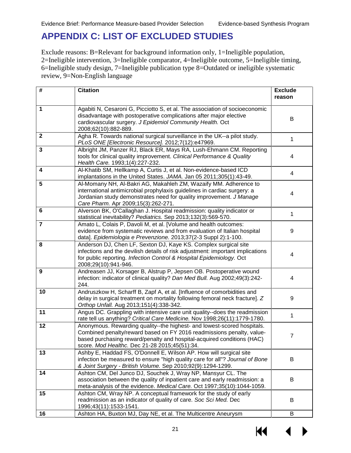### <span id="page-22-0"></span>**APPENDIX C: LIST OF EXCLUDED STUDIES**

Exclude reasons: B=Relevant for background information only, 1=Ineligible population, 2=Ineligible intervention, 3=Ineligible comparator, 4=Ineligible outcome, 5=Ineligible timing, 6=Ineligible study design, 7=Ineligible publication type 8=Outdated or ineligible systematic review, 9=Non-English language

| #              | <b>Citation</b>                                                                                                                                                                                                                                                             | <b>Exclude</b><br>reason |
|----------------|-----------------------------------------------------------------------------------------------------------------------------------------------------------------------------------------------------------------------------------------------------------------------------|--------------------------|
| 1              | Agabiti N, Cesaroni G, Picciotto S, et al. The association of socioeconomic<br>disadvantage with postoperative complications after major elective<br>cardiovascular surgery. J Epidemiol Community Health. Oct<br>2008;62(10):882-889.                                      | B                        |
| $\mathbf 2$    | Agha R. Towards national surgical surveillance in the UK--a pilot study.<br>PLoS ONE [Electronic Resource]. 2012;7(12):e47969.                                                                                                                                              | 1                        |
| 3              | Albright JM, Panzer RJ, Black ER, Mays RA, Lush-Ehmann CM. Reporting<br>tools for clinical quality improvement. Clinical Performance & Quality<br>Health Care. 1993;1(4):227-232.                                                                                           | 4                        |
| 4              | Al-Khatib SM, Hellkamp A, Curtis J, et al. Non-evidence-based ICD<br>implantations in the United States. JAMA. Jan 05 2011;305(1):43-49.                                                                                                                                    | $\overline{4}$           |
| 5              | Al-Momany NH, Al-Bakri AG, Makahleh ZM, Wazaify MM. Adherence to<br>international antimicrobial prophylaxis guidelines in cardiac surgery: a<br>Jordanian study demonstrates need for quality improvement. J Manage<br>Care Pharm. Apr 2009;15(3):262-271.                  | 4                        |
| 6              | Alverson BK, O'Callaghan J. Hospital readmission: quality indicator or<br>statistical inevitability? Pediatrics. Sep 2013;132(3):569-570.                                                                                                                                   | 1                        |
| $\overline{7}$ | Amato L, Colais P, Davoli M, et al. [Volume and health outcomes:<br>evidence from systematic reviews and from evaluation of Italian hospital<br>data]. Epidemiologia e Prevenzione. 2013;37(2-3 Suppl 2):1-100.                                                             | 9                        |
| 8              | Anderson DJ, Chen LF, Sexton DJ, Kaye KS. Complex surgical site<br>infections and the devilish details of risk adjustment: important implications<br>for public reporting. Infection Control & Hospital Epidemiology. Oct<br>2008;29(10):941-946.                           | 4                        |
| 9              | Andreasen JJ, Korsager B, Alstrup P, Jepsen OB. Postoperative wound<br>infection: indicator of clinical quality? Dan Med Bull. Aug 2002;49(3):242-<br>244.                                                                                                                  | 4                        |
| 10             | Andruszkow H, Scharff B, Zapf A, et al. [Influence of comorbidities and<br>delay in surgical treatment on mortality following femoral neck fracture]. Z<br>Orthop Unfall. Aug 2013;151(4):338-342.                                                                          | 9                        |
| 11             | Angus DC. Grappling with intensive care unit quality--does the readmission<br>rate tell us anything? Critical Care Medicine. Nov 1998;26(11):1779-1780.                                                                                                                     | 1                        |
| 12             | Anonymous. Rewarding quality--the highest- and lowest-scored hospitals.<br>Combined penalty/reward based on FY 2016 readmissions penalty, value-<br>based purchasing reward/penalty and hospital-acquired conditions (HAC)<br>score. Mod Healthc. Dec 21-28 2015;45(51):34. | 7                        |
| 13             | Ashby E, Haddad FS, O'Donnell E, Wilson AP. How will surgical site<br>infection be measured to ensure "high quality care for all"? Journal of Bone<br>& Joint Surgery - British Volume. Sep 2010;92(9):1294-1299.                                                           | B                        |
| 14             | Ashton CM, Del Junco DJ, Souchek J, Wray NP, Mansyur CL. The<br>association between the quality of inpatient care and early readmission: a<br>meta-analysis of the evidence. Medical Care. Oct 1997;35(10):1044-1059.                                                       | В                        |
| 15             | Ashton CM, Wray NP. A conceptual framework for the study of early<br>readmission as an indicator of quality of care. Soc Sci Med. Dec<br>1996;43(11):1533-1541.                                                                                                             | B                        |
| 16             | Ashton HA, Buxton MJ, Day NE, et al. The Multicentre Aneurysm                                                                                                                                                                                                               | B                        |

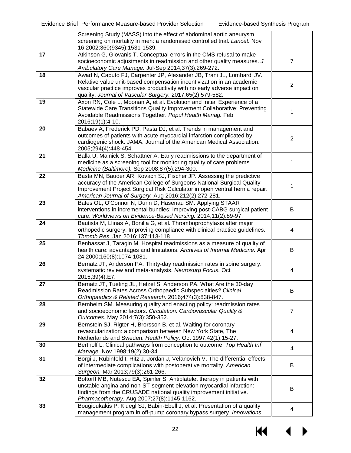|    | Screening Study (MASS) into the effect of abdominal aortic aneurysm<br>screening on mortality in men: a randomised controlled trial. Lancet. Nov<br>16 2002;360(9345):1531-1539.                                                                                                       |                |
|----|----------------------------------------------------------------------------------------------------------------------------------------------------------------------------------------------------------------------------------------------------------------------------------------|----------------|
| 17 | Atkinson G, Giovanis T. Conceptual errors in the CMS refusal to make<br>socioeconomic adjustments in readmission and other quality measures. J<br>Ambulatory Care Manage. Jul-Sep 2014;37(3):269-272.                                                                                  | $\overline{7}$ |
| 18 | Awad N, Caputo FJ, Carpenter JP, Alexander JB, Trani JL, Lombardi JV.<br>Relative value unit-based compensation incentivization in an academic<br>vascular practice improves productivity with no early adverse impact on<br>quality. Journal of Vascular Surgery. 2017;65(2):579-582. | $\overline{2}$ |
| 19 | Axon RN, Cole L, Moonan A, et al. Evolution and Initial Experience of a<br>Statewide Care Transitions Quality Improvement Collaborative: Preventing<br>Avoidable Readmissions Together. Popul Health Manag. Feb<br>2016;19(1):4-10.                                                    | 1              |
| 20 | Babaev A, Frederick PD, Pasta DJ, et al. Trends in management and<br>outcomes of patients with acute myocardial infarction complicated by<br>cardiogenic shock. JAMA: Journal of the American Medical Association.<br>2005;294(4):448-454.                                             | $\overline{2}$ |
| 21 | Balla U, Malnick S, Schattner A. Early readmissions to the department of<br>medicine as a screening tool for monitoring quality of care problems.<br>Medicine (Baltimore). Sep 2008;87(5):294-300.                                                                                     | 1              |
| 22 | Basta MN, Bauder AR, Kovach SJ, Fischer JP. Assessing the predictive<br>accuracy of the American College of Surgeons National Surgical Quality<br>Improvement Project Surgical Risk Calculator in open ventral hernia repair.<br>American Journal of Surgery. Aug 2016;212(2):272-281. | 1              |
| 23 | Bates OL, O'Connor N, Dunn D, Hasenau SM. Applying STAAR<br>interventions in incremental bundles: improving post-CABG surgical patient<br>care. Worldviews on Evidence-Based Nursing. 2014;11(2):89-97.                                                                                | B              |
| 24 | Bautista M, Llinas A, Bonilla G, et al. Thromboprophylaxis after major<br>orthopedic surgery: Improving compliance with clinical practice guidelines.<br>Thromb Res. Jan 2016;137:113-118.                                                                                             | 4              |
| 25 | Benbassat J, Taragin M. Hospital readmissions as a measure of quality of<br>health care: advantages and limitations. Archives of Internal Medicine. Apr<br>24 2000;160(8):1074-1081.                                                                                                   | B              |
| 26 | Bernatz JT, Anderson PA. Thirty-day readmission rates in spine surgery:<br>systematic review and meta-analysis. Neurosurg Focus. Oct<br>2015;39(4):E7.                                                                                                                                 | 4              |
| 27 | Bernatz JT, Tueting JL, Hetzel S, Anderson PA. What Are the 30-day<br>Readmission Rates Across Orthopaedic Subspecialties? Clinical<br>Orthopaedics & Related Research. 2016;474(3):838-847.                                                                                           | B              |
| 28 | Bernheim SM. Measuring quality and enacting policy: readmission rates<br>and socioeconomic factors. Circulation. Cardiovascular Quality &<br>Outcomes. May 2014;7(3):350-352.                                                                                                          | 7              |
| 29 | Bernstein SJ, Rigter H, Brorsson B, et al. Waiting for coronary<br>revascularization: a comparison between New York State, The<br>Netherlands and Sweden. Health Policy. Oct 1997;42(1):15-27.                                                                                         | 4              |
| 30 | Bertholf L. Clinical pathways from conception to outcome. Top Health Inf<br>Manage. Nov 1998;19(2):30-34.                                                                                                                                                                              | 4              |
| 31 | Borgi J, Rubinfeld I, Ritz J, Jordan J, Velanovich V. The differential effects<br>of intermediate complications with postoperative mortality. American<br>Surgeon. Mar 2013;79(3):261-266.                                                                                             | B              |
| 32 | Bottorff MB, Nutescu EA, Spinler S. Antiplatelet therapy in patients with<br>unstable angina and non-ST-segment-elevation myocardial infarction:<br>findings from the CRUSADE national quality improvement initiative.<br>Pharmacotherapy. Aug 2007;27(8):1145-1162.                   | B              |
| 33 | Bougioukakis P, Kluegl SJ, Babin-Ebell J, et al. Presentation of a quality<br>management program in off-pump coronary bypass surgery. Innovations.                                                                                                                                     | 4              |

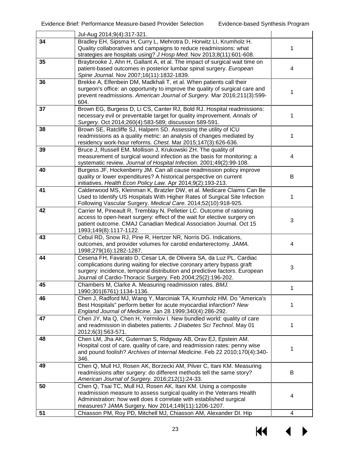|    | Jul-Aug 2014;9(4):317-321.                                                                                                                                                                                                                                                                 |   |
|----|--------------------------------------------------------------------------------------------------------------------------------------------------------------------------------------------------------------------------------------------------------------------------------------------|---|
| 34 | Bradley EH, Sipsma H, Curry L, Mehrotra D, Horwitz LI, Krumholz H.<br>Quality collaboratives and campaigns to reduce readmissions: what<br>strategies are hospitals using? J Hosp Med. Nov 2013;8(11):601-608.                                                                             | 1 |
| 35 | Braybrooke J, Ahn H, Gallant A, et al. The impact of surgical wait time on<br>patient-based outcomes in posterior lumbar spinal surgery. European<br>Spine Journal. Nov 2007;16(11):1832-1839.                                                                                             | 4 |
| 36 | Brekke A, Elfenbein DM, Madkhali T, et al. When patients call their<br>surgeon's office: an opportunity to improve the quality of surgical care and<br>prevent readmissions. American Journal of Surgery. Mar 2016;211(3):599-<br>604.                                                     | 1 |
| 37 | Brown EG, Burgess D, Li CS, Canter RJ, Bold RJ. Hospital readmissions:<br>necessary evil or preventable target for quality improvement. Annals of<br>Surgery. Oct 2014;260(4):583-589; discussion 589-591.                                                                                 | 1 |
| 38 | Brown SE, Ratcliffe SJ, Halpern SD. Assessing the utility of ICU<br>readmissions as a quality metric: an analysis of changes mediated by<br>residency work-hour reforms. Chest. Mar 2015;147(3):626-636.                                                                                   | 1 |
| 39 | Bruce J, Russell EM, Mollison J, Krukowski ZH. The quality of<br>measurement of surgical wound infection as the basis for monitoring: a<br>systematic review. Journal of Hospital Infection. 2001;49(2):99-108.                                                                            | 4 |
| 40 | Burgess JF, Hockenberry JM. Can all cause readmission policy improve<br>quality or lower expenditures? A historical perspective on current<br>initiatives. Health Econ Policy Law. Apr 2014;9(2):193-213.                                                                                  | B |
| 41 | Calderwood MS, Kleinman K, Bratzler DW, et al. Medicare Claims Can Be<br>Used to Identify US Hospitals With Higher Rates of Surgical Site Infection<br>Following Vascular Surgery. Medical Care. 2014;52(10):918-925.                                                                      | 1 |
| 42 | Carrier M, Pineault R, Tremblay N, Pelletier LC. Outcome of rationing<br>access to open-heart surgery: effect of the wait for elective surgery on<br>patient outcome. CMAJ Canadian Medical Association Journal. Oct 15<br>1993;149(8):1117-1122.                                          | 3 |
| 43 | Cebul RD, Snow RJ, Pine R, Hertzer NR, Norris DG. Indications,<br>outcomes, and provider volumes for carotid endarterectomy. JAMA.<br>1998;279(16):1282-1287.                                                                                                                              | 4 |
| 44 | Cesena FH, Favarato D, Cesar LA, de Oliveira SA, da Luz PL. Cardiac<br>complications during waiting for elective coronary artery bypass graft<br>surgery: incidence, temporal distribution and predictive factors. European<br>Journal of Cardio-Thoracic Surgery. Feb 2004;25(2):196-202. | 3 |
| 45 | Chambers M, Clarke A. Measuring readmission rates. BMJ.<br>1990;301(6761):1134-1136.                                                                                                                                                                                                       | 1 |
| 46 | Chen J, Radford MJ, Wang Y, Marciniak TA, Krumholz HM. Do "America's<br>Best Hospitals" perform better for acute myocardial infarction? New<br>England Journal of Medicine. Jan 28 1999;340(4):286-292.                                                                                    | 1 |
| 47 | Chen JY, Ma Q, Chen H, Yermilov I. New bundled world: quality of care<br>and readmission in diabetes patients. J Diabetes Sci Technol. May 01<br>2012;6(3):563-571.                                                                                                                        | 1 |
| 48 | Chen LM, Jha AK, Guterman S, Ridgway AB, Orav EJ, Epstein AM.<br>Hospital cost of care, quality of care, and readmission rates: penny wise<br>and pound foolish? Archives of Internal Medicine. Feb 22 2010;170(4):340-<br>346.                                                            | 1 |
| 49 | Chen Q, Mull HJ, Rosen AK, Borzecki AM, Pilver C, Itani KM. Measuring<br>readmissions after surgery: do different methods tell the same story?<br>American Journal of Surgery. 2016;212(1):24-33.                                                                                          | B |
| 50 | Chen Q, Tsai TC, Mull HJ, Rosen AK, Itani KM. Using a composite<br>readmission measure to assess surgical quality in the Veterans Health<br>Administration: how well does it correlate with established surgical<br>measures? JAMA Surgery. Nov 2014;149(11):1206-1207.                    | 4 |
| 51 | Chiasson PM, Roy PD, Mitchell MJ, Chiasson AM, Alexander DI. Hip                                                                                                                                                                                                                           | 4 |

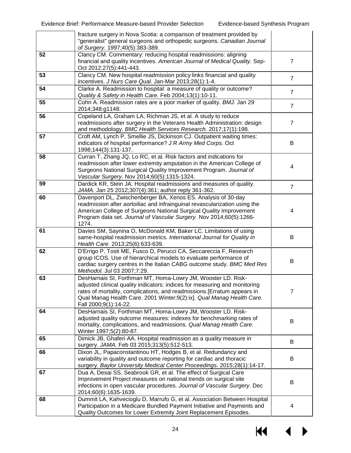|    | fracture surgery in Nova Scotia: a comparison of treatment provided by<br>"generalist" general surgeons and orthopedic surgeons. Canadian Journal<br>of Surgery. 1997;40(5):383-389.                                                                                                                                    |                |
|----|-------------------------------------------------------------------------------------------------------------------------------------------------------------------------------------------------------------------------------------------------------------------------------------------------------------------------|----------------|
| 52 | Clancy CM. Commentary: reducing hospital readmissions: aligning<br>financial and quality incentives. American Journal of Medical Quality. Sep-<br>Oct 2012;27(5):441-443.                                                                                                                                               | $\overline{7}$ |
| 53 | Clancy CM. New hospital readmission policy links financial and quality<br>incentives. J Nurs Care Qual. Jan-Mar 2013;28(1):1-4.                                                                                                                                                                                         | $\overline{7}$ |
| 54 | Clarke A. Readmission to hospital: a measure of quality or outcome?<br>Quality & Safety in Health Care. Feb 2004;13(1):10-11.                                                                                                                                                                                           | $\overline{7}$ |
| 55 | Cohn A. Readmission rates are a poor marker of quality. BMJ. Jan 29<br>2014;348:g1148.                                                                                                                                                                                                                                  | $\overline{7}$ |
| 56 | Copeland LA, Graham LA, Richman JS, et al. A study to reduce<br>readmissions after surgery in the Veterans Health Administration: design<br>and methodology. BMC Health Services Research. 2017;17(1):198.                                                                                                              | $\overline{7}$ |
| 57 | Croft AM, Lynch P, Smellie JS, Dickinson CJ. Outpatient waiting times:<br>indicators of hospital performance? J R Army Med Corps. Oct<br>1998;144(3):131-137.                                                                                                                                                           | B              |
| 58 | Curran T, Zhang JQ, Lo RC, et al. Risk factors and indications for<br>readmission after lower extremity amputation in the American College of<br>Surgeons National Surgical Quality Improvement Program. Journal of<br>Vascular Surgery. Nov 2014;60(5):1315-1324.                                                      | 4              |
| 59 | Dardick KR, Stein JA. Hospital readmissions and measures of quality.<br>JAMA. Jan 25 2012;307(4):361; author reply 361-362.                                                                                                                                                                                             | $\overline{7}$ |
| 60 | Davenport DL, Zwischenberger BA, Xenos ES. Analysis of 30-day<br>readmission after aortoiliac and infrainguinal revascularization using the<br>American College of Surgeons National Surgical Quality Improvement<br>Program data set. Journal of Vascular Surgery. Nov 2014;60(5):1266-<br>1274.                       | 4              |
| 61 | Davies SM, Saynina O, McDonald KM, Baker LC. Limitations of using<br>same-hospital readmission metrics. International Journal for Quality in<br>Health Care. 2013;25(6):633-639.                                                                                                                                        | B              |
| 62 | D'Errigo P, Tosti ME, Fusco D, Perucci CA, Seccareccia F, Research<br>group ICOS. Use of hierarchical models to evaluate performance of<br>cardiac surgery centres in the Italian CABG outcome study. BMC Med Res<br>Methodol. Jul 03 2007;7:29.                                                                        | B              |
| 63 | DesHarnais SI, Forthman MT, Homa-Lowry JM, Wooster LD. Risk-<br>adjusted clinical quality indicators: indices for measuring and monitoring<br>rates of mortality, complications, and readmissions.[Erratum appears in<br>Qual Manag Health Care. 2001 Winter;9(2):ix]. Qual Manag Health Care.<br>Fall 2000;9(1):14-22. | 7              |
| 64 | DesHarnais SI, Forthman MT, Homa-Lowry JM, Wooster LD. Risk-<br>adjusted quality outcome measures: indexes for benchmarking rates of<br>mortality, complications, and readmissions. Qual Manag Health Care.<br>Winter 1997;5(2):80-87.                                                                                  | B              |
| 65 | Dimick JB, Ghaferi AA. Hospital readmission as a quality measure in<br>surgery. JAMA. Feb 03 2015;313(5):512-513.                                                                                                                                                                                                       | B              |
| 66 | Dixon JL, Papaconstantinou HT, Hodges B, et al. Redundancy and<br>variability in quality and outcome reporting for cardiac and thoracic<br>surgery. Baylor University Medical Center Proceedings. 2015;28(1):14-17.                                                                                                     | B              |
| 67 | Dua A, Desai SS, Seabrook GR, et al. The effect of Surgical Care<br>Improvement Project measures on national trends on surgical site<br>infections in open vascular procedures. Journal of Vascular Surgery. Dec<br>2014;60(6):1635-1639.                                                                               | B              |
| 68 | Dummit LA, Kahvecioglu D, Marrufo G, et al. Association Between Hospital<br>Participation in a Medicare Bundled Payment Initiative and Payments and<br>Quality Outcomes for Lower Extremity Joint Replacement Episodes.                                                                                                 | 4              |

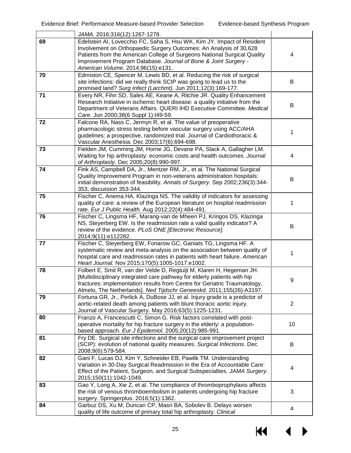|    | JAMA. 2016;316(12):1267-1278.                                                                                                                                                                                                                                                                                                     |                |
|----|-----------------------------------------------------------------------------------------------------------------------------------------------------------------------------------------------------------------------------------------------------------------------------------------------------------------------------------|----------------|
| 69 | Edelstein AI, Lovecchio FC, Saha S, Hsu WK, Kim JY. Impact of Resident<br>Involvement on Orthopaedic Surgery Outcomes: An Analysis of 30,628<br>Patients from the American College of Surgeons National Surgical Quality<br>Improvement Program Database. Journal of Bone & Joint Surgery -<br>American Volume. 2014;96(15):e131. | 4              |
| 70 | Edmiston CE, Spencer M, Lewis BD, et al. Reducing the risk of surgical<br>site infections: did we really think SCIP was going to lead us to the<br>promised land? Surg Infect (Larchmt). Jun 2011;12(3):169-177.                                                                                                                  | B              |
| 71 | Every NR, Fihn SD, Sales AE, Keane A, Ritchie JR. Quality Enhancement<br>Research Initiative in ischemic heart disease: a quality initiative from the<br>Department of Veterans Affairs. QUERI IHD Executive Committee. Medical<br>Care. Jun 2000;38(6 Suppl 1):149-59.                                                           | В              |
| 72 | Falcone RA, Nass C, Jermyn R, et al. The value of preoperative<br>pharmacologic stress testing before vascular surgery using ACC/AHA<br>guidelines: a prospective, randomized trial. Journal of Cardiothoracic &<br>Vascular Anesthesia. Dec 2003;17(6):694-698.                                                                  | 1              |
| 73 | Fielden JM, Cumming JM, Horne JG, Devane PA, Slack A, Gallagher LM.<br>Waiting for hip arthroplasty: economic costs and health outcomes. Journal<br>of Arthroplasty. Dec 2005;20(8):990-997.                                                                                                                                      | 4              |
| 74 | Fink AS, Campbell DA, Jr., Mentzer RM, Jr., et al. The National Surgical<br>Quality Improvement Program in non-veterans administration hospitals:<br>initial demonstration of feasibility. Annals of Surgery. Sep 2002;236(3):344-<br>353; discussion 353-344.                                                                    | B              |
| 75 | Fischer C, Anema HA, Klazinga NS. The validity of indicators for assessing<br>quality of care: a review of the European literature on hospital readmission<br>rate. Eur J Public Health. Aug 2012;22(4):484-491.                                                                                                                  | 1              |
| 76 | Fischer C, Lingsma HF, Marang-van de Mheen PJ, Kringos DS, Klazinga<br>NS, Steyerberg EW. Is the readmission rate a valid quality indicator? A<br>review of the evidence. PLoS ONE [Electronic Resource].<br>2014;9(11):e112282.                                                                                                  | B              |
| 77 | Fischer C, Steyerberg EW, Fonarow GC, Ganiats TG, Lingsma HF. A<br>systematic review and meta-analysis on the association between quality of<br>hospital care and readmission rates in patients with heart failure. American<br>Heart Journal. Nov 2015;170(5):1005-1017.e1002.                                                   | 1              |
| 78 | Folbert E, Smit R, van der Velde D, Regtuijt M, Klaren H, Hegeman JH.<br>[Multidisciplinary integrated care pathway for elderly patients with hip<br>fractures: implementation results from Centre for Geriatric Traumatology,<br>Almelo, The Netherlands]. Ned Tijdschr Geneeskd. 2011;155(26):A3197.                            | 9              |
| 79 | Fortuna GR, Jr., Perlick A, DuBose JJ, et al. Injury grade is a predictor of<br>aortic-related death among patients with blunt thoracic aortic injury.<br>Journal of Vascular Surgery. May 2016;63(5):1225-1231.                                                                                                                  | $\overline{2}$ |
| 80 | Franzo A, Francescutti C, Simon G. Risk factors correlated with post-<br>operative mortality for hip fracture surgery in the elderly: a population-<br>based approach. Eur J Epidemiol. 2005;20(12):985-991.                                                                                                                      | 10             |
| 81 | Fry DE. Surgical site infections and the surgical care improvement project<br>(SCIP): evolution of national quality measures. Surgical Infections. Dec<br>2008;9(6):579-584.                                                                                                                                                      | B              |
| 82 | Gani F, Lucas DJ, Kim Y, Schneider EB, Pawlik TM. Understanding<br>Variation in 30-Day Surgical Readmission in the Era of Accountable Care:<br>Effect of the Patient, Surgeon, and Surgical Subspecialties. JAMA Surgery.<br>2015;150(11):1042-1049.                                                                              | 4              |
| 83 | Gao Y, Long A, Xie Z, et al. The compliance of thromboprophylaxis affects<br>the risk of venous thromboembolism in patients undergoing hip fracture<br>surgery. Springerplus. 2016;5(1):1362.                                                                                                                                     | 3              |
| 84 | Garbuz DS, Xu M, Duncan CP, Masri BA, Sobolev B. Delays worsen<br>quality of life outcome of primary total hip arthroplasty. Clinical                                                                                                                                                                                             | 4              |

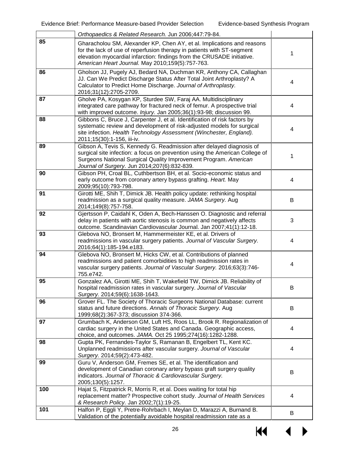|     | Orthopaedics & Related Research. Jun 2006;447:79-84.                                                                                                                                                                                                                           |   |
|-----|--------------------------------------------------------------------------------------------------------------------------------------------------------------------------------------------------------------------------------------------------------------------------------|---|
| 85  | Gharacholou SM, Alexander KP, Chen AY, et al. Implications and reasons<br>for the lack of use of reperfusion therapy in patients with ST-segment<br>elevation myocardial infarction: findings from the CRUSADE initiative.<br>American Heart Journal. May 2010;159(5):757-763. | 1 |
| 86  | Gholson JJ, Pugely AJ, Bedard NA, Duchman KR, Anthony CA, Callaghan<br>JJ. Can We Predict Discharge Status After Total Joint Arthroplasty? A<br>Calculator to Predict Home Discharge. Journal of Arthroplasty.<br>2016;31(12):2705-2709.                                       | 4 |
| 87  | Gholve PA, Kosygan KP, Sturdee SW, Faraj AA. Multidisciplinary<br>integrated care pathway for fractured neck of femur. A prospective trial<br>with improved outcome. Injury. Jan 2005;36(1):93-98; discussion 99.                                                              | 4 |
| 88  | Gibbons C, Bruce J, Carpenter J, et al. Identification of risk factors by<br>systematic review and development of risk-adjusted models for surgical<br>site infection. Health Technology Assessment (Winchester, England).<br>2011;15(30):1-156, iii-iv.                       | 4 |
| 89  | Gibson A, Tevis S, Kennedy G. Readmission after delayed diagnosis of<br>surgical site infection: a focus on prevention using the American College of<br>Surgeons National Surgical Quality Improvement Program. American<br>Journal of Surgery. Jun 2014;207(6):832-839.       | 1 |
| 90  | Gibson PH, Croal BL, Cuthbertson BH, et al. Socio-economic status and<br>early outcome from coronary artery bypass grafting. Heart. May<br>2009;95(10):793-798.                                                                                                                | 4 |
| 91  | Girotti ME, Shih T, Dimick JB. Health policy update: rethinking hospital<br>readmission as a surgical quality measure. JAMA Surgery. Aug<br>2014;149(8):757-758.                                                                                                               | B |
| 92  | Gjertsson P, Caidahl K, Oden A, Bech-Hanssen O. Diagnostic and referral<br>delay in patients with aortic stenosis is common and negatively affects<br>outcome. Scandinavian Cardiovascular Journal. Jan 2007;41(1):12-18.                                                      | 3 |
| 93  | Glebova NO, Bronsert M, Hammermeister KE, et al. Drivers of<br>readmissions in vascular surgery patients. Journal of Vascular Surgery.<br>2016;64(1):185-194.e183.                                                                                                             | 4 |
| 94  | Glebova NO, Bronsert M, Hicks CW, et al. Contributions of planned<br>readmissions and patient comorbidities to high readmission rates in<br>vascular surgery patients. Journal of Vascular Surgery. 2016;63(3):746-<br>755.e742.                                               | 4 |
| 95  | Gonzalez AA, Girotti ME, Shih T, Wakefield TW, Dimick JB. Reliability of<br>hospital readmission rates in vascular surgery. Journal of Vascular<br>Surgery. 2014;59(6):1638-1643.                                                                                              | В |
| 96  | Grover FL. The Society of Thoracic Surgeons National Database: current<br>status and future directions. Annals of Thoracic Surgery. Aug<br>1999;68(2):367-373; discussion 374-366.                                                                                             | B |
| 97  | Grumbach K, Anderson GM, Luft HS, Roos LL, Brook R. Regionalization of<br>cardiac surgery in the United States and Canada. Geographic access,<br>choice, and outcomes. JAMA. Oct 25 1995;274(16):1282-1288.                                                                    | 4 |
| 98  | Gupta PK, Fernandes-Taylor S, Ramanan B, Engelbert TL, Kent KC.<br>Unplanned readmissions after vascular surgery. Journal of Vascular<br>Surgery. 2014;59(2):473-482.                                                                                                          | 4 |
| 99  | Guru V, Anderson GM, Fremes SE, et al. The identification and<br>development of Canadian coronary artery bypass graft surgery quality<br>indicators. Journal of Thoracic & Cardiovascular Surgery.<br>2005;130(5):1257.                                                        | B |
| 100 | Hajat S, Fitzpatrick R, Morris R, et al. Does waiting for total hip<br>replacement matter? Prospective cohort study. Journal of Health Services<br>& Research Policy. Jan 2002;7(1):19-25.                                                                                     | 4 |
| 101 | Halfon P, Eggli Y, Pretre-Rohrbach I, Meylan D, Marazzi A, Burnand B.<br>Validation of the potentially avoidable hospital readmission rate as a                                                                                                                                | B |

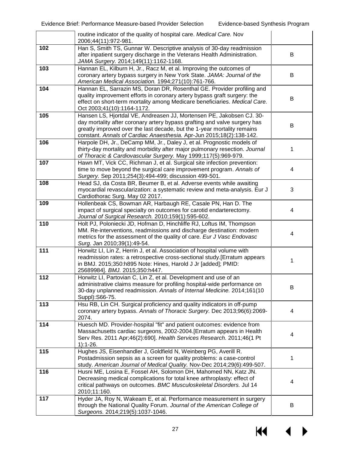|     | routine indicator of the quality of hospital care. Medical Care. Nov                                                                                                                                                                                                                                 |   |
|-----|------------------------------------------------------------------------------------------------------------------------------------------------------------------------------------------------------------------------------------------------------------------------------------------------------|---|
|     | 2006;44(11):972-981.                                                                                                                                                                                                                                                                                 |   |
| 102 | Han S, Smith TS, Gunnar W. Descriptive analysis of 30-day readmission<br>after inpatient surgery discharge in the Veterans Health Administration.<br>JAMA Surgery. 2014;149(11):1162-1168.                                                                                                           | B |
| 103 | Hannan EL, Kilburn H, Jr., Racz M, et al. Improving the outcomes of<br>coronary artery bypass surgery in New York State. JAMA: Journal of the<br>American Medical Association. 1994;271(10):761-766.                                                                                                 | B |
| 104 | Hannan EL, Sarrazin MS, Doran DR, Rosenthal GE. Provider profiling and<br>quality improvement efforts in coronary artery bypass graft surgery: the<br>effect on short-term mortality among Medicare beneficiaries. Medical Care.<br>Oct 2003;41(10):1164-1172.                                       | B |
| 105 | Hansen LS, Hjortdal VE, Andreasen JJ, Mortensen PE, Jakobsen CJ. 30-<br>day mortality after coronary artery bypass grafting and valve surgery has<br>greatly improved over the last decade, but the 1-year mortality remains<br>constant. Annals of Cardiac Anaesthesia. Apr-Jun 2015;18(2):138-142. | B |
| 106 | Harpole DH, Jr., DeCamp MM, Jr., Daley J, et al. Prognostic models of<br>thirty-day mortality and morbidity after major pulmonary resection. Journal<br>of Thoracic & Cardiovascular Surgery. May 1999;117(5):969-979.                                                                               |   |
| 107 | Hawn MT, Vick CC, Richman J, et al. Surgical site infection prevention:<br>time to move beyond the surgical care improvement program. Annals of<br>Surgery. Sep 2011;254(3):494-499; discussion 499-501.                                                                                             | 4 |
| 108 | Head SJ, da Costa BR, Beumer B, et al. Adverse events while awaiting<br>myocardial revascularization: a systematic review and meta-analysis. Eur J<br>Cardiothorac Surg. May 02 2017.                                                                                                                | 3 |
| 109 | Hollenbeak CS, Bowman AR, Harbaugh RE, Casale PN, Han D. The<br>impact of surgical specialty on outcomes for carotid endarterectomy.<br>Journal of Surgical Research. 2010;159(1):595-602.                                                                                                           | 4 |
| 110 | Holt PJ, Poloniecki JD, Hofman D, Hinchliffe RJ, Loftus IM, Thompson<br>MM. Re-interventions, readmissions and discharge destination: modern<br>metrics for the assessment of the quality of care. Eur J Vasc Endovasc<br>Surg. Jan 2010;39(1):49-54.                                                | 4 |
| 111 | Horwitz LI, Lin Z, Herrin J, et al. Association of hospital volume with<br>readmission rates: a retrospective cross-sectional study. [Erratum appears<br>in BMJ. 2015;350:h895 Note: Hines, Harold J Jr [added]; PMID:<br>25689984]. BMJ. 2015;350:h447.                                             | 1 |
| 112 | Horwitz LI, Partovian C, Lin Z, et al. Development and use of an<br>administrative claims measure for profiling hospital-wide performance on<br>30-day unplanned readmission. Annals of Internal Medicine. 2014;161(10<br>Suppl): S66-75.                                                            | B |
| 113 | Hsu RB, Lin CH. Surgical proficiency and quality indicators in off-pump<br>coronary artery bypass. Annals of Thoracic Surgery. Dec 2013;96(6):2069-<br>2074.                                                                                                                                         | 4 |
| 114 | Huesch MD. Provider-hospital "fit" and patient outcomes: evidence from<br>Massachusetts cardiac surgeons, 2002-2004. [Erratum appears in Health<br>Serv Res. 2011 Apr;46(2):690]. Health Services Research. 2011;46(1 Pt<br>$1):1-26.$                                                               | 4 |
| 115 | Hughes JS, Eisenhandler J, Goldfield N, Weinberg PG, Averill R.<br>Postadmission sepsis as a screen for quality problems: a case-control<br>study. American Journal of Medical Quality. Nov-Dec 2014;29(6):499-507.                                                                                  | 1 |
| 116 | Husni ME, Losina E, Fossel AH, Solomon DH, Mahomed NN, Katz JN.<br>Decreasing medical complications for total knee arthroplasty: effect of<br>critical pathways on outcomes. BMC Musculoskeletal Disorders. Jul 14<br>2010;11:160.                                                                   | 4 |
| 117 | Hyder JA, Roy N, Wakeam E, et al. Performance measurement in surgery<br>through the National Quality Forum. Journal of the American College of<br>Surgeons. 2014;219(5):1037-1046.                                                                                                                   | B |

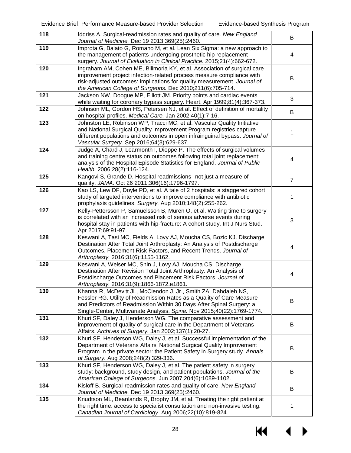| 118 | Iddriss A. Surgical-readmission rates and quality of care. New England<br>Journal of Medicine. Dec 19 2013;369(25):2460.                                                                                                                                                                    | B              |
|-----|---------------------------------------------------------------------------------------------------------------------------------------------------------------------------------------------------------------------------------------------------------------------------------------------|----------------|
| 119 | Improta G, Balato G, Romano M, et al. Lean Six Sigma: a new approach to<br>the management of patients undergoing prosthetic hip replacement<br>surgery. Journal of Evaluation in Clinical Practice. 2015;21(4):662-672.                                                                     | 4              |
| 120 | Ingraham AM, Cohen ME, Bilimoria KY, et al. Association of surgical care<br>improvement project infection-related process measure compliance with<br>risk-adjusted outcomes: implications for quality measurement. Journal of<br>the American College of Surgeons. Dec 2010;211(6):705-714. | В              |
| 121 | Jackson NW, Doogue MP, Elliott JM. Priority points and cardiac events<br>while waiting for coronary bypass surgery. Heart. Apr 1999;81(4):367-373.                                                                                                                                          | 3              |
| 122 | Johnson ML, Gordon HS, Petersen NJ, et al. Effect of definition of mortality<br>on hospital profiles. Medical Care. Jan 2002;40(1):7-16.                                                                                                                                                    | B              |
| 123 | Johnston LE, Robinson WP, Tracci MC, et al. Vascular Quality Initiative<br>and National Surgical Quality Improvement Program registries capture<br>different populations and outcomes in open infrainguinal bypass. Journal of<br>Vascular Surgery. Sep 2016;64(3):629-637.                 | 1              |
| 124 | Judge A, Chard J, Learmonth I, Dieppe P. The effects of surgical volumes<br>and training centre status on outcomes following total joint replacement:<br>analysis of the Hospital Episode Statistics for England. Journal of Public<br>Health. 2006;28(2):116-124.                          | 4              |
| 125 | Kangovi S, Grande D. Hospital readmissions--not just a measure of<br>quality. JAMA. Oct 26 2011;306(16):1796-1797.                                                                                                                                                                          | $\overline{7}$ |
| 126 | Kao LS, Lew DF, Doyle PD, et al. A tale of 2 hospitals: a staggered cohort<br>study of targeted interventions to improve compliance with antibiotic<br>prophylaxis guidelines. Surgery. Aug 2010;148(2):255-262.                                                                            | 1              |
| 127 | Kelly-Pettersson P, Samuelsson B, Muren O, et al. Waiting time to surgery<br>is correlated with an increased risk of serious adverse events during<br>hospital stay in patients with hip-fracture: A cohort study. Int J Nurs Stud.<br>Apr 2017;69:91-97.                                   | 3              |
| 128 | Keswani A, Tasi MC, Fields A, Lovy AJ, Moucha CS, Bozic KJ. Discharge<br>Destination After Total Joint Arthroplasty: An Analysis of Postdischarge<br>Outcomes, Placement Risk Factors, and Recent Trends. Journal of<br>Arthroplasty. 2016;31(6):1155-1162.                                 | 4              |
| 129 | Keswani A, Weiser MC, Shin J, Lovy AJ, Moucha CS. Discharge<br>Destination After Revision Total Joint Arthroplasty: An Analysis of<br>Postdischarge Outcomes and Placement Risk Factors. Journal of<br>Arthroplasty. 2016;31(9):1866-1872.e1861.                                            | 4              |
| 130 | Khanna R, McDevitt JL, McClendon J, Jr., Smith ZA, Dahdaleh NS,<br>Fessler RG. Utility of Readmission Rates as a Quality of Care Measure<br>and Predictors of Readmission Within 30 Days After Spinal Surgery: a<br>Single-Center, Multivariate Analysis. Spine. Nov 2015;40(22):1769-1774. | B              |
| 131 | Khuri SF, Daley J, Henderson WG. The comparative assessment and<br>improvement of quality of surgical care in the Department of Veterans<br>Affairs. Archives of Surgery. Jan 2002;137(1):20-27.                                                                                            | B              |
| 132 | Khuri SF, Henderson WG, Daley J, et al. Successful implementation of the<br>Department of Veterans Affairs' National Surgical Quality Improvement<br>Program in the private sector: the Patient Safety in Surgery study. Annals<br>of Surgery. Aug 2008;248(2):329-336.                     | В              |
| 133 | Khuri SF, Henderson WG, Daley J, et al. The patient safety in surgery<br>study: background, study design, and patient populations. Journal of the<br>American College of Surgeons. Jun 2007;204(6):1089-1102.                                                                               | B              |
| 134 | Kisloff B. Surgical-readmission rates and quality of care. New England<br>Journal of Medicine. Dec 19 2013;369(25):2460.                                                                                                                                                                    | B              |
| 135 | Knudtson ML, Beanlands R, Brophy JM, et al. Treating the right patient at<br>the right time: access to specialist consultation and non-invasive testing.<br>Canadian Journal of Cardiology. Aug 2006;22(10):819-824.                                                                        | 1              |

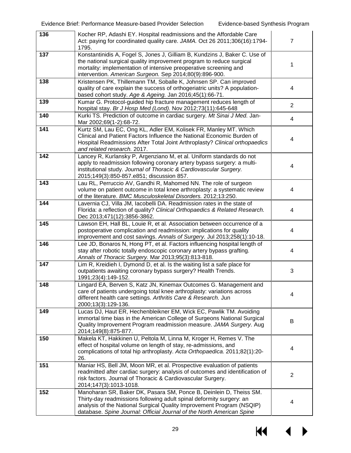| 136 | Kocher RP, Adashi EY. Hospital readmissions and the Affordable Care<br>Act: paying for coordinated quality care. JAMA. Oct 26 2011;306(16):1794-<br>1795.                                                                                                                                    | $\overline{7}$ |
|-----|----------------------------------------------------------------------------------------------------------------------------------------------------------------------------------------------------------------------------------------------------------------------------------------------|----------------|
| 137 | Konstantinidis A, Fogel S, Jones J, Gilliam B, Kundzins J, Baker C. Use of<br>the national surgical quality improvement program to reduce surgical<br>mortality: implementation of intensive preoperative screening and<br>intervention. American Surgeon. Sep 2014;80(9):896-900.           | 1              |
| 138 | Kristensen PK, Thillemann TM, Soballe K, Johnsen SP. Can improved<br>quality of care explain the success of orthogeriatric units? A population-<br>based cohort study. Age & Ageing. Jan 2016;45(1):66-71.                                                                                   | 4              |
| 139 | Kumar G. Protocol-guided hip fracture management reduces length of<br>hospital stay. Br J Hosp Med (Lond). Nov 2012;73(11):645-648                                                                                                                                                           | $\overline{2}$ |
| 140 | Kurki TS. Prediction of outcome in cardiac surgery. Mt Sinai J Med. Jan-<br>Mar 2002;69(1-2):68-72.                                                                                                                                                                                          | 4              |
| 141 | Kurtz SM, Lau EC, Ong KL, Adler EM, Kolisek FR, Manley MT. Which<br>Clinical and Patient Factors Influence the National Economic Burden of<br>Hospital Readmissions After Total Joint Arthroplasty? Clinical orthopaedics<br>and related research. 2017.                                     | 4              |
| 142 | Lancey R, Kurlansky P, Argenziano M, et al. Uniform standards do not<br>apply to readmission following coronary artery bypass surgery: a multi-<br>institutional study. Journal of Thoracic & Cardiovascular Surgery.<br>2015;149(3):850-857.e851; discussion 857.                           | 4              |
| 143 | Lau RL, Perruccio AV, Gandhi R, Mahomed NN. The role of surgeon<br>volume on patient outcome in total knee arthroplasty: a systematic review<br>of the literature. BMC Musculoskeletal Disorders. 2012;13:250.                                                                               | 4              |
| 144 | Lavernia CJ, Villa JM, Iacobelli DA. Readmission rates in the state of<br>Florida: a reflection of quality? Clinical Orthopaedics & Related Research.<br>Dec 2013;471(12):3856-3862.                                                                                                         | 4              |
| 145 | Lawson EH, Hall BL, Louie R, et al. Association between occurrence of a<br>postoperative complication and readmission: implications for quality<br>improvement and cost savings. Annals of Surgery. Jul 2013;258(1):10-18.                                                                   | 4              |
| 146 | Lee JD, Bonaros N, Hong PT, et al. Factors influencing hospital length of<br>stay after robotic totally endoscopic coronary artery bypass grafting.<br>Annals of Thoracic Surgery. Mar 2013;95(3):813-818.                                                                                   | 4              |
| 147 | Lim R, Kreidieh I, Dymond D, et al. Is the waiting list a safe place for<br>outpatients awaiting coronary bypass surgery? Health Trends.<br>1991;23(4):149-152.                                                                                                                              | 3              |
| 148 | Lingard EA, Berven S, Katz JN, Kinemax Outcomes G. Management and<br>care of patients undergoing total knee arthroplasty: variations across<br>different health care settings. Arthritis Care & Research. Jun<br>2000;13(3):129-136.                                                         | 4              |
| 149 | Lucas DJ, Haut ER, Hechenbleikner EM, Wick EC, Pawlik TM. Avoiding<br>immortal time bias in the American College of Surgeons National Surgical<br>Quality Improvement Program readmission measure. JAMA Surgery. Aug<br>2014;149(8):875-877.                                                 | В              |
| 150 | Makela KT, Hakkinen U, Peltola M, Linna M, Kroger H, Remes V. The<br>effect of hospital volume on length of stay, re-admissions, and<br>complications of total hip arthroplasty. Acta Orthopaedica. 2011;82(1):20-<br>26.                                                                    | 4              |
| 151 | Maniar HS, Bell JM, Moon MR, et al. Prospective evaluation of patients<br>readmitted after cardiac surgery: analysis of outcomes and identification of<br>risk factors. Journal of Thoracic & Cardiovascular Surgery.<br>2014;147(3):1013-1018.                                              | $\overline{2}$ |
| 152 | Manoharan SR, Baker DK, Pasara SM, Ponce B, Deinlein D, Theiss SM.<br>Thirty-day readmissions following adult spinal deformity surgery: an<br>analysis of the National Surgical Quality Improvement Program (NSQIP)<br>database. Spine Journal: Official Journal of the North American Spine | 4              |

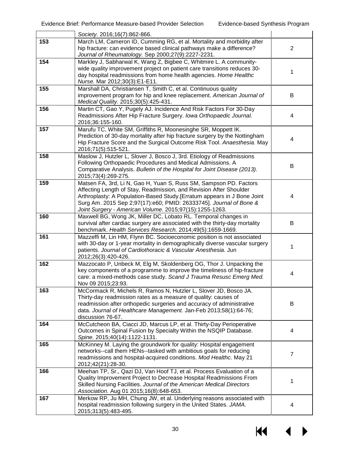|     | Society. 2016;16(7):862-866.                                                                                                                                                                                                                                                                                                                         |                |
|-----|------------------------------------------------------------------------------------------------------------------------------------------------------------------------------------------------------------------------------------------------------------------------------------------------------------------------------------------------------|----------------|
| 153 | March LM, Cameron ID, Cumming RG, et al. Mortality and morbidity after<br>hip fracture: can evidence based clinical pathways make a difference?<br>Journal of Rheumatology. Sep 2000;27(9):2227-2231.                                                                                                                                                | $\overline{2}$ |
| 154 | Markley J, Sabharwal K, Wang Z, Bigbee C, Whitmire L. A community-<br>wide quality improvement project on patient care transitions reduces 30-<br>day hospital readmissions from home health agencies. Home Healthc<br>Nurse. Mar 2012;30(3):E1-E11.                                                                                                 | 1              |
| 155 | Marshall DA, Christiansen T, Smith C, et al. Continuous quality<br>improvement program for hip and knee replacement. American Journal of<br>Medical Quality. 2015;30(5):425-431.                                                                                                                                                                     | B              |
| 156 | Martin CT, Gao Y, Pugely AJ. Incidence And Risk Factors For 30-Day<br>Readmissions After Hip Fracture Surgery. Iowa Orthopaedic Journal.<br>2016;36:155-160.                                                                                                                                                                                         | 4              |
| 157 | Marufu TC, White SM, Griffiths R, Moonesinghe SR, Moppett IK.<br>Prediction of 30-day mortality after hip fracture surgery by the Nottingham<br>Hip Fracture Score and the Surgical Outcome Risk Tool. Anaesthesia. May<br>2016;71(5):515-521.                                                                                                       | 4              |
| 158 | Maslow J, Hutzler L, Slover J, Bosco J, 3rd. Etiology of Readmissions<br>Following Orthopaedic Procedures and Medical Admissions. A<br>Comparative Analysis. Bulletin of the Hospital for Joint Disease (2013).<br>2015;73(4):269-275.                                                                                                               | В              |
| 159 | Matsen FA, 3rd, Li N, Gao H, Yuan S, Russ SM, Sampson PD. Factors<br>Affecting Length of Stay, Readmission, and Revision After Shoulder<br>Arthroplasty: A Population-Based Study. [Erratum appears in J Bone Joint<br>Surg Am. 2015 Sep 2;97(17):e60; PMID: 26333745]. Journal of Bone &<br>Joint Surgery - American Volume. 2015;97(15):1255-1263. | 4              |
| 160 | Maxwell BG, Wong JK, Miller DC, Lobato RL. Temporal changes in<br>survival after cardiac surgery are associated with the thirty-day mortality<br>benchmark. Health Services Research. 2014;49(5):1659-1669.                                                                                                                                          | B              |
| 161 | Mazzeffi M, Lin HM, Flynn BC. Socioeconomic position is not associated<br>with 30-day or 1-year mortality in demographically diverse vascular surgery<br>patients. Journal of Cardiothoracic & Vascular Anesthesia. Jun<br>2012;26(3):420-426.                                                                                                       | 1              |
| 162 | Mazzocato P, Unbeck M, Elg M, Skoldenberg OG, Thor J. Unpacking the<br>key components of a programme to improve the timeliness of hip-fracture<br>care: a mixed-methods case study. Scand J Trauma Resusc Emerg Med.<br>Nov 09 2015;23:93.                                                                                                           | 4              |
| 163 | McCormack R, Michels R, Ramos N, Hutzler L, Slover JD, Bosco JA.<br>Thirty-day readmission rates as a measure of quality: causes of<br>readmission after orthopedic surgeries and accuracy of administrative<br>data. Journal of Healthcare Management. Jan-Feb 2013;58(1):64-76;<br>discussion 76-67.                                               | B              |
| 164 | McCutcheon BA, Ciacci JD, Marcus LP, et al. Thirty-Day Perioperative<br>Outcomes in Spinal Fusion by Specialty Within the NSQIP Database.<br>Spine. 2015;40(14):1122-1131.                                                                                                                                                                           | 4              |
| 165 | McKinney M. Laying the groundwork for quality: Hospital engagement<br>networks--call them HENs--tasked with ambitious goals for reducing<br>readmissions and hospital-acquired conditions. Mod Healthc. May 21<br>2012;42(21):28-30.                                                                                                                 | 7              |
| 166 | Meehan TP, Sr., Qazi DJ, Van Hoof TJ, et al. Process Evaluation of a<br>Quality Improvement Project to Decrease Hospital Readmissions From<br>Skilled Nursing Facilities. Journal of the American Medical Directors<br>Association. Aug 01 2015;16(8):648-653.                                                                                       | 1              |
| 167 | Merkow RP, Ju MH, Chung JW, et al. Underlying reasons associated with<br>hospital readmission following surgery in the United States. JAMA.<br>2015;313(5):483-495.                                                                                                                                                                                  | 4              |

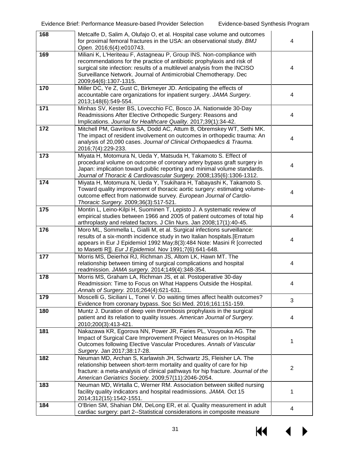| 168 | Metcalfe D, Salim A, Olufajo O, et al. Hospital case volume and outcomes<br>for proximal femoral fractures in the USA: an observational study. BMJ<br>Open. 2016;6(4):e010743.                                                                                                                                           | 4              |
|-----|--------------------------------------------------------------------------------------------------------------------------------------------------------------------------------------------------------------------------------------------------------------------------------------------------------------------------|----------------|
| 169 | Miliani K, L'Heriteau F, Astagneau P, Group INS. Non-compliance with<br>recommendations for the practice of antibiotic prophylaxis and risk of<br>surgical site infection: results of a multilevel analysis from the INCISO<br>Surveillance Network. Journal of Antimicrobial Chemotherapy. Dec<br>2009;64(6):1307-1315. | 4              |
| 170 | Miller DC, Ye Z, Gust C, Birkmeyer JD. Anticipating the effects of<br>accountable care organizations for inpatient surgery. JAMA Surgery.<br>2013;148(6):549-554.                                                                                                                                                        | 4              |
| 171 | Minhas SV, Kester BS, Lovecchio FC, Bosco JA. Nationwide 30-Day<br>Readmissions After Elective Orthopedic Surgery: Reasons and<br>Implications. Journal for Healthcare Quality. 2017;39(1):34-42.                                                                                                                        | 4              |
| 172 | Mitchell PM, Gavrilova SA, Dodd AC, Attum B, Obremskey WT, Sethi MK.<br>The impact of resident involvement on outcomes in orthopedic trauma: An<br>analysis of 20,090 cases. Journal of Clinical Orthopaedics & Trauma.<br>2016;7(4):229-233.                                                                            | 4              |
| 173 | Miyata H, Motomura N, Ueda Y, Matsuda H, Takamoto S. Effect of<br>procedural volume on outcome of coronary artery bypass graft surgery in<br>Japan: implication toward public reporting and minimal volume standards.<br>Journal of Thoracic & Cardiovascular Surgery. 2008;135(6):1306-1312.                            | 4              |
| 174 | Miyata H, Motomura N, Ueda Y, Tsukihara H, Tabayashi K, Takamoto S.<br>Toward quality improvement of thoracic aortic surgery: estimating volume-<br>outcome effect from nationwide survey. European Journal of Cardio-<br>Thoracic Surgery. 2009;36(3):517-521.                                                          | 4              |
| 175 | Montin L, Leino-Kilpi H, Suominen T, Lepisto J. A systematic review of<br>empirical studies between 1966 and 2005 of patient outcomes of total hip<br>arthroplasty and related factors. J Clin Nurs. Jan 2008;17(1):40-45.                                                                                               | 4              |
| 176 | Moro ML, Sommella L, Gialli M, et al. Surgical infections surveillance:<br>results of a six-month incidence study in two Italian hospitals.[Erratum<br>appears in Eur J Epidemiol 1992 May;8(3):484 Note: Masini R [corrected<br>to Masetti R]]. Eur J Epidemiol. Nov 1991;7(6):641-648.                                 | 4              |
| 177 | Morris MS, Deierhoi RJ, Richman JS, Altom LK, Hawn MT. The<br>relationship between timing of surgical complications and hospital<br>readmission. JAMA surgery. 2014;149(4):348-354.                                                                                                                                      | 4              |
| 178 | Morris MS, Graham LA, Richman JS, et al. Postoperative 30-day<br>Readmission: Time to Focus on What Happens Outside the Hospital.<br>Annals of Surgery. 2016;264(4):621-631.                                                                                                                                             | 4              |
| 179 | Moscelli G, Siciliani L, Tonei V. Do waiting times affect health outcomes?<br>Evidence from coronary bypass. Soc Sci Med. 2016;161:151-159.                                                                                                                                                                              | 3              |
| 180 | Muntz J. Duration of deep vein thrombosis prophylaxis in the surgical<br>patient and its relation to quality issues. American Journal of Surgery.<br>2010;200(3):413-421.                                                                                                                                                | 4              |
| 181 | Nakazawa KR, Egorova NN, Power JR, Faries PL, Vouyouka AG. The<br>Impact of Surgical Care Improvement Project Measures on In-Hospital<br>Outcomes following Elective Vascular Procedures. Annals of Vascular<br>Surgery. Jan 2017;38:17-28.                                                                              | 1              |
| 182 | Neuman MD, Archan S, Karlawish JH, Schwartz JS, Fleisher LA. The<br>relationship between short-term mortality and quality of care for hip<br>fracture: a meta-analysis of clinical pathways for hip fracture. Journal of the<br>American Geriatrics Society. 2009;57(11):2046-2054.                                      | $\overline{2}$ |
| 183 | Neuman MD, Wirtalla C, Werner RM. Association between skilled nursing<br>facility quality indicators and hospital readmissions. JAMA. Oct 15<br>2014;312(15):1542-1551.                                                                                                                                                  | 1              |
| 184 | O'Brien SM, Shahian DM, DeLong ER, et al. Quality measurement in adult<br>cardiac surgery: part 2--Statistical considerations in composite measure                                                                                                                                                                       | 4              |

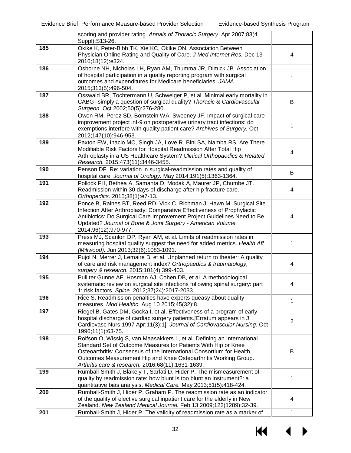|     | scoring and provider rating. Annals of Thoracic Surgery. Apr 2007;83(4<br>Suppl): S13-26.                                                                                                                                                                                                                                                 |   |
|-----|-------------------------------------------------------------------------------------------------------------------------------------------------------------------------------------------------------------------------------------------------------------------------------------------------------------------------------------------|---|
| 185 | Okike K, Peter-Bibb TK, Xie KC, Okike ON. Association Between<br>Physician Online Rating and Quality of Care. J Med Internet Res. Dec 13<br>2016;18(12):e324.                                                                                                                                                                             | 4 |
| 186 | Osborne NH, Nicholas LH, Ryan AM, Thumma JR, Dimick JB. Association<br>of hospital participation in a quality reporting program with surgical<br>outcomes and expenditures for Medicare beneficiaries. JAMA.<br>2015;313(5):496-504.                                                                                                      | 1 |
| 187 | Osswald BR, Tochtermann U, Schweiger P, et al. Minimal early mortality in<br>CABG--simply a question of surgical quality? Thoracic & Cardiovascular<br>Surgeon. Oct 2002;50(5):276-280.                                                                                                                                                   | B |
| 188 | Owen RM, Perez SD, Bornstein WA, Sweeney JF. Impact of surgical care<br>improvement project inf-9 on postoperative urinary tract infections: do<br>exemptions interfere with quality patient care? Archives of Surgery. Oct<br>2012;147(10):946-953.                                                                                      | 1 |
| 189 | Paxton EW, Inacio MC, Singh JA, Love R, Bini SA, Namba RS. Are There<br>Modifiable Risk Factors for Hospital Readmission After Total Hip<br>Arthroplasty in a US Healthcare System? Clinical Orthopaedics & Related<br>Research. 2015;473(11):3446-3455.                                                                                  | 4 |
| 190 | Penson DF. Re: variation in surgical-readmission rates and quality of<br>hospital care. Journal of Urology. May 2014;191(5):1363-1364.                                                                                                                                                                                                    | B |
| 191 | Pollock FH, Bethea A, Samanta D, Modak A, Maurer JP, Chumbe JT.<br>Readmission within 30 days of discharge after hip fracture care.<br>Orthopedics. 2015;38(1):e7-13.                                                                                                                                                                     | 4 |
| 192 | Ponce B, Raines BT, Reed RD, Vick C, Richman J, Hawn M. Surgical Site<br>Infection After Arthroplasty: Comparative Effectiveness of Prophylactic<br>Antibiotics: Do Surgical Care Improvement Project Guidelines Need to Be<br>Updated? Journal of Bone & Joint Surgery - American Volume.<br>2014;96(12):970-977.                        | 4 |
| 193 | Press MJ, Scanlon DP, Ryan AM, et al. Limits of readmission rates in<br>measuring hospital quality suggest the need for added metrics. Health Aff<br>(Millwood). Jun 2013;32(6):1083-1091.                                                                                                                                                | 1 |
| 194 | Pujol N, Merrer J, Lemaire B, et al. Unplanned return to theater: A quality<br>of care and risk management index? Orthopaedics & traumatology,<br>surgery & research. 2015;101(4):399-403.                                                                                                                                                | 4 |
| 195 | Pull ter Gunne AF, Hosman AJ, Cohen DB, et al. A methodological<br>systematic review on surgical site infections following spinal surgery: part<br>1: risk factors. Spine. 2012;37(24):2017-2033.                                                                                                                                         | 4 |
| 196 | Rice S. Readmission penalties have experts queasy about quality<br>measures. Mod Healthc. Aug 10 2015;45(32):8.                                                                                                                                                                                                                           | 1 |
| 197 | Riegel B, Gates DM, Gocka I, et al. Effectiveness of a program of early<br>hospital discharge of cardiac surgery patients.[Erratum appears in J<br>Cardiovasc Nurs 1997 Apr;11(3):1]. Journal of Cardiovascular Nursing. Oct<br>1996;11(1):63-75.                                                                                         | 2 |
| 198 | Rolfson O, Wissig S, van Maasakkers L, et al. Defining an International<br>Standard Set of Outcome Measures for Patients With Hip or Knee<br>Osteoarthritis: Consensus of the International Consortium for Health<br>Outcomes Measurement Hip and Knee Osteoarthritis Working Group.<br>Arthritis care & research. 2016;68(11):1631-1639. | В |
| 199 | Rumball-Smith J, Blakely T, Sarfati D, Hider P. The mismeasurement of<br>quality by readmission rate: how blunt is too blunt an instrument?: a<br>quantitative bias analysis. Medical Care. May 2013;51(5):418-424.                                                                                                                       | 1 |
| 200 | Rumball-Smith J, Hider P, Graham P. The readmission rate as an indicator<br>of the quality of elective surgical inpatient care for the elderly in New<br>Zealand. New Zealand Medical Journal. Feb 13 2009;122(1289):32-39.                                                                                                               | 4 |
| 201 | Rumball-Smith J, Hider P. The validity of readmission rate as a marker of                                                                                                                                                                                                                                                                 | 1 |

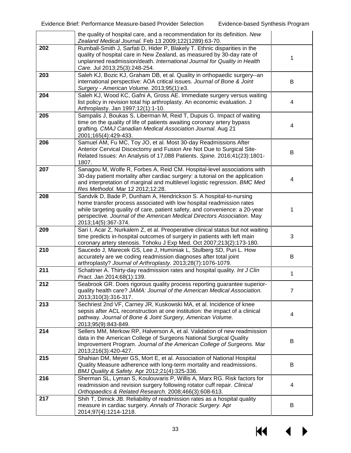|     | the quality of hospital care, and a recommendation for its definition. New<br>Zealand Medical Journal. Feb 13 2009;122(1289):63-70.                                                                                                                                                                                        |   |
|-----|----------------------------------------------------------------------------------------------------------------------------------------------------------------------------------------------------------------------------------------------------------------------------------------------------------------------------|---|
| 202 | Rumball-Smith J, Sarfati D, Hider P, Blakely T. Ethnic disparities in the<br>quality of hospital care in New Zealand, as measured by 30-day rate of<br>unplanned readmission/death. International Journal for Quality in Health<br>Care. Jul 2013;25(3):248-254.                                                           | 1 |
| 203 | Saleh KJ, Bozic KJ, Graham DB, et al. Quality in orthopaedic surgery--an<br>international perspective: AOA critical issues. Journal of Bone & Joint<br>Surgery - American Volume. 2013;95(1):e3.                                                                                                                           | B |
| 204 | Saleh KJ, Wood KC, Gafni A, Gross AE. Immediate surgery versus waiting<br>list policy in revision total hip arthroplasty. An economic evaluation. J<br>Arthroplasty. Jan 1997;12(1):1-10.                                                                                                                                  | 4 |
| 205 | Sampalis J, Boukas S, Liberman M, Reid T, Dupuis G. Impact of waiting<br>time on the quality of life of patients awaiting coronary artery bypass<br>grafting. CMAJ Canadian Medical Association Journal. Aug 21<br>2001;165(4):429-433.                                                                                    | 4 |
| 206 | Samuel AM, Fu MC, Toy JO, et al. Most 30-day Readmissions After<br>Anterior Cervical Discectomy and Fusion Are Not Due to Surgical Site-<br>Related Issues: An Analysis of 17,088 Patients. Spine. 2016;41(23):1801-<br>1807.                                                                                              | B |
| 207 | Sanagou M, Wolfe R, Forbes A, Reid CM. Hospital-level associations with<br>30-day patient mortality after cardiac surgery: a tutorial on the application<br>and interpretation of marginal and multilevel logistic regression. BMC Med<br>Res Methodol. Mar 12 2012;12:28.                                                 | 4 |
| 208 | Sandvik D, Bade P, Dunham A, Hendrickson S. A hospital-to-nursing<br>home transfer process associated with low hospital readmission rates<br>while targeting quality of care, patient safety, and convenience: a 20-year<br>perspective. Journal of the American Medical Directors Association. May<br>2013;14(5):367-374. | 1 |
| 209 | Sari I, Acar Z, Nurkalem Z, et al. Preoperative clinical status but not waiting<br>time predicts in-hospital outcomes of surgery in patients with left main<br>coronary artery stenosis. Tohoku J Exp Med. Oct 2007;213(2):173-180.                                                                                        | 3 |
| 210 | Saucedo J, Marecek GS, Lee J, Huminiak L, Stulberg SD, Puri L. How<br>accurately are we coding readmission diagnoses after total joint<br>arthroplasty? Journal of Arthroplasty. 2013;28(7):1076-1079.                                                                                                                     | B |
| 211 | Schattner A. Thirty-day readmission rates and hospital quality. Int J Clin<br>Pract. Jan 2014;68(1):139.                                                                                                                                                                                                                   | 1 |
| 212 | Seabrook GR. Does rigorous quality process reporting guarantee superior-<br>quality health care? JAMA: Journal of the American Medical Association.<br>2013;310(3):316-317.                                                                                                                                                | 7 |
| 213 | Sechriest 2nd VF, Carney JR, Kuskowski MA, et al. Incidence of knee<br>sepsis after ACL reconstruction at one institution: the impact of a clinical<br>pathway. Journal of Bone & Joint Surgery, American Volume.<br>2013;95(9):843-849.                                                                                   | 4 |
| 214 | Sellers MM, Merkow RP, Halverson A, et al. Validation of new readmission<br>data in the American College of Surgeons National Surgical Quality<br>Improvement Program. Journal of the American College of Surgeons. Mar<br>2013;216(3):420-427.                                                                            | В |
| 215 | Shahian DM, Meyer GS, Mort E, et al. Association of National Hospital<br>Quality Measure adherence with long-term mortality and readmissions.<br>BMJ Quality & Safety. Apr 2012;21(4):325-336.                                                                                                                             | B |
| 216 | Sherman SL, Lyman S, Koulouvaris P, Willis A, Marx RG. Risk factors for<br>readmission and revision surgery following rotator cuff repair. Clinical<br>Orthopaedics & Related Research. 2008;466(3):608-613.                                                                                                               | 4 |
| 217 | Shih T, Dimick JB. Reliability of readmission rates as a hospital quality<br>measure in cardiac surgery. Annals of Thoracic Surgery. Apr<br>2014;97(4):1214-1218.                                                                                                                                                          | B |

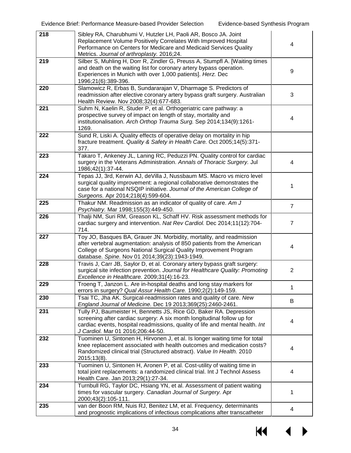| 218 | Sibley RA, Charubhumi V, Hutzler LH, Paoli AR, Bosco JA. Joint<br>Replacement Volume Positively Correlates With Improved Hospital                                                                                                                                       |                |
|-----|-------------------------------------------------------------------------------------------------------------------------------------------------------------------------------------------------------------------------------------------------------------------------|----------------|
|     | Performance on Centers for Medicare and Medicaid Services Quality<br>Metrics. Journal of arthroplasty. 2016;24.                                                                                                                                                         | 4              |
| 219 | Silber S, Muhling H, Dorr R, Zindler G, Preuss A, Stumpfl A. [Waiting times<br>and death on the waiting list for coronary artery bypass operation.<br>Experiences in Munich with over 1,000 patients]. Herz. Dec<br>1996;21(6):389-396.                                 | 9              |
| 220 | Slamowicz R, Erbas B, Sundararajan V, Dharmage S. Predictors of<br>readmission after elective coronary artery bypass graft surgery. Australian<br>Health Review. Nov 2008;32(4):677-683.                                                                                | 3              |
| 221 | Suhm N, Kaelin R, Studer P, et al. Orthogeriatric care pathway: a<br>prospective survey of impact on length of stay, mortality and<br>institutionalisation. Arch Orthop Trauma Surg. Sep 2014;134(9):1261-<br>1269.                                                     | 4              |
| 222 | Sund R, Liski A. Quality effects of operative delay on mortality in hip<br>fracture treatment. Quality & Safety in Health Care. Oct 2005;14(5):371-<br>377.                                                                                                             |                |
| 223 | Takaro T, Ankeney JL, Laning RC, Peduzzi PN. Quality control for cardiac<br>surgery in the Veterans Administration. Annals of Thoracic Surgery. Jul<br>1986;42(1):37-44.                                                                                                | 4              |
| 224 | Tepas JJ, 3rd, Kerwin AJ, deVilla J, Nussbaum MS. Macro vs micro level<br>surgical quality improvement: a regional collaborative demonstrates the<br>case for a national NSQIP initiative. Journal of the American College of<br>Surgeons. Apr 2014;218(4):599-604.     | 1              |
| 225 | Thakur NM. Readmission as an indicator of quality of care. Am J<br>Psychiatry. Mar 1998;155(3):449-450.                                                                                                                                                                 | $\overline{7}$ |
| 226 | Thalji NM, Suri RM, Greason KL, Schaff HV. Risk assessment methods for<br>cardiac surgery and intervention. Nat Rev Cardiol. Dec 2014;11(12):704-<br>714.                                                                                                               | $\overline{7}$ |
| 227 | Toy JO, Basques BA, Grauer JN. Morbidity, mortality, and readmission<br>after vertebral augmentation: analysis of 850 patients from the American<br>College of Surgeons National Surgical Quality Improvement Program<br>database. Spine. Nov 01 2014;39(23):1943-1949. | 4              |
| 228 | Travis J, Carr JB, Saylor D, et al. Coronary artery bypass graft surgery:<br>surgical site infection prevention. Journal for Healthcare Quality: Promoting<br>Excellence in Healthcare. 2009;31(4):16-23.                                                               | $\overline{2}$ |
| 229 | Troeng T, Janzon L. Are in-hospital deaths and long stay markers for<br>errors in surgery? Qual Assur Health Care. 1990;2(2):149-159.                                                                                                                                   | 1              |
| 230 | Tsai TC, Jha AK. Surgical-readmission rates and quality of care. New<br>England Journal of Medicine. Dec 19 2013;369(25):2460-2461.                                                                                                                                     | B              |
| 231 | Tully PJ, Baumeister H, Bennetts JS, Rice GD, Baker RA. Depression<br>screening after cardiac surgery: A six month longitudinal follow up for<br>cardiac events, hospital readmissions, quality of life and mental health. Int<br>J Cardiol. Mar 01 2016;206:44-50.     | 4              |
| 232 | Tuominen U, Sintonen H, Hirvonen J, et al. Is longer waiting time for total<br>knee replacement associated with health outcomes and medication costs?<br>Randomized clinical trial (Structured abstract). Value In Health. 2010<br>2015;13(8).                          | 4              |
| 233 | Tuominen U, Sintonen H, Aronen P, et al. Cost-utility of waiting time in<br>total joint replacements: a randomized clinical trial. Int J Technol Assess<br>Health Care. Jan 2013;29(1):27-34.                                                                           | 4              |
| 234 | Turnbull RG, Taylor DC, Hsiang YN, et al. Assessment of patient waiting<br>times for vascular surgery. Canadian Journal of Surgery. Apr<br>2000;43(2):105-111.                                                                                                          | 1              |
| 235 | van der Boon RM, Nuis RJ, Benitez LM, et al. Frequency, determinants<br>and prognostic implications of infectious complications after transcatheter                                                                                                                     | 4              |

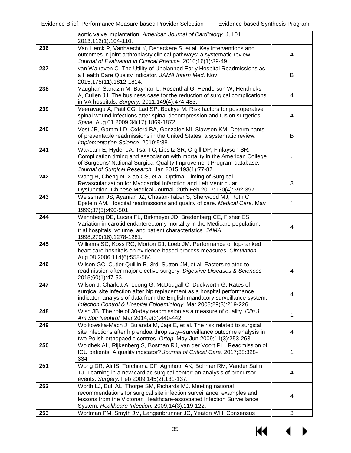|     | aortic valve implantation. American Journal of Cardiology. Jul 01<br>2013;112(1):104-110.                                                                |   |
|-----|----------------------------------------------------------------------------------------------------------------------------------------------------------|---|
| 236 | Van Herck P, Vanhaecht K, Deneckere S, et al. Key interventions and                                                                                      |   |
|     | outcomes in joint arthroplasty clinical pathways: a systematic review.<br>Journal of Evaluation in Clinical Practice. 2010;16(1):39-49.                  | 4 |
| 237 | van Walraven C. The Utility of Unplanned Early Hospital Readmissions as                                                                                  |   |
|     | a Health Care Quality Indicator. JAMA Intern Med. Nov                                                                                                    | В |
|     | 2015;175(11):1812-1814.                                                                                                                                  |   |
| 238 | Vaughan-Sarrazin M, Bayman L, Rosenthal G, Henderson W, Hendricks                                                                                        |   |
|     | A, Cullen JJ. The business case for the reduction of surgical complications<br>in VA hospitals. Surgery. 2011;149(4):474-483.                            | 4 |
| 239 | Veeravagu A, Patil CG, Lad SP, Boakye M. Risk factors for postoperative                                                                                  |   |
|     | spinal wound infections after spinal decompression and fusion surgeries.                                                                                 | 4 |
|     | Spine. Aug 01 2009;34(17):1869-1872.                                                                                                                     |   |
| 240 | Vest JR, Gamm LD, Oxford BA, Gonzalez MI, Slawson KM. Determinants                                                                                       |   |
|     | of preventable readmissions in the United States: a systematic review.<br>Implementation Science. 2010;5:88.                                             | В |
| 241 | Wakeam E, Hyder JA, Tsai TC, Lipsitz SR, Orgill DP, Finlayson SR.                                                                                        |   |
|     | Complication timing and association with mortality in the American College                                                                               | 1 |
|     | of Surgeons' National Surgical Quality Improvement Program database.                                                                                     |   |
| 242 | Journal of Surgical Research. Jan 2015;193(1):77-87.<br>Wang R, Cheng N, Xiao CS, et al. Optimal Timing of Surgical                                      |   |
|     | Revascularization for Myocardial Infarction and Left Ventricular                                                                                         | 3 |
|     | Dysfunction. Chinese Medical Journal. 20th Feb 2017;130(4):392-397.                                                                                      |   |
| 243 | Weissman JS, Ayanian JZ, Chasan-Taber S, Sherwood MJ, Roth C,                                                                                            |   |
|     | Epstein AM. Hospital readmissions and quality of care. Medical Care. May<br>1999;37(5):490-501.                                                          | 1 |
| 244 | Wennberg DE, Lucas FL, Birkmeyer JD, Bredenberg CE, Fisher ES.                                                                                           |   |
|     | Variation in carotid endarterectomy mortality in the Medicare population:                                                                                | 4 |
|     | trial hospitals, volume, and patient characteristics. JAMA.<br>1998;279(16):1278-1281.                                                                   |   |
| 245 | Williams SC, Koss RG, Morton DJ, Loeb JM. Performance of top-ranked                                                                                      |   |
|     | heart care hospitals on evidence-based process measures. Circulation.                                                                                    | 1 |
|     | Aug 08 2006;114(6):558-564.                                                                                                                              |   |
| 246 | Wilson GC, Cutler Quillin R, 3rd, Sutton JM, et al. Factors related to<br>readmission after major elective surgery. Digestive Diseases & Sciences.       | 4 |
|     | 2015;60(1):47-53.                                                                                                                                        |   |
| 247 | Wilson J, Charlett A, Leong G, McDougall C, Duckworth G. Rates of                                                                                        |   |
|     | surgical site infection after hip replacement as a hospital performance<br>indicator: analysis of data from the English mandatory surveillance system.   | 4 |
|     | Infection Control & Hospital Epidemiology. Mar 2008;29(3):219-226.                                                                                       |   |
| 248 | Wish JB. The role of 30-day readmission as a measure of quality. Clin J                                                                                  | 1 |
|     | Am Soc Nephrol. Mar 2014;9(3):440-442.                                                                                                                   |   |
| 249 | Wojkowska-Mach J, Bulanda M, Jaje E, et al. The risk related to surgical<br>site infections after hip endoarthroplasty--surveillance outcome analysis in | 4 |
|     | two Polish orthopaedic centres. Ortop. May-Jun 2009;11(3):253-263.                                                                                       |   |
| 250 | Woldhek AL, Rijkenberg S, Bosman RJ, van der Voort PH. Readmission of                                                                                    |   |
|     | ICU patients: A quality indicator? Journal of Critical Care. 2017;38:328-                                                                                | 1 |
| 251 | 334.<br>Wong DR, Ali IS, Torchiana DF, Agnihotri AK, Bohmer RM, Vander Salm                                                                              |   |
|     | TJ. Learning in a new cardiac surgical center: an analysis of precursor                                                                                  | 4 |
|     | events. Surgery. Feb 2009;145(2):131-137.                                                                                                                |   |
| 252 | Worth LJ, Bull AL, Thorpe SM, Richards MJ. Meeting national                                                                                              |   |
|     | recommendations for surgical site infection surveillance: examples and<br>lessons from the Victorian Healthcare-associated Infection Surveillance        | 4 |
|     | System. Healthcare Infection. 2009;14(3):119-122.                                                                                                        |   |
| 253 | Wortman PM, Smyth JM, Langenbrunner JC, Yeaton WH. Consensus                                                                                             | 3 |

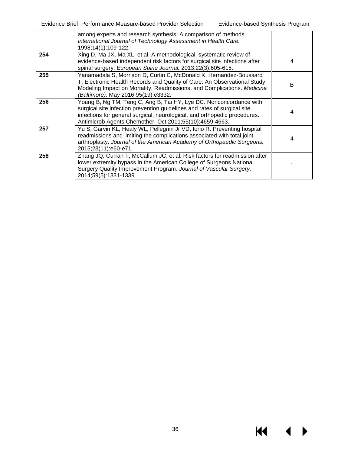|     | among experts and research synthesis. A comparison of methods.<br>International Journal of Technology Assessment in Health Care.<br>1998;14(1):109-122.                                                                                                                                |   |
|-----|----------------------------------------------------------------------------------------------------------------------------------------------------------------------------------------------------------------------------------------------------------------------------------------|---|
| 254 | Xing D, Ma JX, Ma XL, et al. A methodological, systematic review of<br>evidence-based independent risk factors for surgical site infections after<br>spinal surgery. European Spine Journal. 2013;22(3):605-615.                                                                       | 4 |
| 255 | Yanamadala S, Morrison D, Curtin C, McDonald K, Hernandez-Boussard<br>T. Electronic Health Records and Quality of Care: An Observational Study<br>Modeling Impact on Mortality, Readmissions, and Complications. Medicine<br>(Baltimore). May 2016;95(19):e3332.                       | B |
| 256 | Young B, Ng TM, Teng C, Ang B, Tai HY, Lye DC. Nonconcordance with<br>surgical site infection prevention guidelines and rates of surgical site<br>infections for general surgical, neurological, and orthopedic procedures.<br>Antimicrob Agents Chemother. Oct 2011;55(10):4659-4663. | 4 |
| 257 | Yu S, Garvin KL, Healy WL, Pellegrini Jr VD, Iorio R. Preventing hospital<br>readmissions and limiting the complications associated with total joint<br>arthroplasty. Journal of the American Academy of Orthopaedic Surgeons.<br>2015;23(11):e60-e71.                                 | 4 |
| 258 | Zhang JQ, Curran T, McCallum JC, et al. Risk factors for readmission after<br>lower extremity bypass in the American College of Surgeons National<br>Surgery Quality Improvement Program. Journal of Vascular Surgery.<br>2014;59(5):1331-1339.                                        |   |

 $M \rightarrow$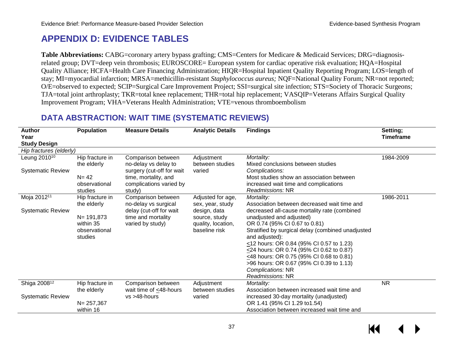## **APPENDIX D: EVIDENCE TABLES**

**Table Abbreviations:** CABG=coronary artery bypass grafting; CMS=Centers for Medicare & Medicaid Services; DRG=diagnosisrelated group; DVT=deep vein thrombosis; EUROSCORE= European system for cardiac operative risk evaluation; HQA=Hospital Quality Alliance; HCFA=Health Care Financing Administration; HIQR=Hospital Inpatient Quality Reporting Program; LOS=length of stay; MI=myocardial infarction; MRSA=methicillin-resistant *Staphylococcus aureus;* NQF=National Quality Forum; NR=not reported; O/E=observed to expected; SCIP=Surgical Care Improvement Project; SSI=surgical site infection; STS=Society of Thoracic Surgeons; TJA=total joint arthroplasty; TKR=total knee replacement; THR=total hip replacement; VASQIP=Veterans Affairs Surgical Quality Improvement Program; VHA=Veterans Health Administration; VTE=venous thromboembolism

### **DATA ABSTRACTION: WAIT TIME (SYSTEMATIC REVIEWS)**

| <b>Author</b><br>Year<br><b>Study Design</b>         | <b>Population</b>                                                                        | <b>Measure Details</b>                                                                                                               | <b>Analytic Details</b>                                                                                       | <b>Findings</b>                                                                                                                                                                                                                                                                                                                                                                                                                                                        | Setting;<br><b>Timeframe</b> |
|------------------------------------------------------|------------------------------------------------------------------------------------------|--------------------------------------------------------------------------------------------------------------------------------------|---------------------------------------------------------------------------------------------------------------|------------------------------------------------------------------------------------------------------------------------------------------------------------------------------------------------------------------------------------------------------------------------------------------------------------------------------------------------------------------------------------------------------------------------------------------------------------------------|------------------------------|
| Hip fractures (elderly)                              |                                                                                          |                                                                                                                                      |                                                                                                               |                                                                                                                                                                                                                                                                                                                                                                                                                                                                        |                              |
| Leung 2010 <sup>10</sup><br><b>Systematic Review</b> | Hip fracture in<br>the elderly<br>$N = 42$<br>observational<br>studies                   | Comparison between<br>no-delay vs delay to<br>surgery (cut-off for wait<br>time, mortality, and<br>complications varied by<br>study) | Adjustment<br>between studies<br>varied                                                                       | Mortality:<br>Mixed conclusions between studies<br>Complications:<br>Most studies show an association between<br>increased wait time and complications<br>Readmissions: NR                                                                                                                                                                                                                                                                                             | 1984-2009                    |
| Moja 2012 <sup>11</sup><br><b>Systematic Review</b>  | Hip fracture in<br>the elderly<br>$N = 191,873$<br>within 35<br>observational<br>studies | Comparison between<br>no-delay vs surgical<br>delay (cut-off for wait<br>time and mortality<br>varied by study)                      | Adjusted for age,<br>sex, year, study<br>design, data<br>source, study<br>quality, location,<br>baseline risk | Mortality:<br>Association between decreased wait time and<br>decreased all-cause mortality rate (combined<br>unadjusted and adjusted)<br>OR 0.74 (95% CI 0.67 to 0.81)<br>Stratified by surgical delay (combined unadjusted<br>and adjusted):<br><12 hours: OR 0.84 (95% CI 0.57 to 1.23)<br><24 hours: OR 0.74 (95% CI 0.62 to 0.87)<br>≤48 hours: OR 0.75 (95% CI 0.68 to 0.81)<br>>96 hours: OR 0.67 (95% CI 0.39 to 1.13)<br>Complications: NR<br>Readmissions: NR | 1986-2011                    |
| Shiga 2008 <sup>12</sup><br><b>Systematic Review</b> | Hip fracture in<br>the elderly<br>$N = 257,367$<br>within 16                             | Comparison between<br>wait time of $\leq$ 48-hours<br>vs >48-hours                                                                   | Adjustment<br>between studies<br>varied                                                                       | Mortality:<br>Association between increased wait time and<br>increased 30-day mortality (unadjusted)<br>OR 1.41 (95% CI 1.29 to 1.54)<br>Association between increased wait time and                                                                                                                                                                                                                                                                                   | <b>NR</b>                    |

37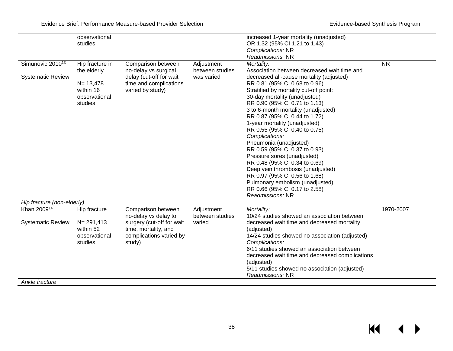$\leftrightarrow$ 

 $H$ 

|                              | observational   |                           |                 | increased 1-year mortality (unadjusted)         |           |
|------------------------------|-----------------|---------------------------|-----------------|-------------------------------------------------|-----------|
|                              | studies         |                           |                 | OR 1.32 (95% CI 1.21 to 1.43)                   |           |
|                              |                 |                           |                 | Complications: NR                               |           |
|                              |                 |                           |                 | Readmissions: NR                                |           |
| Simunovic 2010 <sup>13</sup> | Hip fracture in | Comparison between        | Adjustment      | Mortality:                                      | <b>NR</b> |
|                              | the elderly     | no-delay vs surgical      | between studies | Association between decreased wait time and     |           |
| <b>Systematic Review</b>     |                 | delay (cut-off for wait   | was varied      | decreased all-cause mortality (adjusted)        |           |
|                              | $N = 13,478$    | time and complications    |                 | RR 0.81 (95% CI 0.68 to 0.96)                   |           |
|                              | within 16       | varied by study)          |                 | Stratified by mortality cut-off point:          |           |
|                              | observational   |                           |                 | 30-day mortality (unadjusted)                   |           |
|                              | studies         |                           |                 | RR 0.90 (95% CI 0.71 to 1.13)                   |           |
|                              |                 |                           |                 | 3 to 6-month mortality (unadjusted)             |           |
|                              |                 |                           |                 | RR 0.87 (95% CI 0.44 to 1.72)                   |           |
|                              |                 |                           |                 | 1-year mortality (unadjusted)                   |           |
|                              |                 |                           |                 | RR 0.55 (95% CI 0.40 to 0.75)                   |           |
|                              |                 |                           |                 | Complications:                                  |           |
|                              |                 |                           |                 | Pneumonia (unadjusted)                          |           |
|                              |                 |                           |                 | RR 0.59 (95% CI 0.37 to 0.93)                   |           |
|                              |                 |                           |                 | Pressure sores (unadjusted)                     |           |
|                              |                 |                           |                 | RR 0.48 (95% CI 0.34 to 0.69)                   |           |
|                              |                 |                           |                 | Deep vein thrombosis (unadjusted)               |           |
|                              |                 |                           |                 | RR 0.97 (95% CI 0.56 to 1.68)                   |           |
|                              |                 |                           |                 | Pulmonary embolism (unadjusted)                 |           |
|                              |                 |                           |                 | RR 0.66 (95% CI 0.17 to 2.58)                   |           |
|                              |                 |                           |                 | Readmissions: NR                                |           |
| Hip fracture (non-elderly)   |                 |                           |                 |                                                 |           |
| Khan 200914                  | Hip fracture    | Comparison between        | Adjustment      | Mortality:                                      | 1970-2007 |
|                              |                 | no-delay vs delay to      | between studies | 10/24 studies showed an association between     |           |
| <b>Systematic Review</b>     | $N = 291,413$   | surgery (cut-off for wait | varied          | decreased wait time and decreased mortality     |           |
|                              | within 52       | time, mortality, and      |                 | (adjusted)                                      |           |
|                              | observational   | complications varied by   |                 | 14/24 studies showed no association (adjusted)  |           |
|                              | studies         | study)                    |                 | Complications:                                  |           |
|                              |                 |                           |                 | 6/11 studies showed an association between      |           |
|                              |                 |                           |                 | decreased wait time and decreased complications |           |
|                              |                 |                           |                 | (adjusted)                                      |           |
|                              |                 |                           |                 | 5/11 studies showed no association (adjusted)   |           |
|                              |                 |                           |                 | Readmissions: NR                                |           |

*Ankle fracture*

38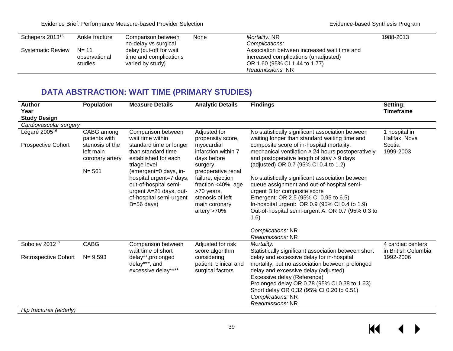| Schepers 2013 <sup>15</sup> | Ankle fracture | Comparison between      | None | <i>Mortality: NR</i>                        | 1988-2013 |
|-----------------------------|----------------|-------------------------|------|---------------------------------------------|-----------|
|                             |                | no-delay vs surgical    |      | Complications:                              |           |
| <b>Systematic Review</b>    | N= 11          | delay (cut-off for wait |      | Association between increased wait time and |           |
|                             | observational  | time and complications  |      | increased complications (unadjusted)        |           |
|                             | studies        | varied by study)        |      | OR 1.60 (95% CI 1.44 to 1.77)               |           |
|                             |                |                         |      | Readmissions: NR                            |           |

## **DATA ABSTRACTION: WAIT TIME (PRIMARY STUDIES)**

| <b>Author</b><br>Year<br><b>Study Design</b> | <b>Population</b>                               | <b>Measure Details</b>                                                                                                                         | <b>Analytic Details</b>                                                                                                         | <b>Findings</b>                                                                                                                                                                                                                                                                                            | Setting;<br><b>Timeframe</b>             |
|----------------------------------------------|-------------------------------------------------|------------------------------------------------------------------------------------------------------------------------------------------------|---------------------------------------------------------------------------------------------------------------------------------|------------------------------------------------------------------------------------------------------------------------------------------------------------------------------------------------------------------------------------------------------------------------------------------------------------|------------------------------------------|
| Cardiovascular surgery                       |                                                 |                                                                                                                                                |                                                                                                                                 |                                                                                                                                                                                                                                                                                                            |                                          |
| Légaré 2005 <sup>16</sup>                    | CABG among<br>patients with                     | Comparison between<br>wait time within                                                                                                         | Adjusted for<br>propensity score,                                                                                               | No statistically significant association between<br>waiting longer than standard waiting time and                                                                                                                                                                                                          | 1 hospital in<br>Halifax, Nova           |
| <b>Prospective Cohort</b>                    | stenosis of the<br>left main<br>coronary artery | standard time or longer<br>than standard time<br>established for each<br>triage level                                                          | myocardial<br>infarction within 7<br>days before<br>surgery,                                                                    | composite score of in-hospital mortality,<br>mechanical ventilation ≥ 24 hours postoperatively<br>and postoperative length of stay > 9 days<br>(adjusted) OR 0.7 (95% CI 0.4 to 1.2)                                                                                                                       | Scotia<br>1999-2003                      |
|                                              | $N = 561$                                       | (emergent=0 days, in-<br>hospital urgent=7 days,<br>out-of-hospital semi-<br>urgent A=21 days, out-<br>of-hospital semi-urgent<br>$B=56$ days) | preoperative renal<br>failure, ejection<br>fraction <40%, age<br>>70 years,<br>stenosis of left<br>main coronary<br>artery >70% | No statistically significant association between<br>queue assignment and out-of-hospital semi-<br>urgent B for composite score<br>Emergent: OR 2.5 (95% CI 0.95 to 6.5)<br>In-hospital urgent: OR 0.9 (95% CI 0.4 to 1.9)<br>Out-of-hospital semi-urgent A: OR 0.7 (95% 0.3 to<br>(1.6)                    |                                          |
|                                              |                                                 |                                                                                                                                                |                                                                                                                                 | Complications: NR<br>Readmissions: NR                                                                                                                                                                                                                                                                      |                                          |
| Sobolev 201217                               | <b>CABG</b>                                     | Comparison between<br>wait time of short                                                                                                       | Adjusted for risk<br>score algorithm                                                                                            | Mortality:<br>Statistically significant association between short                                                                                                                                                                                                                                          | 4 cardiac centers<br>in British Columbia |
| <b>Retrospective Cohort</b>                  | $N = 9,593$                                     | delay**,prolonged<br>delay***, and<br>excessive delay****                                                                                      | considering<br>patient, clinical and<br>surgical factors                                                                        | delay and excessive delay for in-hospital<br>mortality, but no association between prolonged<br>delay and excessive delay (adjusted)<br>Excessive delay (Reference)<br>Prolonged delay OR 0.78 (95% CI 0.38 to 1.63)<br>Short delay OR 0.32 (95% CI 0.20 to 0.51)<br>Complications: NR<br>Readmissions: NR | 1992-2006                                |
| Hip fractures (elderly)                      |                                                 |                                                                                                                                                |                                                                                                                                 |                                                                                                                                                                                                                                                                                                            |                                          |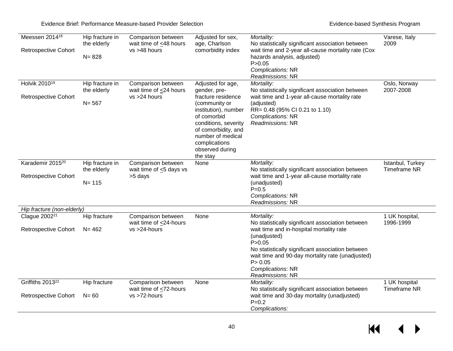| Meessen 2014 <sup>18</sup><br><b>Retrospective Cohort</b>   | Hip fracture in<br>the elderly<br>$N = 828$ | Comparison between<br>wait time of <48 hours<br>vs >48 hours   | Adjusted for sex,<br>age, Charlson<br>comorbidity index                                                                                                                                                                             | Mortality:<br>No statistically significant association between<br>wait time and 2-year all-cause mortality rate (Cox<br>hazards analysis, adjusted)<br>P > 0.05<br>Complications: NR<br>Readmissions: NR                                                                                            | Varese, Italy<br>2009                   |
|-------------------------------------------------------------|---------------------------------------------|----------------------------------------------------------------|-------------------------------------------------------------------------------------------------------------------------------------------------------------------------------------------------------------------------------------|-----------------------------------------------------------------------------------------------------------------------------------------------------------------------------------------------------------------------------------------------------------------------------------------------------|-----------------------------------------|
| Holvik 2010 <sup>19</sup><br>Retrospective Cohort           | Hip fracture in<br>the elderly<br>$N = 567$ | Comparison between<br>wait time of <24 hours<br>vs >24 hours   | Adjusted for age,<br>gender, pre-<br>fracture residence<br>(community or<br>institution), number<br>of comorbid<br>conditions, severity<br>of comorbidity, and<br>number of medical<br>complications<br>observed during<br>the stay | Mortality:<br>No statistically significant association between<br>wait time and 1-year all-cause mortality rate<br>(adjusted)<br>RR= 0.48 (95% CI 0.21 to 1.10)<br>Complications: NR<br>Readmissions: NR                                                                                            | Oslo, Norway<br>2007-2008               |
| Karademir 2015 <sup>20</sup><br><b>Retrospective Cohort</b> | Hip fracture in<br>the elderly<br>$N = 115$ | Comparison between<br>wait time of $\leq$ 5 days vs<br>>5 days | None                                                                                                                                                                                                                                | Mortality:<br>No statistically significant association between<br>wait time and 1-year all-cause mortality rate<br>(unadjusted)<br>$P = 0.5$<br>Complications: NR<br>Readmissions: NR                                                                                                               | Istanbul, Turkey<br><b>Timeframe NR</b> |
| Hip fracture (non-elderly)                                  |                                             |                                                                |                                                                                                                                                                                                                                     |                                                                                                                                                                                                                                                                                                     |                                         |
| Clague 2002 <sup>21</sup><br><b>Retrospective Cohort</b>    | Hip fracture<br>$N = 462$                   | Comparison between<br>wait time of <24-hours<br>vs >24-hours   | None                                                                                                                                                                                                                                | Mortality:<br>No statistically significant association between<br>wait time and in-hospital mortality rate<br>(unadjusted)<br>P > 0.05<br>No statistically significant association between<br>wait time and 90-day mortality rate (unadjusted)<br>P > 0.05<br>Complications: NR<br>Readmissions: NR | 1 UK hospital,<br>1996-1999             |
| Griffiths 2013 <sup>22</sup><br><b>Retrospective Cohort</b> | Hip fracture<br>$N = 60$                    | Comparison between<br>wait time of <72-hours<br>vs >72-hours   | None                                                                                                                                                                                                                                | Mortality:<br>No statistically significant association between<br>wait time and 30-day mortality (unadjusted)<br>$P = 0.2$<br>Complications:                                                                                                                                                        | 1 UK hospital<br><b>Timeframe NR</b>    |

 $M \rightarrow$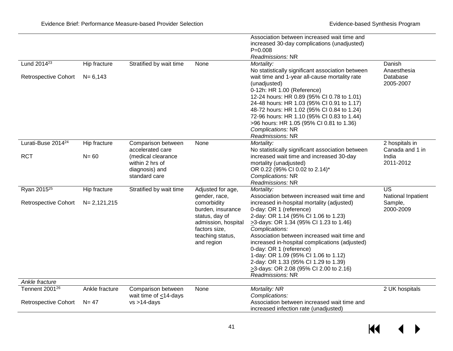|                                                           |                            |                                                                          |                                                                                                                              | Association between increased wait time and<br>increased 30-day complications (unadjusted)                                                                                                                                                                                                                                                                                                                                                                |                                       |
|-----------------------------------------------------------|----------------------------|--------------------------------------------------------------------------|------------------------------------------------------------------------------------------------------------------------------|-----------------------------------------------------------------------------------------------------------------------------------------------------------------------------------------------------------------------------------------------------------------------------------------------------------------------------------------------------------------------------------------------------------------------------------------------------------|---------------------------------------|
|                                                           |                            |                                                                          |                                                                                                                              | $P = 0.008$<br>Readmissions: NR                                                                                                                                                                                                                                                                                                                                                                                                                           |                                       |
| Lund 2014 <sup>23</sup>                                   | Hip fracture               | Stratified by wait time                                                  | None                                                                                                                         | Mortality:                                                                                                                                                                                                                                                                                                                                                                                                                                                | Danish                                |
| <b>Retrospective Cohort</b>                               | $N = 6,143$                |                                                                          |                                                                                                                              | No statistically significant association between<br>wait time and 1-year all-cause mortality rate<br>(unadjusted)<br>0-12h: HR 1.00 (Reference)<br>12-24 hours: HR 0.89 (95% CI 0.78 to 1.01)<br>24-48 hours: HR 1.03 (95% CI 0.91 to 1.17)<br>48-72 hours: HR 1.02 (95% CI 0.84 to 1.24)<br>72-96 hours: HR 1.10 (95% CI 0.83 to 1.44)<br>>96 hours: HR 1.05 (95% CI 0.81 to 1.36)<br>Complications: NR<br>Readmissions: NR                              | Anaesthesia<br>Database<br>2005-2007  |
| Lurati-Buse 2014 <sup>24</sup>                            | Hip fracture               | Comparison between<br>accelerated care                                   | None                                                                                                                         | Mortality:<br>No statistically significant association between                                                                                                                                                                                                                                                                                                                                                                                            | 2 hospitals in<br>Canada and 1 in     |
| <b>RCT</b>                                                | $N = 60$                   | (medical clearance<br>within 2 hrs of<br>diagnosis) and<br>standard care |                                                                                                                              | increased wait time and increased 30-day<br>mortality (unadjusted)<br>OR 0.22 (95% CI 0.02 to 2.14)*<br>Complications: NR<br>Readmissions: NR                                                                                                                                                                                                                                                                                                             | India<br>2011-2012                    |
| Ryan 2015 <sup>25</sup>                                   | Hip fracture               | Stratified by wait time                                                  | Adjusted for age,<br>gender, race,                                                                                           | Mortality:<br>Association between increased wait time and                                                                                                                                                                                                                                                                                                                                                                                                 | $\overline{US}$<br>National Inpatient |
| <b>Retrospective Cohort</b>                               | $N = 2,121,215$            |                                                                          | comorbidity<br>burden, insurance<br>status, day of<br>admission, hospital<br>factors size,<br>teaching status,<br>and region | increased in-hospital mortality (adjusted)<br>0-day: OR 1 (reference)<br>2-day: OR 1.14 (95% CI 1.06 to 1.23)<br>$\geq$ 3-days: OR 1.34 (95% CI 1.23 to 1.46)<br>Complications:<br>Association between increased wait time and<br>increased in-hospital complications (adjusted)<br>0-day: OR 1 (reference)<br>1-day: OR 1.09 (95% CI 1.06 to 1.12)<br>2-day: OR 1.33 (95% CI 1.29 to 1.39)<br>>3-days: OR 2.08 (95% CI 2.00 to 2.16)<br>Readmissions: NR | Sample,<br>2000-2009                  |
| Ankle fracture                                            |                            |                                                                          |                                                                                                                              |                                                                                                                                                                                                                                                                                                                                                                                                                                                           |                                       |
| Tennent 2001 <sup>26</sup><br><b>Retrospective Cohort</b> | Ankle fracture<br>$N = 47$ | Comparison between<br>wait time of $\leq$ 14-days<br>$vs > 14$ -days     | None                                                                                                                         | Mortality: NR<br>Complications:<br>Association between increased wait time and<br>increased infection rate (unadjusted)                                                                                                                                                                                                                                                                                                                                   | 2 UK hospitals                        |

 $\leftrightarrow$  $M$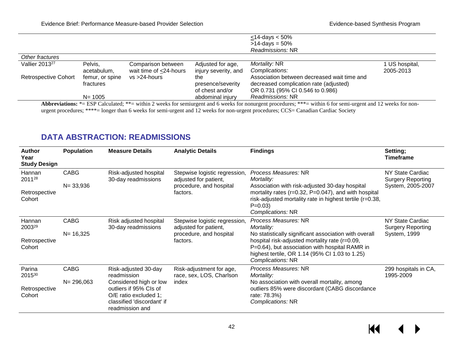|                             |                 |                        |                      | $<$ 14-days $<$ 50%<br>$>14$ -days = 50%    |              |
|-----------------------------|-----------------|------------------------|----------------------|---------------------------------------------|--------------|
|                             |                 |                        |                      | Readmissions: NR                            |              |
| Other fractures             |                 |                        |                      |                                             |              |
| Vallier 2013 <sup>27</sup>  | Pelvis,         | Comparison between     | Adjusted for age,    | Mortality: NR                               | US hospital, |
|                             | acetabulum,     | wait time of <24-hours | injury severity, and | Complications:                              | 2005-2013    |
| <b>Retrospective Cohort</b> | femur, or spine | $vs > 24$ -hours       | the                  | Association between decreased wait time and |              |
|                             | fractures       |                        | presence/severity    | decreased complication rate (adjusted)      |              |
|                             |                 |                        | of chest and/or      | OR 0.731 (95% CI 0.546 to 0.986)            |              |
|                             | $N = 1005$      |                        | abdominal injury     | Readmissions: NR                            |              |

Abbreviations: \*= ESP Calculated; \*\*= within 2 weeks for semiurgent and 6 weeks for nonurgent procedures; \*\*\*= within 6 for semi-urgent and 12 weeks for nonurgent procedures; \*\*\*\*= longer than 6 weeks for semi-urgent and 12 weeks for non-urgent procedures; CCS= Canadian Cardiac Society

### **DATA ABSTRACTION: READMISSIONS**

| <b>Author</b><br>Year<br><b>Study Design</b> | <b>Population</b>            | <b>Measure Details</b>                                                                                                                                            | <b>Analytic Details</b>                                                                       | <b>Findings</b>                                                                                                                                                                                                                                                        | Setting;<br><b>Timeframe</b>                                      |
|----------------------------------------------|------------------------------|-------------------------------------------------------------------------------------------------------------------------------------------------------------------|-----------------------------------------------------------------------------------------------|------------------------------------------------------------------------------------------------------------------------------------------------------------------------------------------------------------------------------------------------------------------------|-------------------------------------------------------------------|
| Hannan<br>201128<br>Retrospective<br>Cohort  | <b>CABG</b><br>$N = 33,936$  | Risk-adjusted hospital<br>30-day readmissions                                                                                                                     | Stepwise logistic regression,<br>adjusted for patient,<br>procedure, and hospital<br>factors. | Process Measures: NR<br>Mortality:<br>Association with risk-adjusted 30-day hospital<br>mortality rates ( $r=0.32$ , $P=0.047$ ), and with hospital<br>risk-adjusted mortality rate in highest tertile (r=0.38,<br>$P=0.03$<br>Complications: NR                       | NY State Cardiac<br><b>Surgery Reporting</b><br>System, 2005-2007 |
| Hannan<br>200329<br>Retrospective<br>Cohort  | <b>CABG</b><br>$N = 16,325$  | Risk adjusted hospital<br>30-day readmissions                                                                                                                     | Stepwise logistic regression,<br>adjusted for patient,<br>procedure, and hospital<br>factors. | Process Measures: NR<br>Mortality:<br>No statistically significant association with overall<br>hospital risk-adjusted mortality rate (r=0.09,<br>P=0.64), but association with hospital RAMR in<br>highest tertile, OR 1.14 (95% CI 1.03 to 1.25)<br>Complications: NR | NY State Cardiac<br><b>Surgery Reporting</b><br>System, 1999      |
| Parina<br>201530<br>Retrospective<br>Cohort  | <b>CABG</b><br>$N = 296,063$ | Risk-adjusted 30-day<br>readmission<br>Considered high or low<br>outliers if 95% CIs of<br>O/E ratio excluded 1;<br>classified 'discordant' if<br>readmission and | Risk-adjustment for age,<br>race, sex, LOS, Charlson<br>index                                 | Process Measures: NR<br>Mortality:<br>No association with overall mortality, among<br>outliers 85% were discordant (CABG discordance<br>rate: 78.3%)<br>Complications: NR                                                                                              | 299 hospitals in CA,<br>1995-2009                                 |

KI ▶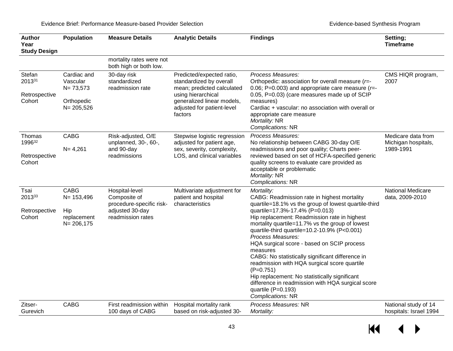| <b>Author</b><br>Year<br><b>Study Design</b> | Population                                                             | <b>Measure Details</b>                                                                             | <b>Analytic Details</b>                                                                                                                                                         | <b>Findings</b>                                                                                                                                                                                                                                                                                                                                                                                                                                                                                                                                                                                                                                           | Setting;<br><b>Timeframe</b>                           |
|----------------------------------------------|------------------------------------------------------------------------|----------------------------------------------------------------------------------------------------|---------------------------------------------------------------------------------------------------------------------------------------------------------------------------------|-----------------------------------------------------------------------------------------------------------------------------------------------------------------------------------------------------------------------------------------------------------------------------------------------------------------------------------------------------------------------------------------------------------------------------------------------------------------------------------------------------------------------------------------------------------------------------------------------------------------------------------------------------------|--------------------------------------------------------|
|                                              |                                                                        | mortality rates were not<br>both high or both low.                                                 |                                                                                                                                                                                 |                                                                                                                                                                                                                                                                                                                                                                                                                                                                                                                                                                                                                                                           |                                                        |
| Stefan<br>201331<br>Retrospective<br>Cohort  | Cardiac and<br>Vascular<br>$N = 73,573$<br>Orthopedic<br>$N = 205,526$ | 30-day risk<br>standardized<br>readmission rate                                                    | Predicted/expected ratio,<br>standardized by overall<br>mean; predicted calculated<br>using hierarchical<br>generalized linear models,<br>adjusted for patient-level<br>factors | Process Measures:<br>Orthopedic: association for overall measure (r=-<br>0.06; P=0.003) and appropriate care measure ( $r=$ -<br>0.05, P=0.03) (care measures made up of SCIP<br>measures)<br>Cardiac + vascular: no association with overall or<br>appropriate care measure<br>Mortality: NR<br>Complications: NR                                                                                                                                                                                                                                                                                                                                        | CMS HIQR program,<br>2007                              |
| Thomas<br>199632<br>Retrospective<br>Cohort  | <b>CABG</b><br>$N = 4,261$                                             | Risk-adjusted, O/E<br>unplanned, 30-, 60-,<br>and 90-day<br>readmissions                           | Stepwise logistic regression<br>adjusted for patient age,<br>sex, severity, complexity,<br>LOS, and clinical variables                                                          | Process Measures:<br>No relationship between CABG 30-day O/E<br>readmissions and poor quality; Charts peer-<br>reviewed based on set of HCFA-specified generic<br>quality screens to evaluate care provided as<br>acceptable or problematic<br>Mortality: NR<br>Complications: NR                                                                                                                                                                                                                                                                                                                                                                         | Medicare data from<br>Michigan hospitals,<br>1989-1991 |
| Tsai<br>201333<br>Retrospective<br>Cohort    | <b>CABG</b><br>$N = 153,496$<br>Hip<br>replacement<br>$N = 206,175$    | Hospital-level<br>Composite of<br>procedure-specific risk-<br>adjusted 30-day<br>readmission rates | Multivariate adjustment for<br>patient and hospital<br>characteristics                                                                                                          | Mortality:<br>CABG: Readmission rate in highest mortality<br>quartile=18.1% vs the group of lowest quartile-third<br>quartile=17.3%-17.4% (P=0.013)<br>Hip replacement: Readmission rate in highest<br>mortality quartile=11.7% vs the group of lowest<br>quartile-third quartile=10.2-10.9% (P<0.001)<br>Process Measures:<br>HQA surgical score - based on SCIP process<br>measures<br>CABG: No statistically significant difference in<br>readmission with HQA surgical score quartile<br>$(P=0.751)$<br>Hip replacement: No statistically significant<br>difference in readmission with HQA surgical score<br>quartile (P=0.193)<br>Complications: NR | National Medicare<br>data, 2009-2010                   |
| Zitser-<br>Gurevich                          | <b>CABG</b>                                                            | First readmission within<br>100 days of CABG                                                       | Hospital mortality rank<br>based on risk-adjusted 30-                                                                                                                           | Process Measures: NR<br>Mortality:                                                                                                                                                                                                                                                                                                                                                                                                                                                                                                                                                                                                                        | National study of 14<br>hospitals: Israel 1994         |

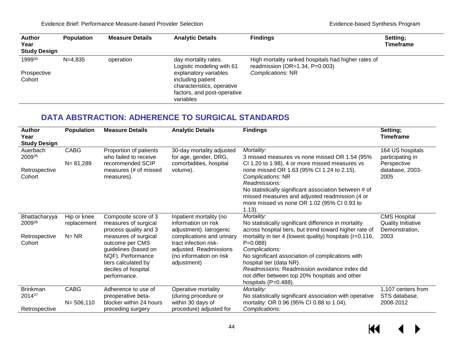$M$ 

 $\blacktriangleright$ 

| <b>Author</b><br>Year<br><b>Study Design</b> | <b>Population</b> | <b>Measure Details</b> | <b>Analytic Details</b>                                                                                              | <b>Findings</b>                                                                              | Setting;<br><b>Timeframe</b> |
|----------------------------------------------|-------------------|------------------------|----------------------------------------------------------------------------------------------------------------------|----------------------------------------------------------------------------------------------|------------------------------|
| 199934                                       | $N = 4.835$       | operation              | day mortality rates.<br>Logistic modeling with 61                                                                    | High mortality ranked hospitals had higher rates of<br>readmission ( $OR=1.34$ , $P=0.003$ ) |                              |
| Prospective<br>Cohort                        |                   |                        | explanatory variables<br>including patient<br>characteristics, operative<br>factors, and post-operative<br>variables | Complications: NR                                                                            |                              |

### **DATA ABSTRACTION: ADHERENCE TO SURGICAL STANDARDS**

| <b>Author</b><br>Year<br><b>Study Design</b> | <b>Population</b>           | <b>Measure Details</b>                                                                                                                             | <b>Analytic Details</b>                                                                                                | <b>Findings</b>                                                                                                                                                                                                                                                                                          | Setting;<br>Timeframe                                              |
|----------------------------------------------|-----------------------------|----------------------------------------------------------------------------------------------------------------------------------------------------|------------------------------------------------------------------------------------------------------------------------|----------------------------------------------------------------------------------------------------------------------------------------------------------------------------------------------------------------------------------------------------------------------------------------------------------|--------------------------------------------------------------------|
| Auerbach<br>200935                           | <b>CABG</b><br>$N = 81,289$ | Proportion of patients<br>who failed to receive<br>recommended SCIP                                                                                | 30-day mortality adjusted<br>for age, gender, DRG,<br>comorbidities, hospital                                          | Mortality:<br>3 missed measures vs none missed OR 1.54 (95%)<br>CI 1.20 to 1.98), 4 or more missed measures vs                                                                                                                                                                                           | 164 US hospitals<br>participating in<br>Perspective                |
| Retrospective<br>Cohort                      |                             | measures (# of missed<br>measures).                                                                                                                | volume).                                                                                                               | none missed OR 1.63 (95% CI 1.24 to 2.15).<br>Complications: NR<br>Readmissions:<br>No statistically significant association between # of<br>missed measures and adjusted readmission (4 or<br>more missed vs none OR 1.02 (95% CI 0.93 to<br>$1.13$ ).                                                  | database, 2003-<br>2005                                            |
| Bhattacharyya<br>200936                      | Hip or knee<br>replacement  | Composite score of 3<br>measures of surgical<br>process quality and 3                                                                              | Inpatient mortality (no<br>information on risk<br>adjustment). latrogenic                                              | Mortality:<br>No statistically significant difference in mortality<br>across hospital tiers, but trend toward higher rate of                                                                                                                                                                             | <b>CMS Hospital</b><br><b>Quality Initiative</b><br>Demonstration, |
| Retrospective<br>Cohort                      | $N = NR$                    | measures of surgical<br>outcome per CMS<br>guidelines (based on<br>NQF). Performance<br>tiers calculated by<br>deciles of hospital<br>performance. | complications and urinary<br>tract infection risk-<br>adjusted. Readmissions<br>(no information on risk<br>adjustment) | mortality in tier 4 (lowest quality) hospitals ( $r=0.116$ ,<br>$P = 0.088$<br>Complications:<br>No significant association of complications with<br>hospital tier (data NR).<br>Readmissions: Readmission avoidance index did<br>not differ between top 20% hospitals and other<br>hospitals (P=0.488). | 2003                                                               |
| <b>Brinkman</b>                              | <b>CABG</b>                 | Adherence to use of                                                                                                                                | Operative mortality                                                                                                    | Mortality:                                                                                                                                                                                                                                                                                               | 1,107 centers from                                                 |
| 201437                                       | $N = 506, 110$              | preoperative beta-<br>blocker within 24 hours                                                                                                      | (during procedure or<br>within 30 days of                                                                              | No statistically significant association with operative<br>mortality: OR 0.96 (95% CI 0.88 to 1.04).                                                                                                                                                                                                     | STS database,<br>2008-2012                                         |
| Retrospective                                |                             | preceding surgery                                                                                                                                  | procedure) adjusted for                                                                                                | Complications:                                                                                                                                                                                                                                                                                           |                                                                    |

44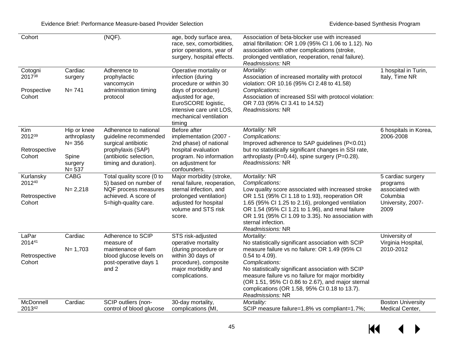| Cohort                                         |                                                                           | (NGF).                                                                                                                                        | age, body surface area,<br>race, sex, comorbidities,<br>prior operations, year of<br>surgery, hospital effects.                                                                                         | Association of beta-blocker use with increased<br>atrial fibrillation: OR 1.09 (95% CI 1.06 to 1.12). No<br>association with other complications (stroke,<br>prolonged ventilation, reoperation, renal failure).<br>Readmissions: NR                                                                                                                                                        |                                                                                           |
|------------------------------------------------|---------------------------------------------------------------------------|-----------------------------------------------------------------------------------------------------------------------------------------------|---------------------------------------------------------------------------------------------------------------------------------------------------------------------------------------------------------|---------------------------------------------------------------------------------------------------------------------------------------------------------------------------------------------------------------------------------------------------------------------------------------------------------------------------------------------------------------------------------------------|-------------------------------------------------------------------------------------------|
| Cotogni<br>201738<br>Prospective<br>Cohort     | Cardiac<br>surgery<br>$N = 741$                                           | Adherence to<br>prophylactic<br>vancomycin<br>administration timing<br>protocol                                                               | Operative mortality or<br>infection (during<br>procedure or within 30<br>days of procedure)<br>adjusted for age,<br>EuroSCORE logistic,<br>intensive care unit LOS,<br>mechanical ventilation<br>timing | Mortality:<br>Association of increased mortality with protocol<br>violation: OR 10.16 (95% Cl 2.48 to 41.58)<br>Complications:<br>Association of increased SSI with protocol violation:<br>OR 7.03 (95% CI 3.41 to 14.52)<br>Readmissions: NR                                                                                                                                               | 1 hospital in Turin,<br>Italy, Time NR                                                    |
| Kim<br>201239<br>Retrospective<br>Cohort       | Hip or knee<br>arthroplasty<br>$N = 356$<br>Spine<br>surgery<br>$N = 537$ | Adherence to national<br>guideline recommended<br>surgical antibiotic<br>prophylaxis (SAP)<br>(antibiotic selection,<br>timing and duration). | Before after<br>implementation (2007 -<br>2nd phase) of national<br>hospital evaluation<br>program. No information<br>on adjustment for<br>confounders.                                                 | Mortality: NR<br>Complications:<br>Improved adherence to SAP guidelines (P<0.01)<br>but no statistically significant changes in SSI rate,<br>arthroplasty (P=0.44), spine surgery (P=0.28).<br>Readmissions: NR                                                                                                                                                                             | 6 hospitals in Korea,<br>2006-2008                                                        |
| Kurlansky<br>201240<br>Retrospective<br>Cohort | CABG<br>$N = 2,218$                                                       | Total quality score (0 to<br>5) based on number of<br>NQF process measures<br>achieved. A score of<br>5=high-quality care.                    | Major morbidity (stroke,<br>renal failure, reoperation,<br>sternal infection, and<br>prolonged ventilation)<br>adjusted for hospital<br>volume and STS risk<br>score.                                   | Mortality: NR<br>Complications:<br>Low quality score associated with increased stroke<br>OR 1.51 (95% CI 1.18 to 1.93), reoperation OR<br>1.65 (95% CI 1.25 to 2.16), prolonged ventilation<br>OR 1.54 (95% CI 1.21 to 1.96), and renal failure<br>OR 1.91 (95% CI 1.09 to 3.35). No association with<br>sternal infection.<br>Readmissions: NR                                             | 5 cardiac surgery<br>programs<br>associated with<br>Columbia<br>University, 2007-<br>2009 |
| LaPar<br>201441<br>Retrospective<br>Cohort     | Cardiac<br>$N = 1,703$                                                    | Adherence to SCIP<br>measure of<br>maintenance of 6am<br>blood glucose levels on<br>post-operative days 1<br>and 2                            | STS risk-adjusted<br>operative mortality<br>(during procedure or<br>within 30 days of<br>procedure), composite<br>major morbidity and<br>complications.                                                 | Mortality:<br>No statistically significant association with SCIP<br>measure failure vs no failure: OR 1.49 (95% CI<br>0.54 to 4.09).<br>Complications:<br>No statistically significant association with SCIP<br>measure failure vs no failure for major morbidity<br>(OR 1.51, 95% CI 0.86 to 2.67), and major sternal<br>complications (OR 1.58, 95% CI 0.18 to 13.7).<br>Readmissions: NR | University of<br>Virginia Hospital,<br>2010-2012                                          |
| McDonnell<br>201342                            | Cardiac                                                                   | SCIP outliers (non-<br>control of blood glucose                                                                                               | 30-day mortality,<br>complications (MI,                                                                                                                                                                 | Mortality:<br>SCIP measure failure=1.8% vs compliant=1.7%;                                                                                                                                                                                                                                                                                                                                  | <b>Boston University</b><br>Medical Center,                                               |

 $\leftrightarrow$  $M$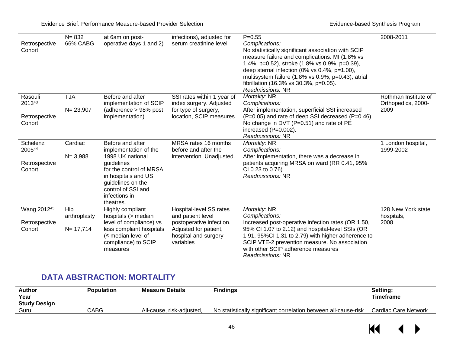| Retrospective<br>Cohort | $N = 832$<br>66% CABG | at 6am on post-<br>operative days 1 and 2)                                                                                            | infections), adjusted for<br>serum creatinine level        | $P = 0.55$<br>Complications:<br>No statistically significant association with SCIP<br>measure failure and complications: MI (1.8% vs<br>1.4%, p=0.52), stroke (1.8% vs 0.9%, p=0.39),<br>deep sternal infection (0% vs 0.4%, p=1.00),<br>multisystem failure (1.8% vs 0.9%, p=0.43), atrial<br>fibrillation (16.3% vs 30.3%, p=0.05).<br>Readmissions: NR | 2008-2011                        |
|-------------------------|-----------------------|---------------------------------------------------------------------------------------------------------------------------------------|------------------------------------------------------------|-----------------------------------------------------------------------------------------------------------------------------------------------------------------------------------------------------------------------------------------------------------------------------------------------------------------------------------------------------------|----------------------------------|
| Rasouli                 | <b>TJA</b>            | Before and after                                                                                                                      | SSI rates within 1 year of                                 | Mortality: NR                                                                                                                                                                                                                                                                                                                                             | Rothman Institute of             |
| 201343                  | $N = 23,907$          | implementation of SCIP<br>(adherence > 98% post                                                                                       | index surgery. Adjusted<br>for type of surgery,            | Complications:<br>After implementation, superficial SSI increased                                                                                                                                                                                                                                                                                         | Orthopedics, 2000-<br>2009       |
| Retrospective<br>Cohort |                       | implementation)                                                                                                                       | location, SCIP measures.                                   | (P=0.05) and rate of deep SSI decreased (P=0.46).<br>No change in DVT (P=0.51) and rate of PE<br>increased (P=0.002).<br>Readmissions: NR                                                                                                                                                                                                                 |                                  |
| Schelenz                | Cardiac               | Before and after                                                                                                                      | MRSA rates 16 months                                       | Mortality: NR                                                                                                                                                                                                                                                                                                                                             | 1 London hospital,               |
| 200544                  | $N = 3,988$           | implementation of the<br>1998 UK national                                                                                             | before and after the<br>intervention. Unadjusted.          | Complications:<br>After implementation, there was a decrease in                                                                                                                                                                                                                                                                                           | 1999-2002                        |
| Retrospective<br>Cohort |                       | guidelines<br>for the control of MRSA<br>in hospitals and US<br>guidelines on the<br>control of SSI and<br>infections in<br>theatres. |                                                            | patients acquiring MRSA on ward (RR 0.41, 95%)<br>CI 0.23 to 0.76)<br>Readmissions: NR                                                                                                                                                                                                                                                                    |                                  |
| Wang 201245             | Hip                   | Highly compliant<br>hospitals (> median                                                                                               | Hospital-level SS rates<br>and patient level               | Mortality: NR<br>Complications:                                                                                                                                                                                                                                                                                                                           | 128 New York state<br>hospitals, |
| Retrospective           | arthroplasty          | level of compliance) vs                                                                                                               | postoperative infection.                                   | Increased post-operative infection rates (OR 1.50,                                                                                                                                                                                                                                                                                                        | 2008                             |
| Cohort                  | $N = 17,714$          | less compliant hospitals<br>$(\leq)$ median level of<br>compliance) to SCIP<br>measures                                               | Adjusted for patient,<br>hospital and surgery<br>variables | 95% CI 1.07 to 2.12) and hospital-level SSIs (OR<br>1.91, 95%Cl 1.31 to 2.79) with higher adherence to<br>SCIP VTE-2 prevention measure. No association<br>with other SCIP adherence measures<br>Readmissions: NR                                                                                                                                         |                                  |

## **DATA ABSTRACTION: MORTALITY**

| <b>Author</b>       | Population | <b>Measure Details</b>    | Findings                                                        | Setting;             |
|---------------------|------------|---------------------------|-----------------------------------------------------------------|----------------------|
| Year                |            |                           |                                                                 | <b>Timeframe</b>     |
| <b>Study Desian</b> |            |                           |                                                                 |                      |
| Guru                | CABG       | All-cause, risk-adiusted. | No statistically significant correlation between all-cause-risk | Cardiac Care Network |
|                     |            |                           |                                                                 |                      |

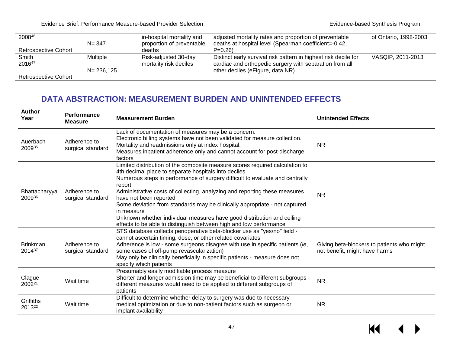Evidence Brief: Performance Measure-based Provider Selection **Evidence-based Synthesis Program** 

| 200846                      |                 | in-hospital mortality and | adjusted mortality rates and proportion of preventable          | of Ontario, 1998-2003 |
|-----------------------------|-----------------|---------------------------|-----------------------------------------------------------------|-----------------------|
|                             | $N = 347$       | proportion of preventable | deaths at hospital level (Spearman coefficient=-0.42,           |                       |
| <b>Retrospective Cohort</b> |                 | deaths                    | $P=0.26$                                                        |                       |
| Smith                       | <b>Multiple</b> | Risk-adjusted 30-day      | Distinct early survival risk pattern in highest risk decile for | VASQIP, 2011-2013     |
| 201647                      |                 | mortality risk deciles    | cardiac and orthopedic surgery with separation from all         |                       |
|                             | $N = 236, 125$  |                           | other deciles (eFigure, data NR)                                |                       |
| <b>Retrospective Cohort</b> |                 |                           |                                                                 |                       |

#### **DATA ABSTRACTION: MEASUREMENT BURDEN AND UNINTENDED EFFECTS**

| <b>Author</b><br>Year        | <b>Performance</b><br><b>Measure</b> | <b>Measurement Burden</b>                                                                                                                                                                                                                                                                                                                                                                                                                                                                                                                                                          | <b>Unintended Effects</b>                                                   |
|------------------------------|--------------------------------------|------------------------------------------------------------------------------------------------------------------------------------------------------------------------------------------------------------------------------------------------------------------------------------------------------------------------------------------------------------------------------------------------------------------------------------------------------------------------------------------------------------------------------------------------------------------------------------|-----------------------------------------------------------------------------|
| Auerbach<br>200935           | Adherence to<br>surgical standard    | Lack of documentation of measures may be a concern.<br>Electronic billing systems have not been validated for measure collection.<br>Mortality and readmissions only at index hospital.<br>Measures inpatient adherence only and cannot account for post-discharge<br>factors                                                                                                                                                                                                                                                                                                      | <b>NR</b>                                                                   |
| Bhattacharyya<br>200936      | Adherence to<br>surgical standard    | Limited distribution of the composite measure scores required calculation to<br>4th decimal place to separate hospitals into deciles<br>Numerous steps in performance of surgery difficult to evaluate and centrally<br>report<br>Administrative costs of collecting, analyzing and reporting these measures<br>have not been reported<br>Some deviation from standards may be clinically appropriate - not captured<br>in measure<br>Unknown whether individual measures have good distribution and ceiling<br>effects to be able to distinguish between high and low performance | <b>NR</b>                                                                   |
| <b>Brinkman</b><br>201437    | Adherence to<br>surgical standard    | STS database collects perioperative beta-blocker use as "yes/no" field -<br>cannot ascertain timing, dose, or other related covariates<br>Adherence is low - some surgeons disagree with use in specific patients (ie,<br>some cases of off-pump revascularization)<br>May only be clinically beneficially in specific patients - measure does not<br>specify which patients                                                                                                                                                                                                       | Giving beta-blockers to patients who might<br>not benefit, might have harms |
| Clague<br>2002 <sup>21</sup> | Wait time                            | Presumably easily modifiable process measure<br>Shorter and longer admission time may be beneficial to different subgroups -<br>different measures would need to be applied to different subgroups of<br>patients                                                                                                                                                                                                                                                                                                                                                                  | <b>NR</b>                                                                   |
| Griffiths<br>201322          | Wait time                            | Difficult to determine whether delay to surgery was due to necessary<br>medical optimization or due to non-patient factors such as surgeon or<br>implant availability                                                                                                                                                                                                                                                                                                                                                                                                              | <b>NR</b>                                                                   |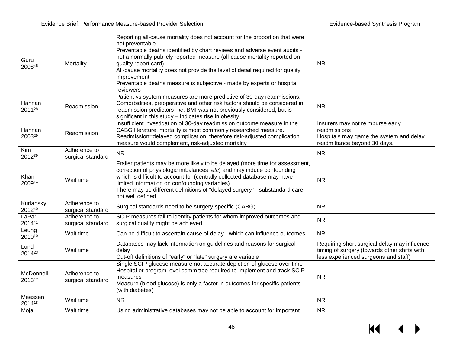| Guru<br>200846             | Mortality                         | Reporting all-cause mortality does not account for the proportion that were<br>not preventable<br>Preventable deaths identified by chart reviews and adverse event audits -<br>not a normally publicly reported measure (all-cause mortality reported on<br>quality report card)<br>All-cause mortality does not provide the level of detail required for quality<br>improvement<br>Preventable deaths measure is subjective - made by experts or hospital<br>reviewers | <b>NR</b>                                                                                                                            |
|----------------------------|-----------------------------------|-------------------------------------------------------------------------------------------------------------------------------------------------------------------------------------------------------------------------------------------------------------------------------------------------------------------------------------------------------------------------------------------------------------------------------------------------------------------------|--------------------------------------------------------------------------------------------------------------------------------------|
| Hannan<br>201128           | Readmission                       | Patient vs system measures are more predictive of 30-day readmissions.<br>Comorbidities, preoperative and other risk factors should be considered in<br>readmission predictors - ie, BMI was not previously considered, but is<br>significant in this study - indicates rise in obesity.                                                                                                                                                                                | <b>NR</b>                                                                                                                            |
| Hannan<br>200329           | Readmission                       | Insufficient investigation of 30-day readmission outcome measure in the<br>CABG literature, mortality is most commonly researched measure.<br>Readmission=delayed complication, therefore risk-adjusted complication<br>measure would complement, risk-adjusted mortality                                                                                                                                                                                               | Insurers may not reimburse early<br>readmissions<br>Hospitals may game the system and delay<br>readmittance beyond 30 days.          |
| Kim<br>201239              | Adherence to<br>surgical standard | <b>NR</b>                                                                                                                                                                                                                                                                                                                                                                                                                                                               | <b>NR</b>                                                                                                                            |
| Khan<br>200914             | Wait time                         | Frailer patients may be more likely to be delayed (more time for assessment,<br>correction of physiologic imbalances, etc) and may induce confounding<br>which is difficult to account for (centrally collected database may have<br>limited information on confounding variables)<br>There may be different definitions of "delayed surgery" - substandard care<br>not well defined                                                                                    | <b>NR</b>                                                                                                                            |
| Kurlansky<br>201240        | Adherence to<br>surgical standard | Surgical standards need to be surgery-specific (CABG)                                                                                                                                                                                                                                                                                                                                                                                                                   | <b>NR</b>                                                                                                                            |
| LaPar<br>201441            | Adherence to<br>surgical standard | SCIP measures fail to identify patients for whom improved outcomes and<br>surgical quality might be achieved                                                                                                                                                                                                                                                                                                                                                            | <b>NR</b>                                                                                                                            |
| Leung<br>201010            | Wait time                         | Can be difficult to ascertain cause of delay - which can influence outcomes                                                                                                                                                                                                                                                                                                                                                                                             | <b>NR</b>                                                                                                                            |
| Lund<br>2014 <sup>23</sup> | Wait time                         | Databases may lack information on guidelines and reasons for surgical<br>delay<br>Cut-off definitions of "early" or "late" surgery are variable                                                                                                                                                                                                                                                                                                                         | Requiring short surgical delay may influence<br>timing of surgery (towards other shifts with<br>less experienced surgeons and staff) |
| McDonnell<br>201342        | Adherence to<br>surgical standard | Single SCIP glucose measure not accurate depiction of glucose over time<br>Hospital or program level committee required to implement and track SCIP<br>measures<br>Measure (blood glucose) is only a factor in outcomes for specific patients<br>(with diabetes)                                                                                                                                                                                                        | <b>NR</b>                                                                                                                            |
| Meessen<br>201418          | Wait time                         | <b>NR</b>                                                                                                                                                                                                                                                                                                                                                                                                                                                               | <b>NR</b>                                                                                                                            |
| Moja                       | Wait time                         | Using administrative databases may not be able to account for important                                                                                                                                                                                                                                                                                                                                                                                                 | <b>NR</b>                                                                                                                            |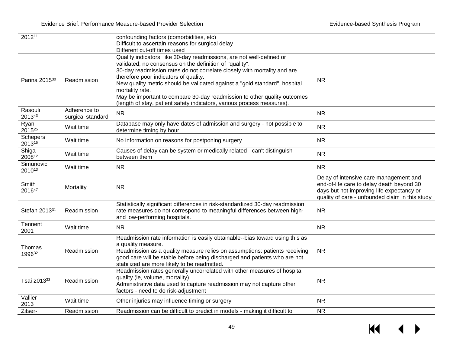| 201211                     |                                   | confounding factors (comorbidities, etc)<br>Difficult to ascertain reasons for surgical delay                                                                                                                                                                                                                                                                                                                                                                                                                |                                                                                                                                           |
|----------------------------|-----------------------------------|--------------------------------------------------------------------------------------------------------------------------------------------------------------------------------------------------------------------------------------------------------------------------------------------------------------------------------------------------------------------------------------------------------------------------------------------------------------------------------------------------------------|-------------------------------------------------------------------------------------------------------------------------------------------|
|                            |                                   | Different cut-off times used                                                                                                                                                                                                                                                                                                                                                                                                                                                                                 |                                                                                                                                           |
| Parina 2015 <sup>30</sup>  | Readmission                       | Quality indicators, like 30-day readmissions, are not well-defined or<br>validated; no consensus on the definition of "quality".<br>30-day readmission rates do not correlate closely with mortality and are<br>therefore poor indicators of quality.<br>New quality metric should be validated against a "gold standard", hospital<br>mortality rate.<br>May be important to compare 30-day readmission to other quality outcomes<br>(length of stay, patient safety indicators, various process measures). | <b>NR</b>                                                                                                                                 |
| Rasouli<br>201343          | Adherence to<br>surgical standard | <b>NR</b>                                                                                                                                                                                                                                                                                                                                                                                                                                                                                                    | <b>NR</b>                                                                                                                                 |
| Ryan<br>2015 <sup>25</sup> | Wait time                         | Database may only have dates of admission and surgery - not possible to<br>determine timing by hour                                                                                                                                                                                                                                                                                                                                                                                                          | <b>NR</b>                                                                                                                                 |
| <b>Schepers</b><br>201315  | Wait time                         | No information on reasons for postponing surgery                                                                                                                                                                                                                                                                                                                                                                                                                                                             | <b>NR</b>                                                                                                                                 |
| Shiga<br>200812            | Wait time                         | Causes of delay can be system or medically related - can't distinguish<br>between them                                                                                                                                                                                                                                                                                                                                                                                                                       | <b>NR</b>                                                                                                                                 |
| Simunovic<br>201013        | Wait time                         | <b>NR</b>                                                                                                                                                                                                                                                                                                                                                                                                                                                                                                    | <b>NR</b>                                                                                                                                 |
|                            |                                   |                                                                                                                                                                                                                                                                                                                                                                                                                                                                                                              | Delay of intensive care management and                                                                                                    |
| Smith<br>201647            | Mortality                         | <b>NR</b>                                                                                                                                                                                                                                                                                                                                                                                                                                                                                                    | end-of-life care to delay death beyond 30<br>days but not improving life expectancy or<br>quality of care - unfounded claim in this study |
| Stefan 201331              | Readmission                       | Statistically significant differences in risk-standardized 30-day readmission<br>rate measures do not correspond to meaningful differences between high-<br>and low-performing hospitals.                                                                                                                                                                                                                                                                                                                    | <b>NR</b>                                                                                                                                 |
| Tennent<br>2001            | Wait time                         | <b>NR</b>                                                                                                                                                                                                                                                                                                                                                                                                                                                                                                    | <b>NR</b>                                                                                                                                 |
| Thomas<br>199632           | Readmission                       | Readmission rate information is easily obtainable--bias toward using this as<br>a quality measure.<br>Readmission as a quality measure relies on assumptions: patients receiving<br>good care will be stable before being discharged and patients who are not<br>stabilized are more likely to be readmitted.                                                                                                                                                                                                | <b>NR</b>                                                                                                                                 |
| Tsai 201333                | Readmission                       | Readmission rates generally uncorrelated with other measures of hospital<br>quality (ie, volume, mortality)<br>Administrative data used to capture readmission may not capture other<br>factors - need to do risk-adjustment                                                                                                                                                                                                                                                                                 | <b>NR</b>                                                                                                                                 |
| Vallier<br>2013<br>Zitser- | Wait time                         | Other injuries may influence timing or surgery<br>Readmission can be difficult to predict in models - making it difficult to                                                                                                                                                                                                                                                                                                                                                                                 | <b>NR</b><br><b>NR</b>                                                                                                                    |

 $\leftrightarrow$  $H$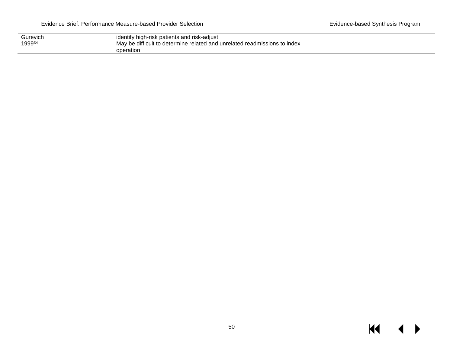| Gurevich | identify high-risk patients and risk-adjust                               |
|----------|---------------------------------------------------------------------------|
| 199934   | May be difficult to determine related and unrelated readmissions to index |
|          | operation                                                                 |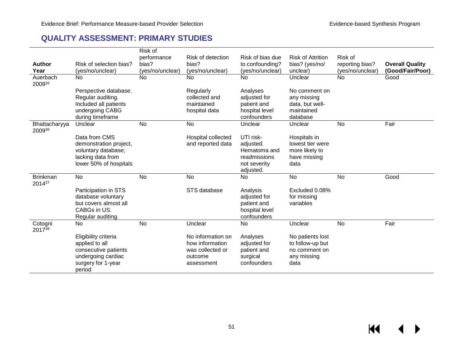$\overline{\mathbf{M}}$ 

 $\blacktriangleright$ 

#### **QUALITY ASSESSMENT: PRIMARY STUDIES**

|                           |                                                                                                                      | Risk of                   |                                                                                   |                                                                                     |                                                                              |                                     |                                            |
|---------------------------|----------------------------------------------------------------------------------------------------------------------|---------------------------|-----------------------------------------------------------------------------------|-------------------------------------------------------------------------------------|------------------------------------------------------------------------------|-------------------------------------|--------------------------------------------|
|                           |                                                                                                                      | performance               | Risk of detection                                                                 | Risk of bias due                                                                    | <b>Risk of Attrition</b>                                                     | Risk of                             |                                            |
| <b>Author</b><br>Year     | Risk of selection bias?<br>(yes/no/unclear)                                                                          | bias?<br>(yes/no/unclear) | bias?<br>(yes/no/unclear)                                                         | to confounding?<br>(yes/no/unclear)                                                 | bias? (yes/no/<br>unclear)                                                   | reporting bias?<br>(yes/no/unclear) | <b>Overall Quality</b><br>(Good/Fair/Poor) |
| Auerbach<br>200935        | No                                                                                                                   | <b>No</b>                 | No                                                                                | No                                                                                  | Unclear                                                                      | No                                  | Good                                       |
|                           | Perspective database.<br>Regular auditing.<br>Included all patients<br>undergoing CABG<br>during timeframe           |                           | Regularly<br>collected and<br>maintained<br>hospital data                         | Analyses<br>adjusted for<br>patient and<br>hospital level<br>confounders            | No comment on<br>any missing<br>data, but well-<br>maintained<br>database    |                                     |                                            |
| Bhattacharyya<br>200936   | Unclear                                                                                                              | <b>No</b>                 | No                                                                                | Unclear                                                                             | Unclear                                                                      | No                                  | Fair                                       |
|                           | Data from CMS<br>demonstration project,<br>voluntary database;<br>lacking data from<br>lower 50% of hospitals        |                           | Hospital collected<br>and reported data                                           | UTI risk-<br>adjusted.<br>Hematoma and<br>readmissions<br>not severity<br>adjusted. | Hospitals in<br>lowest tier were<br>more likely to<br>have missing<br>data   |                                     |                                            |
| <b>Brinkman</b><br>201437 | <b>No</b>                                                                                                            | <b>No</b>                 | No                                                                                | <b>No</b>                                                                           | No                                                                           | No                                  | Good                                       |
|                           | Participation in STS<br>database voluntary<br>but covers almost all<br>CABGs in US.<br>Regular auditing.             |                           | STS database                                                                      | Analysis<br>adjusted for<br>patient and<br>hospital level<br>confounders            | Excluded 0.08%<br>for missing<br>variables                                   |                                     |                                            |
| Cotogni<br>201738         | No                                                                                                                   | No                        | Unclear                                                                           | No                                                                                  | Unclear                                                                      | No                                  | Fair                                       |
|                           | Eligibility criteria<br>applied to all<br>consecutive patients<br>undergoing cardiac<br>surgery for 1-year<br>period |                           | No information on<br>how information<br>was collected or<br>outcome<br>assessment | Analyses<br>adjusted for<br>patient and<br>surgical<br>confounders                  | No patients lost<br>to follow-up but<br>no comment on<br>any missing<br>data |                                     |                                            |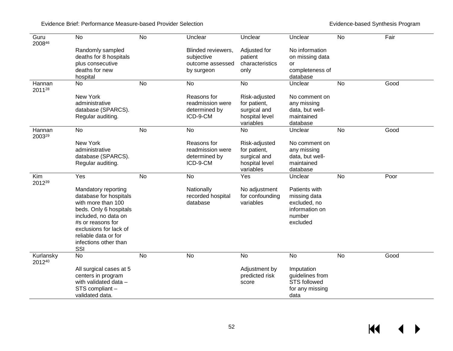Evidence Brief: Performance Measure-based Provider Selection **Evidence** Brief Evidence-based Synthesis Program

 $M \rightarrow$ 

| Guru<br>200846      | <b>No</b>                                  | <b>No</b> | Unclear                          | Unclear                 | Unclear                           | <b>No</b> | Fair |
|---------------------|--------------------------------------------|-----------|----------------------------------|-------------------------|-----------------------------------|-----------|------|
|                     | Randomly sampled<br>deaths for 8 hospitals |           | Blinded reviewers,<br>subjective | Adjusted for<br>patient | No information<br>on missing data |           |      |
|                     | plus consecutive                           |           | outcome assessed                 | characteristics         | <b>or</b>                         |           |      |
|                     | deaths for new<br>hospital                 |           | by surgeon                       | only                    | completeness of<br>database       |           |      |
| Hannan<br>201128    | No                                         | <b>No</b> | No                               | No                      | Unclear                           | No        | Good |
|                     | New York                                   |           | Reasons for                      | Risk-adjusted           | No comment on                     |           |      |
|                     | administrative                             |           | readmission were                 | for patient,            | any missing                       |           |      |
|                     | database (SPARCS).                         |           | determined by                    | surgical and            | data, but well-                   |           |      |
|                     | Regular auditing.                          |           | ICD-9-CM                         | hospital level          | maintained                        |           |      |
|                     |                                            |           |                                  | variables               | database                          |           |      |
| Hannan<br>200329    | <b>No</b>                                  | <b>No</b> | <b>No</b>                        | <b>No</b>               | Unclear                           | <b>No</b> | Good |
|                     | New York                                   |           | Reasons for                      | Risk-adjusted           | No comment on                     |           |      |
|                     | administrative                             |           | readmission were                 | for patient,            | any missing                       |           |      |
|                     | database (SPARCS).                         |           | determined by                    | surgical and            | data, but well-                   |           |      |
|                     | Regular auditing.                          |           | ICD-9-CM                         | hospital level          | maintained                        |           |      |
|                     |                                            |           |                                  | variables               | database                          |           |      |
| Kim<br>201239       | Yes                                        | No        | No                               | Yes                     | Unclear                           | No        | Poor |
|                     | Mandatory reporting                        |           | Nationally                       | No adjustment           | Patients with                     |           |      |
|                     | database for hospitals                     |           | recorded hospital                | for confounding         | missing data                      |           |      |
|                     | with more than 100                         |           | database                         | variables               | excluded, no                      |           |      |
|                     | beds. Only 6 hospitals                     |           |                                  |                         | information on                    |           |      |
|                     | included, no data on                       |           |                                  |                         | number                            |           |      |
|                     | #s or reasons for                          |           |                                  |                         | excluded                          |           |      |
|                     | exclusions for lack of                     |           |                                  |                         |                                   |           |      |
|                     | reliable data or for                       |           |                                  |                         |                                   |           |      |
|                     | infections other than                      |           |                                  |                         |                                   |           |      |
| Kurlansky<br>201240 | SSI<br><b>No</b>                           | <b>No</b> | $\overline{N}$                   | <b>No</b>               | <b>No</b>                         | <b>No</b> | Good |
|                     | All surgical cases at 5                    |           |                                  | Adjustment by           | Imputation                        |           |      |
|                     | centers in program                         |           |                                  | predicted risk          | guidelines from                   |           |      |
|                     | with validated data -                      |           |                                  | score                   | <b>STS followed</b>               |           |      |
|                     | STS compliant -                            |           |                                  |                         | for any missing                   |           |      |
|                     | validated data.                            |           |                                  |                         | data                              |           |      |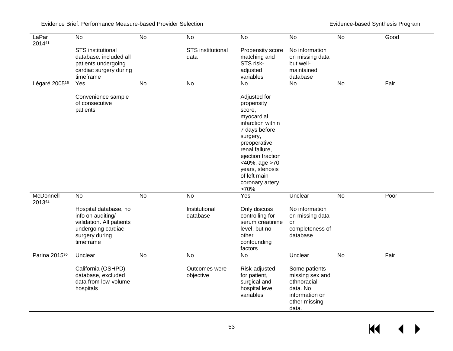Evidence Brief: Performance Measure-based Provider Selection **Evidence** Brief Evidence-based Synthesis Program

| LaPar<br>201441           | No                                                                                                                          | $\overline{N}$ | No                               | <b>No</b>                                                                                                                                                                                                                                  | <b>No</b>                                                                                               | $\overline{N}$ | Good |
|---------------------------|-----------------------------------------------------------------------------------------------------------------------------|----------------|----------------------------------|--------------------------------------------------------------------------------------------------------------------------------------------------------------------------------------------------------------------------------------------|---------------------------------------------------------------------------------------------------------|----------------|------|
|                           | <b>STS</b> institutional<br>database. included all<br>patients undergoing<br>cardiac surgery during<br>timeframe            |                | <b>STS</b> institutional<br>data | Propensity score<br>matching and<br>STS risk-<br>adjusted<br>variables                                                                                                                                                                     | No information<br>on missing data<br>but well-<br>maintained<br>database                                |                |      |
| Légaré 2005 <sup>16</sup> | Yes                                                                                                                         | <b>No</b>      | <b>No</b>                        | No                                                                                                                                                                                                                                         | <b>No</b>                                                                                               | <b>No</b>      | Fair |
|                           | Convenience sample<br>of consecutive<br>patients                                                                            |                |                                  | Adjusted for<br>propensity<br>score,<br>myocardial<br>infarction within<br>7 days before<br>surgery,<br>preoperative<br>renal failure,<br>ejection fraction<br><40%, age >70<br>years, stenosis<br>of left main<br>coronary artery<br>>70% |                                                                                                         |                |      |
| McDonnell<br>201342       | <b>No</b>                                                                                                                   | <b>No</b>      | No                               | Yes                                                                                                                                                                                                                                        | Unclear                                                                                                 | <b>No</b>      | Poor |
|                           | Hospital database, no<br>info on auditing/<br>validation. All patients<br>undergoing cardiac<br>surgery during<br>timeframe |                | Institutional<br>database        | Only discuss<br>controlling for<br>serum creatinine<br>level, but no<br>other<br>confounding<br>factors                                                                                                                                    | No information<br>on missing data<br>or<br>completeness of<br>database                                  |                |      |
| Parina 2015 <sup>30</sup> | Unclear                                                                                                                     | No             | No                               | <b>No</b>                                                                                                                                                                                                                                  | Unclear                                                                                                 | <b>No</b>      | Fair |
|                           | California (OSHPD)<br>database, excluded<br>data from low-volume<br>hospitals                                               |                | Outcomes were<br>objective       | Risk-adjusted<br>for patient,<br>surgical and<br>hospital level<br>variables                                                                                                                                                               | Some patients<br>missing sex and<br>ethnoracial<br>data. No<br>information on<br>other missing<br>data. |                |      |

 $M \rightarrow$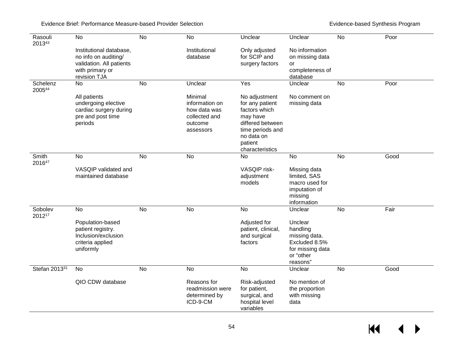Evidence Brief: Performance Measure-based Provider Selection **Evidence** Brief Evidence-based Synthesis Program

| Rasouli<br>201343  | <b>No</b>                                                                                                      | $\overline{N}$ | No                                                                                 | Unclear                                                                                                                                           | Unclear                                                                                            | No        | Poor |
|--------------------|----------------------------------------------------------------------------------------------------------------|----------------|------------------------------------------------------------------------------------|---------------------------------------------------------------------------------------------------------------------------------------------------|----------------------------------------------------------------------------------------------------|-----------|------|
|                    | Institutional database,<br>no info on auditing/<br>validation. All patients<br>with primary or<br>revision TJA |                | Institutional<br>database                                                          | Only adjusted<br>for SCIP and<br>surgery factors                                                                                                  | No information<br>on missing data<br>or<br>completeness of<br>database                             |           |      |
| Schelenz<br>200544 | No                                                                                                             | <b>No</b>      | Unclear                                                                            | Yes                                                                                                                                               | Unclear                                                                                            | No        | Poor |
|                    | All patients<br>undergoing elective<br>cardiac surgery during<br>pre and post time<br>periods                  |                | Minimal<br>information on<br>how data was<br>collected and<br>outcome<br>assessors | No adjustment<br>for any patient<br>factors which<br>may have<br>differed between<br>time periods and<br>no data on<br>patient<br>characteristics | No comment on<br>missing data                                                                      |           |      |
| Smith<br>201647    | <b>No</b>                                                                                                      | <b>No</b>      | <b>No</b>                                                                          | No                                                                                                                                                | <b>No</b>                                                                                          | <b>No</b> | Good |
|                    | VASQIP validated and<br>maintained database                                                                    |                |                                                                                    | VASQIP risk-<br>adjustment<br>models                                                                                                              | Missing data<br>limited, SAS<br>macro used for<br>imputation of<br>missing<br>information          |           |      |
| Sobolev<br>201217  | No                                                                                                             | $\overline{N}$ | N <sub>o</sub>                                                                     | No                                                                                                                                                | Unclear                                                                                            | No        | Fair |
|                    | Population-based<br>patient registry.<br>Inclusion/exclusion<br>criteria applied<br>uniformly                  |                |                                                                                    | Adjusted for<br>patient, clinical,<br>and surgical<br>factors                                                                                     | Unclear<br>handling<br>missing data.<br>Excluded 8.5%<br>for missing data<br>or "other<br>reasons" |           |      |
| Stefan 201331      | No                                                                                                             | No             | No                                                                                 | <b>No</b>                                                                                                                                         | Unclear                                                                                            | No        | Good |
|                    | QIO CDW database                                                                                               |                | Reasons for<br>readmission were<br>determined by<br>ICD-9-CM                       | Risk-adjusted<br>for patient,<br>surgical, and<br>hospital level<br>variables                                                                     | No mention of<br>the proportion<br>with missing<br>data                                            |           |      |

 $M \rightarrow$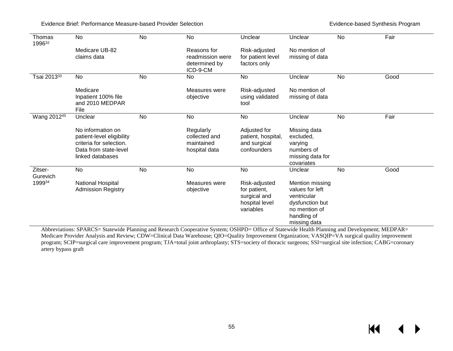Evidence Brief: Performance Measure-based Provider Selection Evidence-based Synthesis Program

KI

 $\blacktriangleright$ 

| Thomas<br>199632        | No                                                                                                                     | <b>No</b> | <b>No</b>                                                    | Unclear                                                                      | Unclear                                                                                                              | <b>No</b> | Fair |
|-------------------------|------------------------------------------------------------------------------------------------------------------------|-----------|--------------------------------------------------------------|------------------------------------------------------------------------------|----------------------------------------------------------------------------------------------------------------------|-----------|------|
|                         | Medicare UB-82<br>claims data                                                                                          |           | Reasons for<br>readmission were<br>determined by<br>ICD-9-CM | Risk-adjusted<br>for patient level<br>factors only                           | No mention of<br>missing of data                                                                                     |           |      |
| Tsai 201333             | No                                                                                                                     | No        | No                                                           | No                                                                           | Unclear                                                                                                              | <b>No</b> | Good |
|                         | Medicare<br>Inpatient 100% file<br>and 2010 MEDPAR<br>File                                                             |           | Measures were<br>objective                                   | Risk-adjusted<br>using validated<br>tool                                     | No mention of<br>missing of data                                                                                     |           |      |
| Wang 2012 <sup>45</sup> | Unclear                                                                                                                | No        | No                                                           | No                                                                           | Unclear                                                                                                              | <b>No</b> | Fair |
|                         | No information on<br>patient-level eligibility<br>criteria for selection.<br>Data from state-level<br>linked databases |           | Regularly<br>collected and<br>maintained<br>hospital data    | Adjusted for<br>patient, hospital,<br>and surgical<br>confounders            | Missing data<br>excluded,<br>varying<br>numbers of<br>missing data for<br>covariates                                 |           |      |
| Zitser-<br>Gurevich     | No                                                                                                                     | No        | No                                                           | No                                                                           | Unclear                                                                                                              | No        | Good |
| 199934                  | National Hospital<br><b>Admission Registry</b>                                                                         |           | Measures were<br>objective                                   | Risk-adjusted<br>for patient,<br>surgical and<br>hospital level<br>variables | Mention missing<br>values for left<br>ventricular<br>dysfunction but<br>no mention of<br>handling of<br>missing data |           |      |

Abbreviations: SPARCS= Statewide Planning and Research Cooperative System; OSHPD= Office of Statewide Health Planning and Development; MEDPAR= Medicare Provider Analysis and Review; CDW=Clinical Data Warehouse; QIO=Quality Improvement Organization; VASQIP=VA surgical quality improvement program; SCIP=surgical care improvement program; TJA=total joint arthroplasty; STS=society of thoracic surgeons; SSI=surgical site infection; CABG=coronary artery bypass graft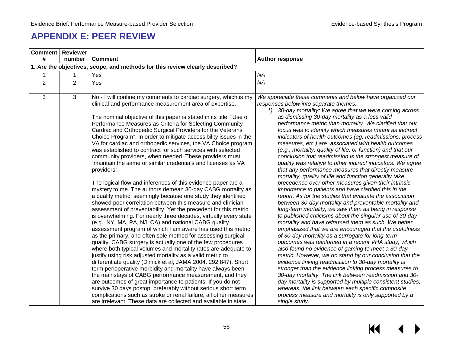## **APPENDIX E: PEER REVIEW**

|                | <b>Comment</b> Reviewer                                                      |                                                                                                                                                                                                                                                                                                                                                                                                                                                                                                                                                                                                                                                                                                                                                                                                                                                                                                                                                                                                                                                                                                                                                                                                                                                                                                                                                                                                                                                                                                                                                                                                                                                                                                                                                                                                                                                                                                                                          |                                                                                                                                                                                                                                                                                                                                                                                                                                                                                                                                                                                                                                                                                                                                                                                                                                                                                                                                                                                                                                                                                                                                                                                                                                                                                                                                                                                                                                                                                                                                                                                                                                                                                                                                                                                                                                                        |  |  |  |
|----------------|------------------------------------------------------------------------------|------------------------------------------------------------------------------------------------------------------------------------------------------------------------------------------------------------------------------------------------------------------------------------------------------------------------------------------------------------------------------------------------------------------------------------------------------------------------------------------------------------------------------------------------------------------------------------------------------------------------------------------------------------------------------------------------------------------------------------------------------------------------------------------------------------------------------------------------------------------------------------------------------------------------------------------------------------------------------------------------------------------------------------------------------------------------------------------------------------------------------------------------------------------------------------------------------------------------------------------------------------------------------------------------------------------------------------------------------------------------------------------------------------------------------------------------------------------------------------------------------------------------------------------------------------------------------------------------------------------------------------------------------------------------------------------------------------------------------------------------------------------------------------------------------------------------------------------------------------------------------------------------------------------------------------------|--------------------------------------------------------------------------------------------------------------------------------------------------------------------------------------------------------------------------------------------------------------------------------------------------------------------------------------------------------------------------------------------------------------------------------------------------------------------------------------------------------------------------------------------------------------------------------------------------------------------------------------------------------------------------------------------------------------------------------------------------------------------------------------------------------------------------------------------------------------------------------------------------------------------------------------------------------------------------------------------------------------------------------------------------------------------------------------------------------------------------------------------------------------------------------------------------------------------------------------------------------------------------------------------------------------------------------------------------------------------------------------------------------------------------------------------------------------------------------------------------------------------------------------------------------------------------------------------------------------------------------------------------------------------------------------------------------------------------------------------------------------------------------------------------------------------------------------------------------|--|--|--|
| #              | number                                                                       | <b>Comment</b>                                                                                                                                                                                                                                                                                                                                                                                                                                                                                                                                                                                                                                                                                                                                                                                                                                                                                                                                                                                                                                                                                                                                                                                                                                                                                                                                                                                                                                                                                                                                                                                                                                                                                                                                                                                                                                                                                                                           | <b>Author response</b>                                                                                                                                                                                                                                                                                                                                                                                                                                                                                                                                                                                                                                                                                                                                                                                                                                                                                                                                                                                                                                                                                                                                                                                                                                                                                                                                                                                                                                                                                                                                                                                                                                                                                                                                                                                                                                 |  |  |  |
|                | 1. Are the objectives, scope, and methods for this review clearly described? |                                                                                                                                                                                                                                                                                                                                                                                                                                                                                                                                                                                                                                                                                                                                                                                                                                                                                                                                                                                                                                                                                                                                                                                                                                                                                                                                                                                                                                                                                                                                                                                                                                                                                                                                                                                                                                                                                                                                          |                                                                                                                                                                                                                                                                                                                                                                                                                                                                                                                                                                                                                                                                                                                                                                                                                                                                                                                                                                                                                                                                                                                                                                                                                                                                                                                                                                                                                                                                                                                                                                                                                                                                                                                                                                                                                                                        |  |  |  |
|                |                                                                              | Yes                                                                                                                                                                                                                                                                                                                                                                                                                                                                                                                                                                                                                                                                                                                                                                                                                                                                                                                                                                                                                                                                                                                                                                                                                                                                                                                                                                                                                                                                                                                                                                                                                                                                                                                                                                                                                                                                                                                                      | <b>NA</b>                                                                                                                                                                                                                                                                                                                                                                                                                                                                                                                                                                                                                                                                                                                                                                                                                                                                                                                                                                                                                                                                                                                                                                                                                                                                                                                                                                                                                                                                                                                                                                                                                                                                                                                                                                                                                                              |  |  |  |
| $\overline{2}$ | 2                                                                            | Yes                                                                                                                                                                                                                                                                                                                                                                                                                                                                                                                                                                                                                                                                                                                                                                                                                                                                                                                                                                                                                                                                                                                                                                                                                                                                                                                                                                                                                                                                                                                                                                                                                                                                                                                                                                                                                                                                                                                                      | <b>NA</b>                                                                                                                                                                                                                                                                                                                                                                                                                                                                                                                                                                                                                                                                                                                                                                                                                                                                                                                                                                                                                                                                                                                                                                                                                                                                                                                                                                                                                                                                                                                                                                                                                                                                                                                                                                                                                                              |  |  |  |
| 3              | 3                                                                            | No - I will confine my comments to cardiac surgery, which is my<br>clinical and performance measurement area of expertise.<br>The nominal objective of this paper is stated in its title: "Use of<br>Performance Measures as Criteria for Selecting Community<br>Cardiac and Orthopedic Surgical Providers for the Veterans<br>Choice Program". In order to mitigate accessibility issues in the<br>VA for cardiac and orthopedic services, the VA Choice program<br>was established to contract for such services with selected<br>community providers, when needed. These providers must<br>"maintain the same or similar credentials and licenses as VA<br>providers".<br>The logical flow and inferences of this evidence paper are a<br>mystery to me. The authors demean 30-day CABG mortality as<br>a quality metric, seemingly because one study they identified<br>showed poor correlation between this measure and clinician<br>assessment of preventability. Yet the precedent for this metric<br>is overwhelming. For nearly three decades, virtually every state<br>(e.g., NY, MA, PA, NJ, CA) and national CABG quality<br>assessment program of which I am aware has used this metric<br>as the primary, and often sole method for assessing surgical<br>quality. CABG surgery is actually one of the few procedures<br>where both typical volumes and mortality rates are adequate to<br>justify using risk adjusted mortality as a valid metric to<br>differentiate quality (Dimick et al, JAMA 2004. 292:847). Short<br>term perioperative morbidity and mortality have always been<br>the mainstays of CABG performance measurement, and they<br>are outcomes of great importance to patients. If you do not<br>survive 30 days postop, preferably without serious short term<br>complications such as stroke or renal failure, all other measures<br>are irrelevant. These data are collected and available in state | We appreciate these comments and below have organized our<br>responses below into separate themes:<br>30-day mortality: We agree that we were coming across<br>1)<br>as dismissing 30-day mortality as a less valid<br>performance metric than mortality. We clarified that our<br>focus was to identify which measures meant as indirect<br>indicators of health outcomes (eg, readmissions, process<br>measures, etc.) are associated with health outcomes<br>(e.g., mortality, quality of life, or function) and that our<br>conclusion that readmission is the strongest measure of<br>quality was relative to other indirect indicators. We agree<br>that any performance measures that directly measure<br>mortality, quality of life and function generally take<br>precedence over other measures given their intrinsic<br>importance to patients and have clarified this in the<br>report. As for the studies that evaluate the association<br>between 30-day mortality and preventable mortality and<br>long-term mortality, we saw them as being in response<br>to published criticisms about the singular use of 30-day<br>mortality and have reframed them as such. We better<br>emphasized that we are encouraged that the usefulness<br>of 30-day mortality as a surrogate for long-term<br>outcomes was reinforced in a recent VHA study, which<br>also found no evidence of gaming to meet a 30-day<br>metric. However, we do stand by our conclusion that the<br>evidence linking readmission to 30-day mortality is<br>stronger than the evidence linking process measures to<br>30-day mortality. The link between readmission and 30-<br>day mortality is supported by multiple consistent studies;<br>whereas, the link between each specific composite<br>process measure and mortality is only supported by a<br>single study. |  |  |  |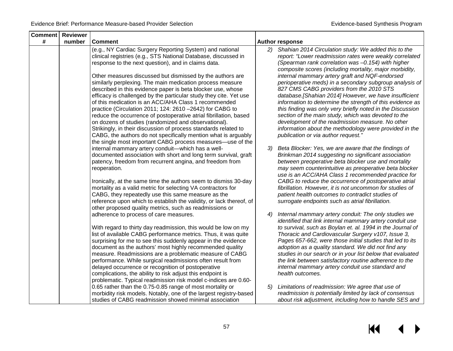| <b>Comment</b> | Reviewer |                                                                                                                                                                                                                                                                                                                                                                                                                                                                                                                                                                                                                                                  |    |                                                                                                                                                                                                                                                                                                                                                                                                                                                                                                                                                          |
|----------------|----------|--------------------------------------------------------------------------------------------------------------------------------------------------------------------------------------------------------------------------------------------------------------------------------------------------------------------------------------------------------------------------------------------------------------------------------------------------------------------------------------------------------------------------------------------------------------------------------------------------------------------------------------------------|----|----------------------------------------------------------------------------------------------------------------------------------------------------------------------------------------------------------------------------------------------------------------------------------------------------------------------------------------------------------------------------------------------------------------------------------------------------------------------------------------------------------------------------------------------------------|
| #              | number   | <b>Comment</b>                                                                                                                                                                                                                                                                                                                                                                                                                                                                                                                                                                                                                                   |    | <b>Author response</b>                                                                                                                                                                                                                                                                                                                                                                                                                                                                                                                                   |
|                |          | (e.g., NY Cardiac Surgery Reporting System) and national<br>clinical registries (e.g., STS National Database, discussed in<br>response to the next question), and in claims data.                                                                                                                                                                                                                                                                                                                                                                                                                                                                | 2) | Shahian 2014 Circulation study: We added this to the<br>report: "Lower readmission rates were weakly correlated<br>(Spearman rank correlation was -0.154) with higher<br>composite scores (including mortality, major morbidity,                                                                                                                                                                                                                                                                                                                         |
|                |          | Other measures discussed but dismissed by the authors are<br>similarly perplexing. The main medication process measure<br>described in this evidence paper is beta blocker use, whose<br>efficacy is challenged by the particular study they cite. Yet use<br>of this medication is an ACC/AHA Class 1 recommended<br>practice (Circulation 2011; 124: 2610 -2642) for CABG to<br>reduce the occurrence of postoperative atrial fibrillation, based<br>on dozens of studies (randomized and observational).<br>Strikingly, in their discussion of process standards related to<br>CABG, the authors do not specifically mention what is arguably |    | internal mammary artery graft and NQF-endorsed<br>perioperative meds) in a secondary subgroup analysis of<br>827 CMS CABG providers from the 2010 STS<br>database.[Shahian 2014] However, we have insufficient<br>information to determine the strength of this evidence as<br>this finding was only very briefly noted in the Discussion<br>section of the main study, which was devoted to the<br>development of the readmission measure. No other<br>information about the methodology were provided in the<br>publication or via author request."    |
|                |          | the single most important CABG process measures—use of the<br>internal mammary artery conduit-which has a well-<br>documented association with short and long term survival, graft<br>patency, freedom from recurrent angina, and freedom from<br>reoperation.<br>Ironically, at the same time the authors seem to dismiss 30-day<br>mortality as a valid metric for selecting VA contractors for<br>CABG, they repeatedly use this same measure as the<br>reference upon which to establish the validity, or lack thereof, of<br>other proposed quality metrics, such as readmissions or                                                        | 3) | Beta Blocker: Yes, we are aware that the findings of<br>Brinkman 2014 suggesting no significant association<br>between preoperative beta blocker use and mortality<br>may seem counterintuitive as preoperative beta blocker<br>use is an ACC/AHA Class 1 recommended practice for<br>CABG to reduce the occurrence of postoperative atrial<br>fibrillation. However, it is not uncommon for studies of<br>patient health outcomes to contradict studies of<br>surrogate endpoints such as atrial fibrillation.                                          |
|                |          | adherence to process of care measures.<br>With regard to thirty day readmission, this would be low on my<br>list of available CABG performance metrics. Thus, it was quite<br>surprising for me to see this suddenly appear in the evidence<br>document as the authors' most highly recommended quality<br>measure. Readmissions are a problematic measure of CABG<br>performance. While surgical readmissions often result from<br>delayed occurrence or recognition of postoperative<br>complications, the ability to risk adjust this endpoint is<br>problematic. Typical readmission risk model c-indices are 0.60-                          | 4) | Internal mammary artery conduit: The only studies we<br>identified that link internal mammary artery conduit use<br>to survival, such as Boylan et. al. 1994 in the Journal of<br>Thoracic and Cardiovascular Surgery v107, Issue 3,<br>Pages 657-662, were those initial studies that led to its<br>adoption as a quality standard. We did not find any<br>studies in our search or in your list below that evaluated<br>the link between satisfactory routine adherence to the<br>internal mammary artery conduit use standard and<br>health outcomes. |
|                |          | 0.65 rather than the 0.75-0.85 range of most mortality or<br>morbidity risk models. Notably, one of the largest registry-based<br>studies of CABG readmission showed minimal association                                                                                                                                                                                                                                                                                                                                                                                                                                                         | 5) | Limitations of readmission: We agree that use of<br>readmission is potentially limited by lack of consensus<br>about risk adjustment, including how to handle SES and                                                                                                                                                                                                                                                                                                                                                                                    |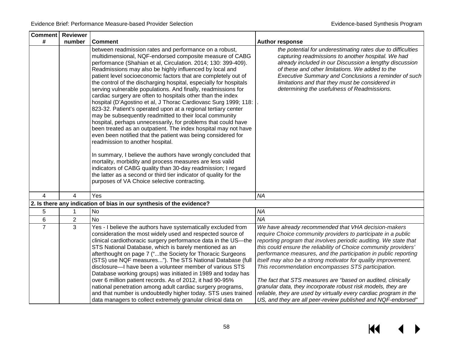| <b>Comment   Reviewer</b> |              |                                                                                                                                                                                                                                                                                                                                                                                                                                                                                                                                                                                                                                                                                                                                                                                                                                                                                                                                                                                                                                                                                                                                                                                                                                                                               |                                                                                                                                                                                                                                                                                                                                                                                                                                                                                                                                                                                                                                                                                                                               |
|---------------------------|--------------|-------------------------------------------------------------------------------------------------------------------------------------------------------------------------------------------------------------------------------------------------------------------------------------------------------------------------------------------------------------------------------------------------------------------------------------------------------------------------------------------------------------------------------------------------------------------------------------------------------------------------------------------------------------------------------------------------------------------------------------------------------------------------------------------------------------------------------------------------------------------------------------------------------------------------------------------------------------------------------------------------------------------------------------------------------------------------------------------------------------------------------------------------------------------------------------------------------------------------------------------------------------------------------|-------------------------------------------------------------------------------------------------------------------------------------------------------------------------------------------------------------------------------------------------------------------------------------------------------------------------------------------------------------------------------------------------------------------------------------------------------------------------------------------------------------------------------------------------------------------------------------------------------------------------------------------------------------------------------------------------------------------------------|
| #                         | number       | <b>Comment</b>                                                                                                                                                                                                                                                                                                                                                                                                                                                                                                                                                                                                                                                                                                                                                                                                                                                                                                                                                                                                                                                                                                                                                                                                                                                                | <b>Author response</b>                                                                                                                                                                                                                                                                                                                                                                                                                                                                                                                                                                                                                                                                                                        |
|                           |              | between readmission rates and performance on a robust,<br>multidimensional, NQF-endorsed composite measure of CABG<br>performance (Shahian et al, Circulation. 2014; 130: 399-409).<br>Readmissions may also be highly influenced by local and<br>patient level socioeconomic factors that are completely out of<br>the control of the discharging hospital, especially for hospitals<br>serving vulnerable populations. And finally, readmissions for<br>cardiac surgery are often to hospitals other than the index<br>hospital (D'Agostino et al, J Thorac Cardiovasc Surg 1999; 118:<br>823-32. Patient's operated upon at a regional tertiary center<br>may be subsequently readmitted to their local community<br>hospital, perhaps unnecessarily, for problems that could have<br>been treated as an outpatient. The index hospital may not have<br>even been notified that the patient was being considered for<br>readmission to another hospital.<br>In summary, I believe the authors have wrongly concluded that<br>mortality, morbidity and process measures are less valid<br>indicators of CABG quality than 30-day readmission; I regard<br>the latter as a second or third tier indicator of quality for the<br>purposes of VA Choice selective contracting. | the potential for underestimating rates due to difficulties<br>capturing readmissions to another hospital. We had<br>already included in our Discussion a lengthy discussion<br>of these and other limitations. We added to the<br>Executive Summary and Conclusions a reminder of such<br>limitations and that they must be considered in<br>determining the usefulness of Readmissions.                                                                                                                                                                                                                                                                                                                                     |
| 4                         | 4            | Yes                                                                                                                                                                                                                                                                                                                                                                                                                                                                                                                                                                                                                                                                                                                                                                                                                                                                                                                                                                                                                                                                                                                                                                                                                                                                           | <b>NA</b>                                                                                                                                                                                                                                                                                                                                                                                                                                                                                                                                                                                                                                                                                                                     |
|                           |              | 2. Is there any indication of bias in our synthesis of the evidence?                                                                                                                                                                                                                                                                                                                                                                                                                                                                                                                                                                                                                                                                                                                                                                                                                                                                                                                                                                                                                                                                                                                                                                                                          |                                                                                                                                                                                                                                                                                                                                                                                                                                                                                                                                                                                                                                                                                                                               |
| 5                         | $\mathbf{1}$ | No                                                                                                                                                                                                                                                                                                                                                                                                                                                                                                                                                                                                                                                                                                                                                                                                                                                                                                                                                                                                                                                                                                                                                                                                                                                                            | <b>NA</b>                                                                                                                                                                                                                                                                                                                                                                                                                                                                                                                                                                                                                                                                                                                     |
| 6                         | 2            | No                                                                                                                                                                                                                                                                                                                                                                                                                                                                                                                                                                                                                                                                                                                                                                                                                                                                                                                                                                                                                                                                                                                                                                                                                                                                            | <b>NA</b>                                                                                                                                                                                                                                                                                                                                                                                                                                                                                                                                                                                                                                                                                                                     |
| $\overline{7}$            | 3            | Yes - I believe the authors have systematically excluded from<br>consideration the most widely used and respected source of<br>clinical cardiothoracic surgery performance data in the US-the<br>STS National Database, which is barely mentioned as an<br>afterthought on page 7 ("the Society for Thoracic Surgeons<br>(STS) use NQF measures"). The STS National Database (full<br>disclosure-I have been a volunteer member of various STS<br>Database working groups) was initiated in 1989 and today has<br>over 6 million patient records. As of 2012, it had 90-95%<br>national penetration among adult cardiac surgery programs,<br>and that number is undoubtedly higher today. STS uses trained<br>data managers to collect extremely granular clinical data on                                                                                                                                                                                                                                                                                                                                                                                                                                                                                                    | We have already recommended that VHA decision-makers<br>require Choice community providers to participate in a public<br>reporting program that involves periodic auditing. We state that<br>this could ensure the reliability of Choice community providers'<br>performance measures, and the participation in public reporting<br>itself may also be a strong motivator for quality improvement.<br>This recommendation encompasses STS participation.<br>The fact that STS measures are "based on audited, clinically<br>granular data, they incorporate robust risk models, they are<br>reliable, they are used by virtually every cardiac program in the<br>US, and they are all peer-review published and NQF-endorsed" |

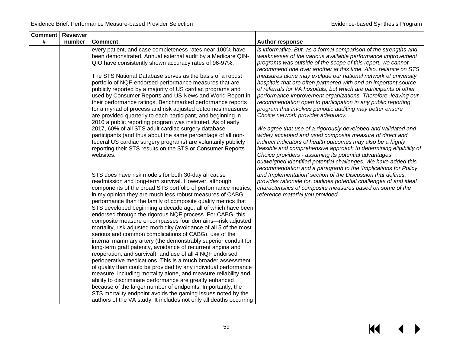| Comment | Reviewer |                                                                                                                       |                                                                    |
|---------|----------|-----------------------------------------------------------------------------------------------------------------------|--------------------------------------------------------------------|
| #       | number   | <b>Comment</b>                                                                                                        | <b>Author response</b>                                             |
|         |          | every patient, and case completeness rates near 100% have                                                             | is informative. But, as a formal comparison of the strengths and   |
|         |          | been demonstrated. Annual external audit by a Medicare QIN-                                                           | weaknesses of the various available performance improvement        |
|         |          | QIO have consistently shown accuracy rates of 96-97%.                                                                 | programs was outside of the scope of this report, we cannot        |
|         |          |                                                                                                                       | recommend one over another at this time. Also, reliance on STS     |
|         |          | The STS National Database serves as the basis of a robust                                                             | measures alone may exclude our national network of university      |
|         |          | portfolio of NQF-endorsed performance measures that are                                                               | hospitals that are often partnered with and an important source    |
|         |          | publicly reported by a majority of US cardiac programs and                                                            | of referrals for VA hospitals, but which are participants of other |
|         |          | used by Consumer Reports and US News and World Report in                                                              | performance improvement organizations. Therefore, leaving our      |
|         |          | their performance ratings. Benchmarked performance reports                                                            | recommendation open to participation in any public reporting       |
|         |          | for a myriad of process and risk adjusted outcomes measures                                                           | program that involves periodic auditing may better ensure          |
|         |          | are provided quarterly to each participant, and beginning in                                                          | Choice network provider adequacy.                                  |
|         |          | 2010 a public reporting program was instituted. As of early                                                           |                                                                    |
|         |          | 2017, 60% of all STS adult cardiac surgery database                                                                   | We agree that use of a rigorously developed and validated and      |
|         |          | participants (and thus about the same percentage of all non-                                                          | widely accepted and used composite measure of direct and           |
|         |          | federal US cardiac surgery programs) are voluntarily publicly                                                         | indirect indicators of health outcomes may also be a highly        |
|         |          | reporting their STS results on the STS or Consumer Reports                                                            | feasible and comprehensive approach to determining eligibility of  |
|         |          | websites.                                                                                                             | Choice providers - assuming its potential advantages               |
|         |          |                                                                                                                       | outweighed identified potential challenges. We have added this     |
|         |          |                                                                                                                       | recommendation and a paragraph to the 'Implications for Policy     |
|         |          | STS does have risk models for both 30-day all cause                                                                   | and Implementation' section of the Discussion that defines,        |
|         |          | readmission and long-term survival. However, although                                                                 | provides rationale for, outlines potential challenges of and ideal |
|         |          | components of the broad STS portfolio of performance metrics,                                                         | characteristics of composite measures based on some of the         |
|         |          | in my opinion they are much less robust measures of CABG                                                              | reference material you provided.                                   |
|         |          | performance than the family of composite quality metrics that                                                         |                                                                    |
|         |          | STS developed beginning a decade ago, all of which have been                                                          |                                                                    |
|         |          | endorsed through the rigorous NQF process. For CABG, this<br>composite measure encompasses four domains-risk adjusted |                                                                    |
|         |          | mortality, risk adjusted morbidity (avoidance of all 5 of the most                                                    |                                                                    |
|         |          | serious and common complications of CABG), use of the                                                                 |                                                                    |
|         |          | internal mammary artery (the demonstrably superior conduit for                                                        |                                                                    |
|         |          | long-term graft patency, avoidance of recurrent angina and                                                            |                                                                    |
|         |          | reoperation, and survival), and use of all 4 NQF endorsed                                                             |                                                                    |
|         |          | perioperative medications. This is a much broader assessment                                                          |                                                                    |
|         |          | of quality than could be provided by any individual performance                                                       |                                                                    |
|         |          | measure, including mortality alone, and measure reliability and                                                       |                                                                    |
|         |          | ability to discriminate performance are greatly enhanced                                                              |                                                                    |
|         |          | because of the larger number of endpoints. Importantly, the                                                           |                                                                    |
|         |          | STS mortality endpoint avoids the gaming issues noted by the                                                          |                                                                    |
|         |          | authors of the VA study. It includes not only all deaths occurring                                                    |                                                                    |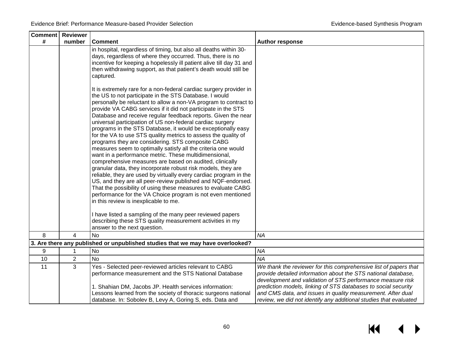|      | <b>Comment</b> Reviewer |                                                                                                                                                                                                                                                                                                                                                                                                                                                                                                                                                                                                                                                                                                                                                                                                                                                                                                                                                                                                                                                                                                                                                                                                                        |                                                                                                                                                                                                    |
|------|-------------------------|------------------------------------------------------------------------------------------------------------------------------------------------------------------------------------------------------------------------------------------------------------------------------------------------------------------------------------------------------------------------------------------------------------------------------------------------------------------------------------------------------------------------------------------------------------------------------------------------------------------------------------------------------------------------------------------------------------------------------------------------------------------------------------------------------------------------------------------------------------------------------------------------------------------------------------------------------------------------------------------------------------------------------------------------------------------------------------------------------------------------------------------------------------------------------------------------------------------------|----------------------------------------------------------------------------------------------------------------------------------------------------------------------------------------------------|
| $\#$ | number                  | <b>Comment</b>                                                                                                                                                                                                                                                                                                                                                                                                                                                                                                                                                                                                                                                                                                                                                                                                                                                                                                                                                                                                                                                                                                                                                                                                         | <b>Author response</b>                                                                                                                                                                             |
|      |                         | in hospital, regardless of timing, but also all deaths within 30-<br>days, regardless of where they occurred. Thus, there is no<br>incentive for keeping a hopelessly ill patient alive till day 31 and<br>then withdrawing support, as that patient's death would still be<br>captured.                                                                                                                                                                                                                                                                                                                                                                                                                                                                                                                                                                                                                                                                                                                                                                                                                                                                                                                               |                                                                                                                                                                                                    |
|      |                         | It is extremely rare for a non-federal cardiac surgery provider in<br>the US to not participate in the STS Database. I would<br>personally be reluctant to allow a non-VA program to contract to<br>provide VA CABG services if it did not participate in the STS<br>Database and receive regular feedback reports. Given the near<br>universal participation of US non-federal cardiac surgery<br>programs in the STS Database, it would be exceptionally easy<br>for the VA to use STS quality metrics to assess the quality of<br>programs they are considering. STS composite CABG<br>measures seem to optimally satisfy all the criteria one would<br>want in a performance metric. These multidimensional,<br>comprehensive measures are based on audited, clinically<br>granular data, they incorporate robust risk models, they are<br>reliable, they are used by virtually every cardiac program in the<br>US, and they are all peer-review published and NQF-endorsed.<br>That the possibility of using these measures to evaluate CABG<br>performance for the VA Choice program is not even mentioned<br>in this review is inexplicable to me.<br>I have listed a sampling of the many peer reviewed papers |                                                                                                                                                                                                    |
|      |                         | describing these STS quality measurement activities in my<br>answer to the next question.                                                                                                                                                                                                                                                                                                                                                                                                                                                                                                                                                                                                                                                                                                                                                                                                                                                                                                                                                                                                                                                                                                                              |                                                                                                                                                                                                    |
| 8    | 4                       | <b>No</b>                                                                                                                                                                                                                                                                                                                                                                                                                                                                                                                                                                                                                                                                                                                                                                                                                                                                                                                                                                                                                                                                                                                                                                                                              | <b>NA</b>                                                                                                                                                                                          |
|      |                         | 3. Are there any published or unpublished studies that we may have overlooked?                                                                                                                                                                                                                                                                                                                                                                                                                                                                                                                                                                                                                                                                                                                                                                                                                                                                                                                                                                                                                                                                                                                                         |                                                                                                                                                                                                    |
| 9    | 1                       | <b>No</b>                                                                                                                                                                                                                                                                                                                                                                                                                                                                                                                                                                                                                                                                                                                                                                                                                                                                                                                                                                                                                                                                                                                                                                                                              | <b>NA</b>                                                                                                                                                                                          |
| 10   | 2                       | <b>No</b>                                                                                                                                                                                                                                                                                                                                                                                                                                                                                                                                                                                                                                                                                                                                                                                                                                                                                                                                                                                                                                                                                                                                                                                                              | <b>NA</b>                                                                                                                                                                                          |
| 11   | 3                       | Yes - Selected peer-reviewed articles relevant to CABG<br>performance measurement and the STS National Database                                                                                                                                                                                                                                                                                                                                                                                                                                                                                                                                                                                                                                                                                                                                                                                                                                                                                                                                                                                                                                                                                                        | We thank the reviewer for this comprehensive list of papers that<br>provide detailed information about the STS national database,<br>development and validation of STS performance measure risk    |
|      |                         | 1. Shahian DM, Jacobs JP. Health services information:<br>Lessons learned from the society of thoracic surgeons national<br>database. In: Sobolev B, Levy A, Goring S, eds. Data and                                                                                                                                                                                                                                                                                                                                                                                                                                                                                                                                                                                                                                                                                                                                                                                                                                                                                                                                                                                                                                   | prediction models, linking of STS databases to social security<br>and CMS data, and issues in quality measurement. After dual<br>review, we did not identify any additional studies that evaluated |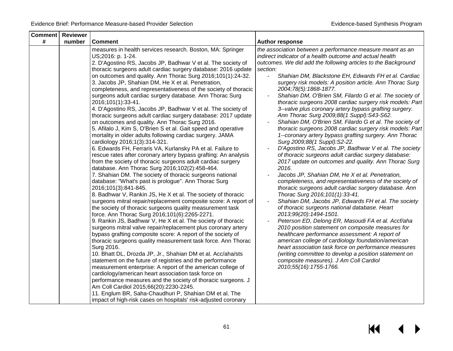| <b>Comment Reviewer</b> |        |                                                                                                                                                                                                                                                                                                                                                                                                                                                                                                                                                                                                                                                                                                                                                                                                                                                                                                                                                                                                                                                                                                                                                                                                                                                                                                                                                                                                                                                                                                                                                                                                                                                                                                                                                                                                                                                                                                                                                                                                                                                                                                                                                                                                                                                                    |                                                                                                                                                                                                                                                                                                                                                                                                                                                                                                                                                                                                                                                                                                                                                                                                                                                                                                                                                                                                                                                                                                                                                                                                                                                                                                                                                                                                                                                                                                                                                                                                                                                                                                                                        |
|-------------------------|--------|--------------------------------------------------------------------------------------------------------------------------------------------------------------------------------------------------------------------------------------------------------------------------------------------------------------------------------------------------------------------------------------------------------------------------------------------------------------------------------------------------------------------------------------------------------------------------------------------------------------------------------------------------------------------------------------------------------------------------------------------------------------------------------------------------------------------------------------------------------------------------------------------------------------------------------------------------------------------------------------------------------------------------------------------------------------------------------------------------------------------------------------------------------------------------------------------------------------------------------------------------------------------------------------------------------------------------------------------------------------------------------------------------------------------------------------------------------------------------------------------------------------------------------------------------------------------------------------------------------------------------------------------------------------------------------------------------------------------------------------------------------------------------------------------------------------------------------------------------------------------------------------------------------------------------------------------------------------------------------------------------------------------------------------------------------------------------------------------------------------------------------------------------------------------------------------------------------------------------------------------------------------------|----------------------------------------------------------------------------------------------------------------------------------------------------------------------------------------------------------------------------------------------------------------------------------------------------------------------------------------------------------------------------------------------------------------------------------------------------------------------------------------------------------------------------------------------------------------------------------------------------------------------------------------------------------------------------------------------------------------------------------------------------------------------------------------------------------------------------------------------------------------------------------------------------------------------------------------------------------------------------------------------------------------------------------------------------------------------------------------------------------------------------------------------------------------------------------------------------------------------------------------------------------------------------------------------------------------------------------------------------------------------------------------------------------------------------------------------------------------------------------------------------------------------------------------------------------------------------------------------------------------------------------------------------------------------------------------------------------------------------------------|
| #                       | number | <b>Comment</b>                                                                                                                                                                                                                                                                                                                                                                                                                                                                                                                                                                                                                                                                                                                                                                                                                                                                                                                                                                                                                                                                                                                                                                                                                                                                                                                                                                                                                                                                                                                                                                                                                                                                                                                                                                                                                                                                                                                                                                                                                                                                                                                                                                                                                                                     | <b>Author response</b>                                                                                                                                                                                                                                                                                                                                                                                                                                                                                                                                                                                                                                                                                                                                                                                                                                                                                                                                                                                                                                                                                                                                                                                                                                                                                                                                                                                                                                                                                                                                                                                                                                                                                                                 |
|                         |        | measures in health services research. Boston, MA: Springer<br>US;2016: p. 1-24.<br>2. D'Agostino RS, Jacobs JP, Badhwar V et al. The society of<br>thoracic surgeons adult cardiac surgery database: 2016 update<br>on outcomes and quality. Ann Thorac Surg 2016;101(1):24-32.<br>3. Jacobs JP, Shahian DM, He X et al. Penetration,<br>completeness, and representativeness of the society of thoracic<br>surgeons adult cardiac surgery database. Ann Thorac Surg<br>2016;101(1):33-41.<br>4. D'Agostino RS, Jacobs JP, Badhwar V et al. The society of<br>thoracic surgeons adult cardiac surgery database: 2017 update<br>on outcomes and quality. Ann Thorac Surg 2016.<br>5. Afilalo J, Kim S, O'Brien S et al. Gait speed and operative<br>mortality in older adults following cardiac surgery. JAMA<br>cardiology 2016;1(3):314-321.<br>6. Edwards FH, Ferraris VA, Kurlansky PA et al. Failure to<br>rescue rates after coronary artery bypass grafting: An analysis<br>from the society of thoracic surgeons adult cardiac surgery<br>database. Ann Thorac Surg 2016;102(2):458-464.<br>7. Shahian DM. The society of thoracic surgeons national<br>database: "What's past is prologue". Ann Thorac Surg<br>2016;101(3):841-845.<br>8. Badhwar V, Rankin JS, He X et al. The society of thoracic<br>surgeons mitral repair/replacement composite score: A report of<br>the society of thoracic surgeons quality measurement task<br>force. Ann Thorac Surg 2016;101(6):2265-2271.<br>9. Rankin JS, Badhwar V, He X et al. The society of thoracic<br>surgeons mitral valve repair/replacement plus coronary artery<br>bypass grafting composite score: A report of the society of<br>thoracic surgeons quality measurement task force. Ann Thorac<br>Surg 2016.<br>10. Bhatt DL, Drozda JP, Jr., Shahian DM et al. Acc/aha/sts<br>statement on the future of registries and the performance<br>measurement enterprise: A report of the american college of<br>cardiology/american heart association task force on<br>performance measures and the society of thoracic surgeons. J<br>Am Coll Cardiol 2015;66(20):2230-2245.<br>11. Englum BR, Saha-Chaudhuri P, Shahian DM et al. The<br>impact of high-risk cases on hospitals' risk-adjusted coronary | the association between a performance measure meant as an<br>indirect indicator of a health outcome and actual health<br>outcomes. We did add the following articles to the Background<br>section:<br>Shahian DM, Blackstone EH, Edwards FH et al. Cardiac<br>surgery risk models: A position article. Ann Thorac Surg<br>2004;78(5):1868-1877.<br>Shahian DM, O'Brien SM, Filardo G et al. The society of<br>thoracic surgeons 2008 cardiac surgery risk models: Part<br>3--valve plus coronary artery bypass grafting surgery.<br>Ann Thorac Surg 2009;88(1 Suppl):S43-S62.<br>Shahian DM, O'Brien SM, Filardo G et al. The society of<br>thoracic surgeons 2008 cardiac surgery risk models: Part<br>1--coronary artery bypass grafting surgery. Ann Thorac<br>Surg 2009;88(1 Suppl):S2-22.<br>D'Agostino RS, Jacobs JP, Badhwar V et al. The society<br>of thoracic surgeons adult cardiac surgery database:<br>2017 update on outcomes and quality. Ann Thorac Surg<br>2016.<br>Jacobs JP, Shahian DM, He X et al. Penetration,<br>completeness, and representativeness of the society of<br>thoracic surgeons adult cardiac surgery database. Ann<br>Thorac Surg 2016; 101(1): 33-41.<br>Shahian DM, Jacobs JP, Edwards FH et al. The society<br>of thoracic surgeons national database. Heart<br>2013;99(20):1494-1501.<br>Peterson ED, Delong ER, Masoudi FA et al. Accf/aha<br>2010 position statement on composite measures for<br>healthcare performance assessment: A report of<br>american college of cardiology foundation/american<br>heart association task force on performance measures<br>(writing committee to develop a position statement on<br>composite measures). J Am Coll Cardiol<br>2010;55(16):1755-1766. |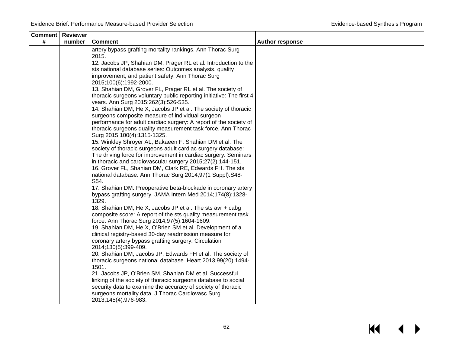| <b>Comment Reviewer</b> |        |                                                                                                              |                        |
|-------------------------|--------|--------------------------------------------------------------------------------------------------------------|------------------------|
| #                       | number | <b>Comment</b>                                                                                               | <b>Author response</b> |
|                         |        | artery bypass grafting mortality rankings. Ann Thorac Surg<br>2015.                                          |                        |
|                         |        | 12. Jacobs JP, Shahian DM, Prager RL et al. Introduction to the                                              |                        |
|                         |        | sts national database series: Outcomes analysis, quality                                                     |                        |
|                         |        | improvement, and patient safety. Ann Thorac Surg<br>2015;100(6):1992-2000.                                   |                        |
|                         |        | 13. Shahian DM, Grover FL, Prager RL et al. The society of                                                   |                        |
|                         |        | thoracic surgeons voluntary public reporting initiative: The first 4<br>years. Ann Surg 2015;262(3):526-535. |                        |
|                         |        | 14. Shahian DM, He X, Jacobs JP et al. The society of thoracic                                               |                        |
|                         |        | surgeons composite measure of individual surgeon                                                             |                        |
|                         |        | performance for adult cardiac surgery: A report of the society of                                            |                        |
|                         |        | thoracic surgeons quality measurement task force. Ann Thorac<br>Surg 2015;100(4):1315-1325.                  |                        |
|                         |        | 15. Winkley Shroyer AL, Bakaeen F, Shahian DM et al. The                                                     |                        |
|                         |        | society of thoracic surgeons adult cardiac surgery database:                                                 |                        |
|                         |        | The driving force for improvement in cardiac surgery. Seminars                                               |                        |
|                         |        | in thoracic and cardiovascular surgery 2015;27(2):144-151.                                                   |                        |
|                         |        | 16. Grover FL, Shahian DM, Clark RE, Edwards FH. The sts                                                     |                        |
|                         |        | national database. Ann Thorac Surg 2014;97(1 Suppl):S48-<br>S54.                                             |                        |
|                         |        | 17. Shahian DM. Preoperative beta-blockade in coronary artery                                                |                        |
|                         |        | bypass grafting surgery. JAMA Intern Med 2014;174(8):1328-                                                   |                        |
|                         |        | 1329.                                                                                                        |                        |
|                         |        | 18. Shahian DM, He X, Jacobs JP et al. The sts avr + cabg                                                    |                        |
|                         |        | composite score: A report of the sts quality measurement task                                                |                        |
|                         |        | force. Ann Thorac Surg 2014;97(5):1604-1609.                                                                 |                        |
|                         |        | 19. Shahian DM, He X, O'Brien SM et al. Development of a                                                     |                        |
|                         |        | clinical registry-based 30-day readmission measure for                                                       |                        |
|                         |        | coronary artery bypass grafting surgery. Circulation<br>2014;130(5):399-409.                                 |                        |
|                         |        | 20. Shahian DM, Jacobs JP, Edwards FH et al. The society of                                                  |                        |
|                         |        | thoracic surgeons national database. Heart 2013;99(20):1494-                                                 |                        |
|                         |        | 1501.                                                                                                        |                        |
|                         |        | 21. Jacobs JP, O'Brien SM, Shahian DM et al. Successful                                                      |                        |
|                         |        | linking of the society of thoracic surgeons database to social                                               |                        |
|                         |        | security data to examine the accuracy of society of thoracic                                                 |                        |
|                         |        | surgeons mortality data. J Thorac Cardiovasc Surg<br>2013;145(4):976-983.                                    |                        |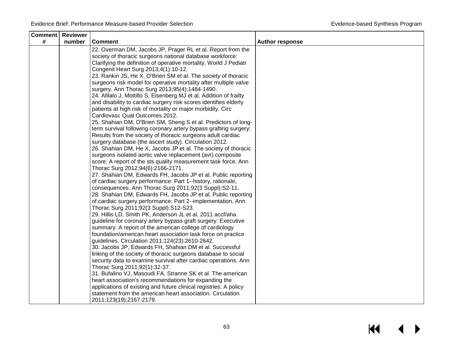| <b>Comment Reviewer</b> |        |                                                                                                                          |                        |
|-------------------------|--------|--------------------------------------------------------------------------------------------------------------------------|------------------------|
| #                       | number | <b>Comment</b>                                                                                                           | <b>Author response</b> |
|                         |        | 22. Overman DM, Jacobs JP, Prager RL et al. Report from the                                                              |                        |
|                         |        | society of thoracic surgeons national database workforce:                                                                |                        |
|                         |        | Clarifying the definition of operative mortality. World J Pediatr                                                        |                        |
|                         |        | Congenit Heart Surg 2013;4(1):10-12.                                                                                     |                        |
|                         |        | 23. Rankin JS, He X, O'Brien SM et al. The society of thoracic                                                           |                        |
|                         |        | surgeons risk model for operative mortality after multiple valve                                                         |                        |
|                         |        | surgery. Ann Thorac Surg 2013;95(4):1484-1490.                                                                           |                        |
|                         |        | 24. Afilalo J, Mottillo S, Eisenberg MJ et al. Addition of frailty                                                       |                        |
|                         |        | and disability to cardiac surgery risk scores identifies elderly                                                         |                        |
|                         |        | patients at high risk of mortality or major morbidity. Circ                                                              |                        |
|                         |        | Cardiovasc Qual Outcomes 2012.                                                                                           |                        |
|                         |        | 25. Shahian DM, O'Brien SM, Sheng S et al. Predictors of long-                                                           |                        |
|                         |        | term survival following coronary artery bypass grafting surgery:                                                         |                        |
|                         |        | Results from the society of thoracic surgeons adult cardiac                                                              |                        |
|                         |        | surgery database (the ascert study). Circulation 2012.                                                                   |                        |
|                         |        | 26. Shahian DM, He X, Jacobs JP et al. The society of thoracic                                                           |                        |
|                         |        | surgeons isolated aortic valve replacement (avr) composite                                                               |                        |
|                         |        | score: A report of the sts quality measurement task force. Ann                                                           |                        |
|                         |        | Thorac Surg 2012;94(6):2166-2171.                                                                                        |                        |
|                         |        | 27. Shahian DM, Edwards FH, Jacobs JP et al. Public reporting                                                            |                        |
|                         |        | of cardiac surgery performance: Part 1--history, rationale,                                                              |                        |
|                         |        | consequences. Ann Thorac Surg 2011;92(3 Suppl):S2-11.                                                                    |                        |
|                         |        | 28. Shahian DM, Edwards FH, Jacobs JP et al. Public reporting                                                            |                        |
|                         |        | of cardiac surgery performance: Part 2--implementation. Ann                                                              |                        |
|                         |        | Thorac Surg 2011;92(3 Suppl):S12-S23.                                                                                    |                        |
|                         |        | 29. Hillis LD, Smith PK, Anderson JL et al. 2011 accf/aha                                                                |                        |
|                         |        | guideline for coronary artery bypass graft surgery: Executive<br>summary: A report of the american college of cardiology |                        |
|                         |        | foundation/american heart association task force on practice                                                             |                        |
|                         |        | guidelines. Circulation 2011;124(23):2610-2642.                                                                          |                        |
|                         |        | 30. Jacobs JP, Edwards FH, Shahian DM et al. Successful                                                                  |                        |
|                         |        | linking of the society of thoracic surgeons database to social                                                           |                        |
|                         |        | security data to examine survival after cardiac operations. Ann                                                          |                        |
|                         |        | Thorac Surg 2011;92(1):32-37.                                                                                            |                        |
|                         |        | 31. Bufalino VJ, Masoudi FA, Stranne SK et al. The american                                                              |                        |
|                         |        | heart association's recommendations for expanding the                                                                    |                        |
|                         |        | applications of existing and future clinical registries: A policy                                                        |                        |
|                         |        | statement from the american heart association. Circulation                                                               |                        |
|                         |        | 2011;123(19):2167-2179.                                                                                                  |                        |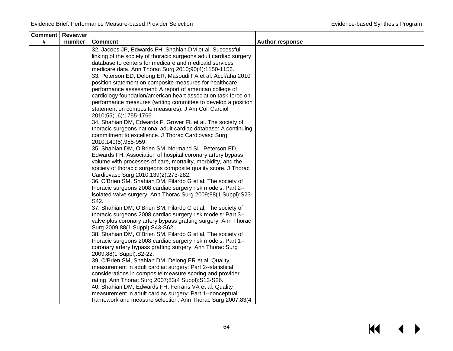| <b>Comment   Reviewer</b> |        |                                                                                                                    |                        |
|---------------------------|--------|--------------------------------------------------------------------------------------------------------------------|------------------------|
| #                         | number | <b>Comment</b>                                                                                                     | <b>Author response</b> |
|                           |        | 32. Jacobs JP, Edwards FH, Shahian DM et al. Successful                                                            |                        |
|                           |        | linking of the society of thoracic surgeons adult cardiac surgery                                                  |                        |
|                           |        | database to centers for medicare and medicaid services                                                             |                        |
|                           |        | medicare data. Ann Thorac Surg 2010;90(4):1150-1156.                                                               |                        |
|                           |        | 33. Peterson ED, Delong ER, Masoudi FA et al. Accf/aha 2010                                                        |                        |
|                           |        | position statement on composite measures for healthcare                                                            |                        |
|                           |        | performance assessment: A report of american college of                                                            |                        |
|                           |        | cardiology foundation/american heart association task force on                                                     |                        |
|                           |        | performance measures (writing committee to develop a position                                                      |                        |
|                           |        | statement on composite measures). J Am Coll Cardiol                                                                |                        |
|                           |        | 2010;55(16):1755-1766.                                                                                             |                        |
|                           |        | 34. Shahian DM, Edwards F, Grover FL et al. The society of                                                         |                        |
|                           |        | thoracic surgeons national adult cardiac database: A continuing                                                    |                        |
|                           |        | commitment to excellence. J Thorac Cardiovasc Surg                                                                 |                        |
|                           |        | 2010;140(5):955-959.                                                                                               |                        |
|                           |        | 35. Shahian DM, O'Brien SM, Normand SL, Peterson ED,                                                               |                        |
|                           |        | Edwards FH. Association of hospital coronary artery bypass                                                         |                        |
|                           |        | volume with processes of care, mortality, morbidity, and the                                                       |                        |
|                           |        | society of thoracic surgeons composite quality score. J Thorac                                                     |                        |
|                           |        | Cardiovasc Surg 2010;139(2):273-282.                                                                               |                        |
|                           |        | 36. O'Brien SM, Shahian DM, Filardo G et al. The society of                                                        |                        |
|                           |        | thoracic surgeons 2008 cardiac surgery risk models: Part 2--                                                       |                        |
|                           |        | isolated valve surgery. Ann Thorac Surg 2009;88(1 Suppl):S23-<br>S42.                                              |                        |
|                           |        | 37. Shahian DM, O'Brien SM, Filardo G et al. The society of                                                        |                        |
|                           |        | thoracic surgeons 2008 cardiac surgery risk models: Part 3--                                                       |                        |
|                           |        | valve plus coronary artery bypass grafting surgery. Ann Thorac                                                     |                        |
|                           |        | Surg 2009;88(1 Suppl):S43-S62.                                                                                     |                        |
|                           |        | 38. Shahian DM, O'Brien SM, Filardo G et al. The society of                                                        |                        |
|                           |        | thoracic surgeons 2008 cardiac surgery risk models: Part 1--                                                       |                        |
|                           |        | coronary artery bypass grafting surgery. Ann Thorac Surg                                                           |                        |
|                           |        | 2009;88(1 Suppl):S2-22.                                                                                            |                        |
|                           |        | 39. O'Brien SM, Shahian DM, Delong ER et al. Quality                                                               |                        |
|                           |        | measurement in adult cardiac surgery: Part 2--statistical                                                          |                        |
|                           |        | considerations in composite measure scoring and provider                                                           |                        |
|                           |        | rating. Ann Thorac Surg 2007;83(4 Suppl):S13-S26.                                                                  |                        |
|                           |        | 40. Shahian DM, Edwards FH, Ferraris VA et al. Quality<br>measurement in adult cardiac surgery: Part 1--conceptual |                        |
|                           |        | framework and measure selection. Ann Thorac Surg 2007;83(4                                                         |                        |
|                           |        |                                                                                                                    |                        |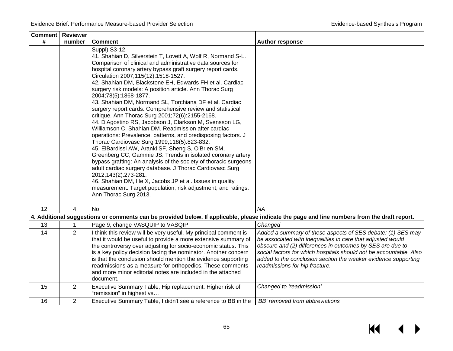$\leftrightarrow$ 

 $M$ 

| <b>Comment</b> Reviewer |                         |                                                                                                                                                                                                                                                                                                                                                                                                                                                                                                                                                                                                                                                                                                                                                                                                                                                                                                                                                                                                                                                                                                                                                                                                                                                      |                                                                                                                                                                                                                                                                                                                                                                   |
|-------------------------|-------------------------|------------------------------------------------------------------------------------------------------------------------------------------------------------------------------------------------------------------------------------------------------------------------------------------------------------------------------------------------------------------------------------------------------------------------------------------------------------------------------------------------------------------------------------------------------------------------------------------------------------------------------------------------------------------------------------------------------------------------------------------------------------------------------------------------------------------------------------------------------------------------------------------------------------------------------------------------------------------------------------------------------------------------------------------------------------------------------------------------------------------------------------------------------------------------------------------------------------------------------------------------------|-------------------------------------------------------------------------------------------------------------------------------------------------------------------------------------------------------------------------------------------------------------------------------------------------------------------------------------------------------------------|
| #                       | number                  | <b>Comment</b>                                                                                                                                                                                                                                                                                                                                                                                                                                                                                                                                                                                                                                                                                                                                                                                                                                                                                                                                                                                                                                                                                                                                                                                                                                       | <b>Author response</b>                                                                                                                                                                                                                                                                                                                                            |
|                         |                         | Suppl): S3-12.<br>41. Shahian D, Silverstein T, Lovett A, Wolf R, Normand S-L.<br>Comparison of clinical and administrative data sources for<br>hospital coronary artery bypass graft surgery report cards.<br>Circulation 2007;115(12):1518-1527.<br>42. Shahian DM, Blackstone EH, Edwards FH et al. Cardiac<br>surgery risk models: A position article. Ann Thorac Surg<br>2004;78(5):1868-1877.<br>43. Shahian DM, Normand SL, Torchiana DF et al. Cardiac<br>surgery report cards: Comprehensive review and statistical<br>critique. Ann Thorac Surg 2001;72(6):2155-2168.<br>44. D'Agostino RS, Jacobson J, Clarkson M, Svensson LG,<br>Williamson C, Shahian DM. Readmission after cardiac<br>operations: Prevalence, patterns, and predisposing factors. J<br>Thorac Cardiovasc Surg 1999;118(5):823-832.<br>45. ElBardissi AW, Aranki SF, Sheng S, O'Brien SM,<br>Greenberg CC, Gammie JS. Trends in isolated coronary artery<br>bypass grafting: An analysis of the society of thoracic surgeons<br>adult cardiac surgery database. J Thorac Cardiovasc Surg<br>2012;143(2):273-281.<br>46. Shahian DM, He X, Jacobs JP et al. Issues in quality<br>measurement: Target population, risk adjustment, and ratings.<br>Ann Thorac Surg 2013. |                                                                                                                                                                                                                                                                                                                                                                   |
| 12                      | $\overline{\mathbf{A}}$ | <b>No</b>                                                                                                                                                                                                                                                                                                                                                                                                                                                                                                                                                                                                                                                                                                                                                                                                                                                                                                                                                                                                                                                                                                                                                                                                                                            | <b>NA</b>                                                                                                                                                                                                                                                                                                                                                         |
|                         |                         | 4. Additional suggestions or comments can be provided below. If applicable, please indicate the page and line numbers from the draft report.                                                                                                                                                                                                                                                                                                                                                                                                                                                                                                                                                                                                                                                                                                                                                                                                                                                                                                                                                                                                                                                                                                         |                                                                                                                                                                                                                                                                                                                                                                   |
| 13                      |                         | Page 9, change VASQUIP to VASQIP                                                                                                                                                                                                                                                                                                                                                                                                                                                                                                                                                                                                                                                                                                                                                                                                                                                                                                                                                                                                                                                                                                                                                                                                                     | Changed                                                                                                                                                                                                                                                                                                                                                           |
| 14                      | $\overline{2}$          | I think this review will be very useful. My principal comment is<br>that it would be useful to provide a more extensive summary of<br>the controversy over adjusting for socio-economic status. This<br>is a key policy decision facing the nominator. Another concern<br>is that the conclusion should mention the evidence supporting<br>readmissions as a measure for orthopedics. These comments<br>and more minor editorial notes are included in the attached<br>document.                                                                                                                                                                                                                                                                                                                                                                                                                                                                                                                                                                                                                                                                                                                                                                     | Added a summary of these aspects of SES debate: (1) SES may<br>be associated with inequalities in care that adjusted would<br>obscure and (2) differences in outcomes by SES are due to<br>social factors for which hospitals should not be accountable. Also<br>added to the conclusion section the weaker evidence supporting<br>readmissions for hip fracture. |
| 15                      | $\overline{2}$          | Executive Summary Table, Hip replacement: Higher risk of<br>"remission" in highest vs                                                                                                                                                                                                                                                                                                                                                                                                                                                                                                                                                                                                                                                                                                                                                                                                                                                                                                                                                                                                                                                                                                                                                                | Changed to 'readmission'                                                                                                                                                                                                                                                                                                                                          |
| 16                      | $\overline{2}$          | Executive Summary Table, I didn't see a reference to BB in the                                                                                                                                                                                                                                                                                                                                                                                                                                                                                                                                                                                                                                                                                                                                                                                                                                                                                                                                                                                                                                                                                                                                                                                       | 'BB' removed from abbreviations                                                                                                                                                                                                                                                                                                                                   |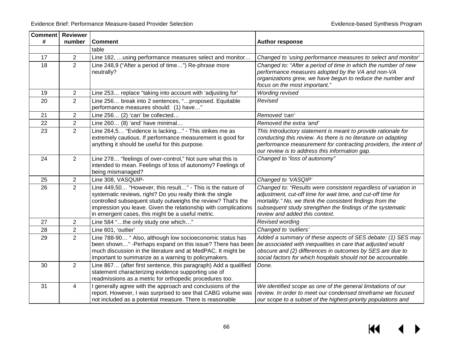| <b>Comment   Reviewer</b> |                |                                                                                                                                                                                                                                                                                                                 |                                                                                                                                                                                                                                                                                              |
|---------------------------|----------------|-----------------------------------------------------------------------------------------------------------------------------------------------------------------------------------------------------------------------------------------------------------------------------------------------------------------|----------------------------------------------------------------------------------------------------------------------------------------------------------------------------------------------------------------------------------------------------------------------------------------------|
| #                         | number         | <b>Comment</b>                                                                                                                                                                                                                                                                                                  | <b>Author response</b>                                                                                                                                                                                                                                                                       |
|                           |                | table                                                                                                                                                                                                                                                                                                           |                                                                                                                                                                                                                                                                                              |
| 17                        | $\overline{2}$ | Line 182,  using performance measures select and monitor                                                                                                                                                                                                                                                        | Changed to 'using performance measures to select and monitor'                                                                                                                                                                                                                                |
| 18                        | $\overline{2}$ | Line 248,9 ("After a period of time") Re-phrase more<br>neutrally?                                                                                                                                                                                                                                              | Changed to: "After a period of time in which the number of new<br>performance measures adopted by the VA and non-VA<br>organizations grew, we have begun to reduce the number and<br>focus on the most important."                                                                           |
| 19                        | $\overline{2}$ | Line 253 replace "taking into account with 'adjusting for'                                                                                                                                                                                                                                                      | <b>Wording revised</b>                                                                                                                                                                                                                                                                       |
| 20                        | $\overline{2}$ | Line 256 break into 2 sentences, "proposed. Equitable<br>performance measures should: (1) have'                                                                                                                                                                                                                 | Revised                                                                                                                                                                                                                                                                                      |
| 21                        | $\overline{2}$ | Line 256 (2) 'can' be collected                                                                                                                                                                                                                                                                                 | Removed 'can'                                                                                                                                                                                                                                                                                |
| 22                        | $\overline{2}$ | Line 260 (8) 'and' have minimal                                                                                                                                                                                                                                                                                 | Removed the extra 'and'                                                                                                                                                                                                                                                                      |
| 23                        | $\overline{2}$ | Line 264,5 "Evidence is lacking" - This strikes me as<br>extremely cautious. If performance measurement is good for<br>anything it should be useful for this purpose.                                                                                                                                           | This Introductory statement is meant to provide rationale for<br>conducting this review. As there is no literature on adapting<br>performance measurement for contracting providers, the intent of<br>our review is to address this information gap.                                         |
| 24                        | $\overline{2}$ | Line 278 "feelings of over-control," Not sure what this is<br>intended to mean. Feelings of loss of autonomy? Feelings of<br>being mismanaged?                                                                                                                                                                  | Changed to "loss of autonomy"                                                                                                                                                                                                                                                                |
| 25                        | $\overline{2}$ | Line 308, VASQUIP-                                                                                                                                                                                                                                                                                              | Changed to 'VASQIP'                                                                                                                                                                                                                                                                          |
| 26                        | $\overline{2}$ | Line 449,50 "However, this result" - This is the nature of<br>systematic reviews, right? Do you really think the single<br>controlled subsequent study outweighs the review? That's the<br>impression you leave. Given the relationship with complications<br>in emergent cases, this might be a useful metric. | Changed to: "Results were consistent regardless of variation in<br>adjustment, cut-off time for wait time, and cut-off time for<br>mortality." No, we think the consistent findings from the<br>subsequent study strengthen the findings of the systematic<br>review and added this context. |
| 27                        | $\overline{2}$ | Line 584 "the only study one which"                                                                                                                                                                                                                                                                             | Revised wording                                                                                                                                                                                                                                                                              |
| 28                        | $\overline{2}$ | Line 601, 'outlier'                                                                                                                                                                                                                                                                                             | Changed to 'outliers'                                                                                                                                                                                                                                                                        |
| 29                        | $\overline{2}$ | Line 788-90 " Also, although low socioeconomic status has<br>been shown" -Perhaps expand on this issue? There has been<br>much discussion in the literature and at MedPAC. It might be<br>important to summarize as a warning to policymakers.                                                                  | Added a summary of these aspects of SES debate: (1) SES may<br>be associated with inequalities in care that adjusted would<br>obscure and (2) differences in outcomes by SES are due to<br>social factors for which hospitals should not be accountable.                                     |
| 30                        | $\overline{2}$ | Line 867 (after first sentence, this paragraph) Add a qualified<br>statement characterizing evidence supporting use of<br>readmissions as a metric for orthopedic procedures too.                                                                                                                               | Done.                                                                                                                                                                                                                                                                                        |
| 31                        | 4              | I generally agree with the approach and conclusions of the<br>report. However, I was surprised to see that CABG volume was<br>not included as a potential measure. There is reasonable                                                                                                                          | We identified scope as one of the general limitations of our<br>review. In order to meet our condensed timeframe we focused<br>our scope to a subset of the highest-priority populations and                                                                                                 |

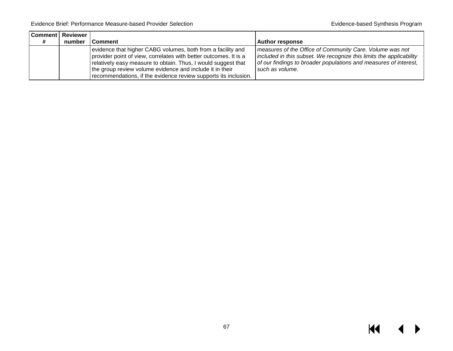$M \leftarrow \leftarrow$ 

|   | Comment   Reviewer |                                                                                                                                                                                                                                                                                                                                 |                                                                                                                                                                                                                        |
|---|--------------------|---------------------------------------------------------------------------------------------------------------------------------------------------------------------------------------------------------------------------------------------------------------------------------------------------------------------------------|------------------------------------------------------------------------------------------------------------------------------------------------------------------------------------------------------------------------|
| # | number             | Comment                                                                                                                                                                                                                                                                                                                         | Author response                                                                                                                                                                                                        |
|   |                    | evidence that higher CABG volumes, both from a facility and<br>provider point of view, correlates with better outcomes. It is a<br>relatively easy measure to obtain. Thus, I would suggest that<br>the group review volume evidence and include it in their<br>recommendations, if the evidence review supports its inclusion. | measures of the Office of Community Care. Volume was not<br>included in this subset. We recognize this limits the applicability<br>of our findings to broader populations and measures of interest,<br>such as volume. |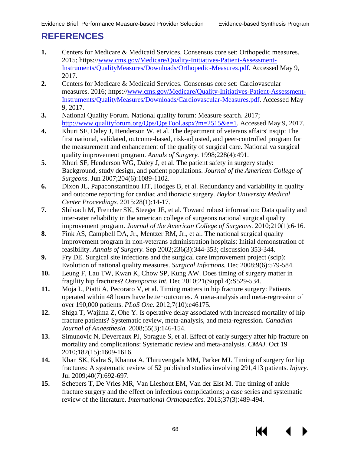# **REFERENCES**

- **1.** Centers for Medicare & Medicaid Services. Consensus core set: Orthopedic measures. 2015; https:/[/www.cms.gov/Medicare/Quality-Initiatives-Patient-Assessment-](http://www.cms.gov/Medicare/Quality-Initiatives-Patient-Assessment-Instruments/QualityMeasures/Downloads/Orthopedic-Measures.pdf)[Instruments/QualityMeasures/Downloads/Orthopedic-Measures.pdf.](http://www.cms.gov/Medicare/Quality-Initiatives-Patient-Assessment-Instruments/QualityMeasures/Downloads/Orthopedic-Measures.pdf) Accessed May 9, 2017.
- **2.** Centers for Medicare & Medicaid Services. Consensus core set: Cardiovascular measures. 2016; https:/[/www.cms.gov/Medicare/Quality-Initiatives-Patient-Assessment-](http://www.cms.gov/Medicare/Quality-Initiatives-Patient-Assessment-Instruments/QualityMeasures/Downloads/Cardiovascular-Measures.pdf)[Instruments/QualityMeasures/Downloads/Cardiovascular-Measures.pdf.](http://www.cms.gov/Medicare/Quality-Initiatives-Patient-Assessment-Instruments/QualityMeasures/Downloads/Cardiovascular-Measures.pdf) Accessed May 9, 2017.
- **3.** National Quality Forum. National quality forum: Measure search. 2017; http://www.qualityforum.org/Ops/OpsTool.aspx?m=2515&e=1. Accessed May 9, 2017.
- **4.** Khuri SF, Daley J, Henderson W, et al. The department of veterans affairs' nsqip: The first national, validated, outcome-based, risk-adjusted, and peer-controlled program for the measurement and enhancement of the quality of surgical care. National va surgical quality improvement program. *Annals of Surgery.* 1998;228(4):491.
- <span id="page-69-0"></span>**5.** Khuri SF, Henderson WG, Daley J, et al. The patient safety in surgery study: Background, study design, and patient populations. *Journal of the American College of Surgeons.* Jun 2007;204(6):1089-1102.
- <span id="page-69-1"></span>**6.** Dixon JL, Papaconstantinou HT, Hodges B, et al. Redundancy and variability in quality and outcome reporting for cardiac and thoracic surgery. *Baylor University Medical Center Proceedings.* 2015;28(1):14-17.
- <span id="page-69-2"></span>**7.** Shiloach M, Frencher SK, Steeger JE, et al. Toward robust information: Data quality and inter-rater reliability in the american college of surgeons national surgical quality improvement program. *Journal of the American College of Surgeons.* 2010;210(1):6-16.
- <span id="page-69-3"></span>**8.** Fink AS, Campbell DA, Jr., Mentzer RM, Jr., et al. The national surgical quality improvement program in non-veterans administration hospitals: Initial demonstration of feasibility. *Annals of Surgery.* Sep 2002;236(3):344-353; discussion 353-344.
- <span id="page-69-4"></span>**9.** Fry DE. Surgical site infections and the surgical care improvement project (scip): Evolution of national quality measures. *Surgical Infections.* Dec 2008;9(6):579-584.
- <span id="page-69-5"></span>**10.** Leung F, Lau TW, Kwan K, Chow SP, Kung AW. Does timing of surgery matter in fragility hip fractures? *Osteoporos Int.* Dec 2010;21(Suppl 4):S529-534.
- **11.** Moja L, Piatti A, Pecoraro V, et al. Timing matters in hip fracture surgery: Patients operated within 48 hours have better outcomes. A meta-analysis and meta-regression of over 190,000 patients. *PLoS One.* 2012;7(10):e46175.
- **12.** Shiga T, Wajima Z, Ohe Y. Is operative delay associated with increased mortality of hip fracture patients? Systematic review, meta-analysis, and meta-regression. *Canadian Journal of Anaesthesia.* 2008;55(3):146-154.
- **13.** Simunovic N, Devereaux PJ, Sprague S, et al. Effect of early surgery after hip fracture on mortality and complications: Systematic review and meta-analysis. *CMAJ.* Oct 19 2010;182(15):1609-1616.
- **14.** Khan SK, Kalra S, Khanna A, Thiruvengada MM, Parker MJ. Timing of surgery for hip fractures: A systematic review of 52 published studies involving 291,413 patients. *Injury.*  Jul 2009;40(7):692-697.
- **15.** Schepers T, De Vries MR, Van Lieshout EM, Van der Elst M. The timing of ankle fracture surgery and the effect on infectious complications; a case series and systematic review of the literature. *International Orthopaedics.* 2013;37(3):489-494.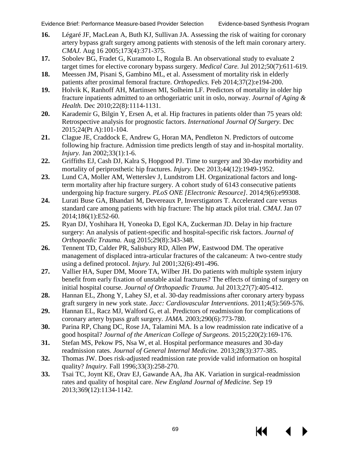- <span id="page-70-5"></span><span id="page-70-4"></span><span id="page-70-3"></span><span id="page-70-2"></span><span id="page-70-1"></span><span id="page-70-0"></span>**16.** Légaré JF, MacLean A, Buth KJ, Sullivan JA. Assessing the risk of waiting for coronary artery bypass graft surgery among patients with stenosis of the left main coronary artery. *CMAJ.* Aug 16 2005;173(4):371-375.
- <span id="page-70-6"></span>**17.** Sobolev BG, Fradet G, Kuramoto L, Rogula B. An observational study to evaluate 2 target times for elective coronary bypass surgery. *Medical Care.* Jul 2012;50(7):611-619.
- <span id="page-70-7"></span>**18.** Meessen JM, Pisani S, Gambino ML, et al. Assessment of mortality risk in elderly patients after proximal femoral fracture. *Orthopedics.* Feb 2014;37(2):e194-200.
- <span id="page-70-8"></span>**19.** Holvik K, Ranhoff AH, Martinsen MI, Solheim LF. Predictors of mortality in older hip fracture inpatients admitted to an orthogeriatric unit in oslo, norway. *Journal of Aging & Health.* Dec 2010;22(8):1114-1131.
- <span id="page-70-9"></span>**20.** Karademir G, Bilgin Y, Ersen A, et al. Hip fractures in patients older than 75 years old: Retrospective analysis for prognostic factors. *International Journal Of Surgery.* Dec 2015;24(Pt A):101-104.
- <span id="page-70-10"></span>**21.** Clague JE, Craddock E, Andrew G, Horan MA, Pendleton N. Predictors of outcome following hip fracture. Admission time predicts length of stay and in-hospital mortality. *Injury.* Jan 2002;33(1):1-6.
- <span id="page-70-11"></span>**22.** Griffiths EJ, Cash DJ, Kalra S, Hopgood PJ. Time to surgery and 30-day morbidity and mortality of periprosthetic hip fractures. *Injury.* Dec 2013;44(12):1949-1952.
- **23.** Lund CA, Moller AM, Wetterslev J, Lundstrom LH. Organizational factors and longterm mortality after hip fracture surgery. A cohort study of 6143 consecutive patients undergoing hip fracture surgery. *PLoS ONE [Electronic Resource].* 2014;9(6):e99308.
- <span id="page-70-13"></span><span id="page-70-12"></span>**24.** Lurati Buse GA, Bhandari M, Devereaux P, Inverstigators T. Accelerated care versus standard care among patients with hip fracture: The hip attack pilot trial. *CMAJ.* Jan 07 2014;186(1):E52-60.
- <span id="page-70-14"></span>**25.** Ryan DJ, Yoshihara H, Yoneoka D, Egol KA, Zuckerman JD. Delay in hip fracture surgery: An analysis of patient-specific and hospital-specific risk factors. *Journal of Orthopaedic Trauma.* Aug 2015;29(8):343-348.
- <span id="page-70-16"></span><span id="page-70-15"></span>**26.** Tennent TD, Calder PR, Salisbury RD, Allen PW, Eastwood DM. The operative management of displaced intra-articular fractures of the calcaneum: A two-centre study using a defined protocol. *Injury.* Jul 2001;32(6):491-496.
- <span id="page-70-17"></span>**27.** Vallier HA, Super DM, Moore TA, Wilber JH. Do patients with multiple system injury benefit from early fixation of unstable axial fractures? The effects of timing of surgery on initial hospital course. *Journal of Orthopaedic Trauma.* Jul 2013;27(7):405-412.
- **28.** Hannan EL, Zhong Y, Lahey SJ, et al. 30-day readmissions after coronary artery bypass graft surgery in new york state. *Jacc: Cardiovascular Interventions.* 2011;4(5):569-576.
- **29.** Hannan EL, Racz MJ, Walford G, et al. Predictors of readmission for complications of coronary artery bypass graft surgery. *JAMA.* 2003;290(6):773-780.
- **30.** Parina RP, Chang DC, Rose JA, Talamini MA. Is a low readmission rate indicative of a good hospital? *Journal of the American College of Surgeons.* 2015;220(2):169-176.
- **31.** Stefan MS, Pekow PS, Nsa W, et al. Hospital performance measures and 30-day readmission rates. *Journal of General Internal Medicine.* 2013;28(3):377-385.
- **32.** Thomas JW. Does risk-adjusted readmission rate provide valid information on hospital quality? *Inquiry.* Fall 1996;33(3):258-270.
- **33.** Tsai TC, Joynt KE, Orav EJ, Gawande AA, Jha AK. Variation in surgical-readmission rates and quality of hospital care. *New England Journal of Medicine.* Sep 19 2013;369(12):1134-1142.

KK